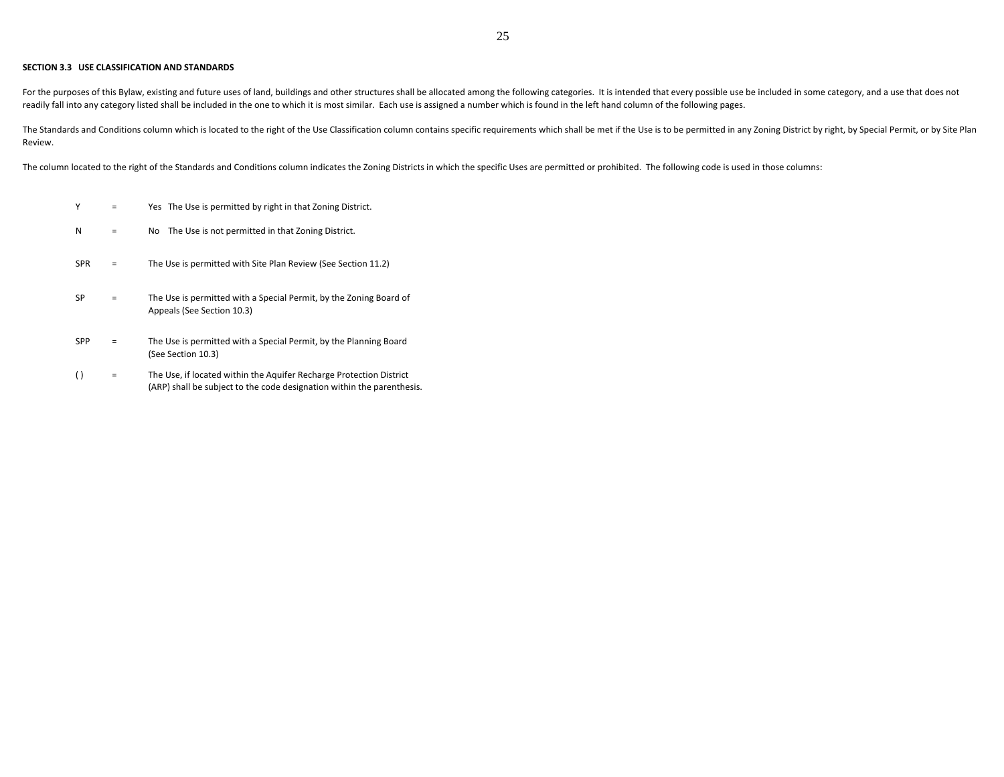## **SECTION 3.3 USE CLASSIFICATION AND STANDARDS**

For the purposes of this Bylaw, existing and future uses of land, buildings and other structures shall be allocated among the following categories. It is intended that every possible use be included in some category, and a readily fall into any category listed shall be included in the one to which it is most similar. Each use is assigned a number which is found in the left hand column of the following pages.

The Standards and Conditions column which is located to the right of the Use Classification column contains specific requirements which shall be met if the Use is to be permitted in any Zoning District by right, by Special Review.

The column located to the right of the Standards and Conditions column indicates the Zoning Districts in which the specific Uses are permitted or prohibited. The following code is used in those columns:

- $Y =$ Yes The Use is permitted by right in that Zoning District.
- $N =$ No The Use is not permitted in that Zoning District.
- $SPR =$ The Use is permitted with Site Plan Review (See Section 11.2)
- $SP =$ The Use is permitted with a Special Permit, by the Zoning Board of Appeals (See Section 10.3)
- $SPP =$ The Use is permitted with a Special Permit, by the Planning Board (See Section 10.3)
- $( )$  = The Use, if located within the Aquifer Recharge Protection District (ARP) shall be subject to the code designation within the parenthesis.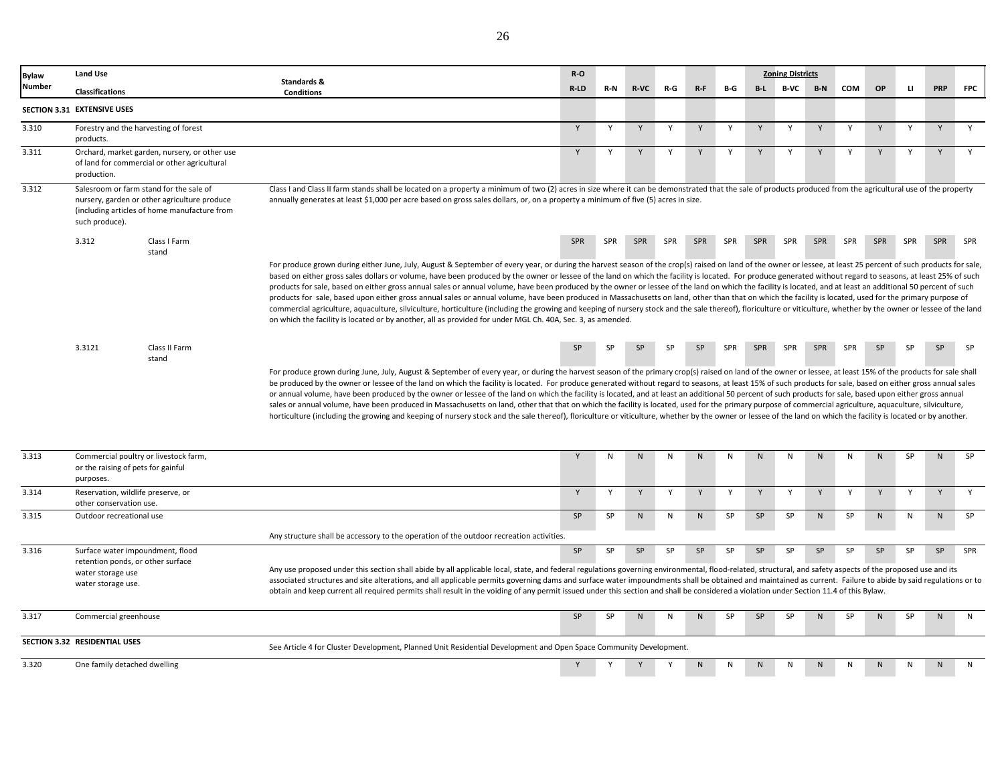| Bylaw  | Land Use                    |                                                                                                                                         |                                                                                                                                                                                                                                                                                                                                                                                                                                                                                                                                                                                                                                                                                                                                                                                                                                                                                                                                                                                                                                                                                                                                                                                                  | $R-O$     |              |            |          |           |            |                | <b>Zoning Districts</b> |            |            |              |              |              |            |
|--------|-----------------------------|-----------------------------------------------------------------------------------------------------------------------------------------|--------------------------------------------------------------------------------------------------------------------------------------------------------------------------------------------------------------------------------------------------------------------------------------------------------------------------------------------------------------------------------------------------------------------------------------------------------------------------------------------------------------------------------------------------------------------------------------------------------------------------------------------------------------------------------------------------------------------------------------------------------------------------------------------------------------------------------------------------------------------------------------------------------------------------------------------------------------------------------------------------------------------------------------------------------------------------------------------------------------------------------------------------------------------------------------------------|-----------|--------------|------------|----------|-----------|------------|----------------|-------------------------|------------|------------|--------------|--------------|--------------|------------|
| Number | <b>Classifications</b>      |                                                                                                                                         | Standards &<br><b>Conditions</b>                                                                                                                                                                                                                                                                                                                                                                                                                                                                                                                                                                                                                                                                                                                                                                                                                                                                                                                                                                                                                                                                                                                                                                 | R-LD      | $R-N$        | R-VC       | R-G      | $R-F$     | B-G        | $B-L$          | <b>B-VC</b>             | $B-N$      | <b>COM</b> | OP           | $\mathbf{u}$ | <b>PRP</b>   | <b>FPC</b> |
|        | SECTION 3.31 EXTENSIVE USES |                                                                                                                                         |                                                                                                                                                                                                                                                                                                                                                                                                                                                                                                                                                                                                                                                                                                                                                                                                                                                                                                                                                                                                                                                                                                                                                                                                  |           |              |            |          |           |            |                |                         |            |            |              |              |              |            |
| 3.310  | products.                   | Forestry and the harvesting of forest                                                                                                   |                                                                                                                                                                                                                                                                                                                                                                                                                                                                                                                                                                                                                                                                                                                                                                                                                                                                                                                                                                                                                                                                                                                                                                                                  | Y         | Y            | Y          | Y        | Y         | Y          | Y              | $\mathsf{v}$            | Y          | Y          | Y            | Y            | Y            | Y          |
| 3.311  | production.                 | Orchard, market garden, nursery, or other use<br>of land for commercial or other agricultural                                           |                                                                                                                                                                                                                                                                                                                                                                                                                                                                                                                                                                                                                                                                                                                                                                                                                                                                                                                                                                                                                                                                                                                                                                                                  | Y         | Y            | Y          | Y        | Y         | Y          | Y              | Y                       | Y          | Y          | Y            | Y            | Y            | Y          |
| 3.312  | such produce).              | Salesroom or farm stand for the sale of<br>nursery, garden or other agriculture produce<br>(including articles of home manufacture from | Class I and Class II farm stands shall be located on a property a minimum of two (2) acres in size where it can be demonstrated that the sale of products produced from the agricultural use of the property<br>annually generates at least \$1,000 per acre based on gross sales dollars, or, on a property a minimum of five (5) acres in size.                                                                                                                                                                                                                                                                                                                                                                                                                                                                                                                                                                                                                                                                                                                                                                                                                                                |           |              |            |          |           |            |                |                         |            |            |              |              |              |            |
|        | 3.312                       | Class I Farm<br>stand                                                                                                                   |                                                                                                                                                                                                                                                                                                                                                                                                                                                                                                                                                                                                                                                                                                                                                                                                                                                                                                                                                                                                                                                                                                                                                                                                  | SPR       | SPR          | <b>SPR</b> | SPR      | SPR       | SPR        | SPR            | SPR                     | <b>SPR</b> | SPR        | SPR          | SPR          | SPR          | SPR        |
|        |                             |                                                                                                                                         | For produce grown during either June, July, August & September of every year, or during the harvest season of the crop(s) raised on land of the owner or lessee, at least 25 percent of such products for sale,<br>based on either gross sales dollars or volume, have been produced by the owner or lessee of the land on which the facility is located. For produce generated without regard to seasons, at least 25% of such<br>products for sale, based on either gross annual sales or annual volume, have been produced by the owner or lessee of the land on which the facility is located, and at least an additional 50 percent of such<br>products for sale, based upon either gross annual sales or annual volume, have been produced in Massachusetts on land, other than that on which the facility is located, used for the primary purpose of<br>commercial agriculture, aquaculture, silviculture, horticulture (including the growing and keeping of nursery stock and the sale thereof), floriculture or viticulture, whether by the owner or lessee of the land<br>on which the facility is located or by another, all as provided for under MGL Ch. 40A, Sec. 3, as amended. |           |              |            |          |           |            |                |                         |            |            |              |              |              |            |
|        | 3.3121                      | Class II Farm<br>stand                                                                                                                  |                                                                                                                                                                                                                                                                                                                                                                                                                                                                                                                                                                                                                                                                                                                                                                                                                                                                                                                                                                                                                                                                                                                                                                                                  | <b>SP</b> |              |            | SP       | <b>SP</b> | <b>SPR</b> | SPR            | <b>SPR</b>              | <b>SPR</b> | SPR        | <b>SP</b>    | <b>SP</b>    | <b>SP</b>    | <b>SP</b>  |
|        |                             |                                                                                                                                         | For produce grown during June, July, August & September of every year, or during the harvest season of the primary crop(s) raised on land of the owner or lessee, at least 15% of the products for sale shall<br>be produced by the owner or lessee of the land on which the facility is located. For produce generated without regard to seasons, at least 15% of such products for sale, based on either gross annual sales<br>or annual volume, have been produced by the owner or lessee of the land on which the facility is located, and at least an additional 50 percent of such products for sale, based upon either gross annual<br>sales or annual volume, have been produced in Massachusetts on land, other that that on which the facility is located, used for the primary purpose of commercial agriculture, aquaculture, silviculture,<br>horticulture (including the growing and keeping of nursery stock and the sale thereof), floriculture or viticulture, whether by the owner or lessee of the land on which the facility is located or by another.                                                                                                                       |           |              |            |          |           |            |                |                         |            |            |              |              |              |            |
| 3.313  | purposes.                   | Commercial poultry or livestock farm,<br>or the raising of pets for gainful                                                             |                                                                                                                                                                                                                                                                                                                                                                                                                                                                                                                                                                                                                                                                                                                                                                                                                                                                                                                                                                                                                                                                                                                                                                                                  |           | N            | N          | N        | N         | N          | N <sub>1</sub> | N                       | N          | N          | N            | <b>SP</b>    | N            | <b>SP</b>  |
| 3.314  |                             | Reservation, wildlife preserve, or                                                                                                      |                                                                                                                                                                                                                                                                                                                                                                                                                                                                                                                                                                                                                                                                                                                                                                                                                                                                                                                                                                                                                                                                                                                                                                                                  | Y         | $\mathsf{v}$ | Y          | <b>V</b> | Y         | <b>V</b>   | $\mathsf{v}$   | $\mathsf{v}$            | <b>V</b>   | Y          | $\mathsf{v}$ | $\mathbf{v}$ | $\mathsf{v}$ | v          |

3.314 Y Y Y Y Y Y Y Y Y Y Y Y Y Y 3.315 Outdoor recreational use the second service of the SP SP SP SP SP SP N SP N N N SP N N N SP SP N N N SP 3.316 SP SP SP SP SP SP SP SP SP SP SP SP SP SPR Surface water impoundment, flood Any structure shall be accessory to the operation of the outdoor recreation activities. Any use proposed under this section shall abide by all applicable local, state, and federal regulations governing environmental, flood-related, structural, and safety aspects of the proposed use and its associated structures and site alterations, and all applicable permits governing dams and surface water impoundments shall be obtained and maintained as current. Failure to abide by said regulations or to obtain and keep current all required permits shall result in the voiding of any permit issued under this section and shall be considered a violation under Section 11.4 of this Bylaw. retention ponds, or other surface water storage use water storage use. Reservation, wildlife preserve, or other conservation use. Outdoor recreational use

|       | SECTION 3.32 RESIDENTIAL USES | See Article 4 for Cluster Development, Planned Unit Residential Development and Open Space Community Development. |  |  |    |  |  |  |  |
|-------|-------------------------------|-------------------------------------------------------------------------------------------------------------------|--|--|----|--|--|--|--|
| 3.320 | One family detached dwelling  |                                                                                                                   |  |  | N. |  |  |  |  |

3.317 SP SP N N N SP SP SP N SP N SP N N

Commercial greenhouse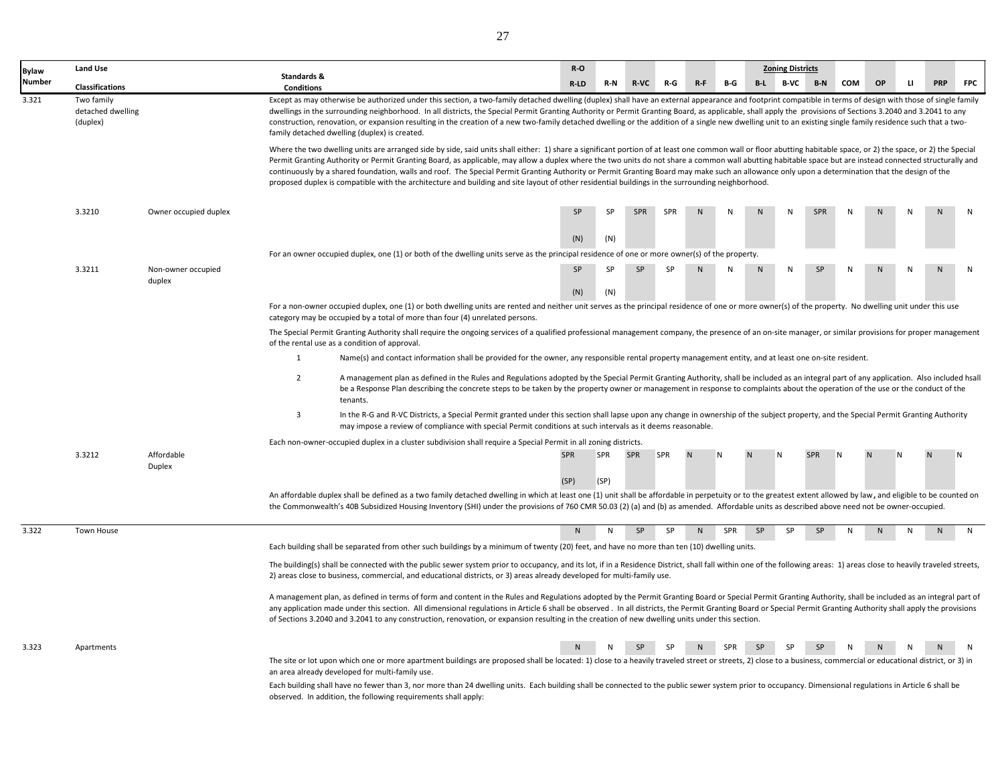| <b>Bylaw</b> | <b>Land Use</b>                             |                       |                                  |                                                                                                                                                                                                                                                                                                                                                                                                                                                                                                                                                                                                                                                                                                                                                                                      | $R-O$        |            |             |            |              |            |           | <b>Zoning Districts</b> |            |     |    |              |              |            |
|--------------|---------------------------------------------|-----------------------|----------------------------------|--------------------------------------------------------------------------------------------------------------------------------------------------------------------------------------------------------------------------------------------------------------------------------------------------------------------------------------------------------------------------------------------------------------------------------------------------------------------------------------------------------------------------------------------------------------------------------------------------------------------------------------------------------------------------------------------------------------------------------------------------------------------------------------|--------------|------------|-------------|------------|--------------|------------|-----------|-------------------------|------------|-----|----|--------------|--------------|------------|
| Number       | <b>Classifications</b>                      |                       | Standards &<br><b>Conditions</b> |                                                                                                                                                                                                                                                                                                                                                                                                                                                                                                                                                                                                                                                                                                                                                                                      | $R-LD$       | R-N        | <b>R-VC</b> | R-G        | $R-F$        | B-G        | $B-L$     | <b>B-VC</b>             | $B-N$      | COM | OP | $\mathbf{u}$ | <b>PRP</b>   | <b>FPC</b> |
| 3.321        | Two family<br>detached dwelling<br>(duplex) |                       |                                  | Except as may otherwise be authorized under this section, a two-family detached dwelling (duplex) shall have an external appearance and footprint compatible in terms of design with those of single family<br>dwellings in the surrounding neighborhood. In all districts, the Special Permit Granting Authority or Permit Granting Board, as applicable, shall apply the provisions of Sections 3.2040 and 3.2041 to any<br>construction, renovation, or expansion resulting in the creation of a new two-family detached dwelling or the addition of a single new dwelling unit to an existing single family residence such that a two-<br>family detached dwelling (duplex) is created.                                                                                          |              |            |             |            |              |            |           |                         |            |     |    |              |              |            |
|              |                                             |                       |                                  | Where the two dwelling units are arranged side by side, said units shall either: 1) share a significant portion of at least one common wall or floor abutting habitable space, or 2) the space, or 2) the Special<br>Permit Granting Authority or Permit Granting Board, as applicable, may allow a duplex where the two units do not share a common wall abutting habitable space but are instead connected structurally and<br>continuously by a shared foundation, walls and roof. The Special Permit Granting Authority or Permit Granting Board may make such an allowance only upon a determination that the design of the<br>proposed duplex is compatible with the architecture and building and site layout of other residential buildings in the surrounding neighborhood. |              |            |             |            |              |            |           |                         |            |     |    |              |              |            |
|              | 3.3210                                      | Owner occupied duplex |                                  |                                                                                                                                                                                                                                                                                                                                                                                                                                                                                                                                                                                                                                                                                                                                                                                      | SP           |            | SPR         | <b>SPR</b> |              |            |           |                         | SPR        |     |    |              |              |            |
|              |                                             |                       |                                  |                                                                                                                                                                                                                                                                                                                                                                                                                                                                                                                                                                                                                                                                                                                                                                                      | (N)          | (N)        |             |            |              |            |           |                         |            |     |    |              |              |            |
|              |                                             |                       |                                  | For an owner occupied duplex, one (1) or both of the dwelling units serve as the principal residence of one or more owner(s) of the property.                                                                                                                                                                                                                                                                                                                                                                                                                                                                                                                                                                                                                                        |              |            |             |            |              |            |           |                         |            |     |    |              |              |            |
|              | 3.3211                                      | Non-owner occupied    |                                  |                                                                                                                                                                                                                                                                                                                                                                                                                                                                                                                                                                                                                                                                                                                                                                                      | SP           | <b>SP</b>  | SP          | SP         |              | N          | N         | N                       | SP         | N   |    | N            | $\mathbf{N}$ |            |
|              |                                             | duplex                |                                  |                                                                                                                                                                                                                                                                                                                                                                                                                                                                                                                                                                                                                                                                                                                                                                                      | (N)          | (N)        |             |            |              |            |           |                         |            |     |    |              |              |            |
|              |                                             |                       |                                  | For a non-owner occupied duplex, one (1) or both dwelling units are rented and neither unit serves as the principal residence of one or more owner(s) of the property. No dwelling unit under this use<br>category may be occupied by a total of more than four (4) unrelated persons.                                                                                                                                                                                                                                                                                                                                                                                                                                                                                               |              |            |             |            |              |            |           |                         |            |     |    |              |              |            |
|              |                                             |                       |                                  | The Special Permit Granting Authority shall require the ongoing services of a qualified professional management company, the presence of an on-site manager, or similar provisions for proper management<br>of the rental use as a condition of approval.                                                                                                                                                                                                                                                                                                                                                                                                                                                                                                                            |              |            |             |            |              |            |           |                         |            |     |    |              |              |            |
|              |                                             |                       | $\mathbf{1}$                     | Name(s) and contact information shall be provided for the owner, any responsible rental property management entity, and at least one on-site resident.                                                                                                                                                                                                                                                                                                                                                                                                                                                                                                                                                                                                                               |              |            |             |            |              |            |           |                         |            |     |    |              |              |            |
|              |                                             |                       | $\overline{2}$                   | A management plan as defined in the Rules and Regulations adopted by the Special Permit Granting Authority, shall be included as an integral part of any application. Also included hsall<br>be a Response Plan describing the concrete steps to be taken by the property owner or management in response to complaints about the operation of the use or the conduct of the<br>tenants.                                                                                                                                                                                                                                                                                                                                                                                             |              |            |             |            |              |            |           |                         |            |     |    |              |              |            |
|              |                                             |                       | 3                                | In the R-G and R-VC Districts, a Special Permit granted under this section shall lapse upon any change in ownership of the subject property, and the Special Permit Granting Authority<br>may impose a review of compliance with special Permit conditions at such intervals as it deems reasonable.                                                                                                                                                                                                                                                                                                                                                                                                                                                                                 |              |            |             |            |              |            |           |                         |            |     |    |              |              |            |
|              |                                             |                       |                                  | Each non-owner-occupied duplex in a cluster subdivision shall require a Special Permit in all zoning districts.                                                                                                                                                                                                                                                                                                                                                                                                                                                                                                                                                                                                                                                                      |              |            |             |            |              |            |           |                         |            |     |    |              |              |            |
|              | 3.3212                                      | Affordable<br>Duplex  |                                  |                                                                                                                                                                                                                                                                                                                                                                                                                                                                                                                                                                                                                                                                                                                                                                                      | <b>SPR</b>   | <b>SPR</b> | <b>SPR</b>  | SPR        |              |            |           |                         | <b>SPR</b> |     |    |              |              |            |
|              |                                             |                       |                                  |                                                                                                                                                                                                                                                                                                                                                                                                                                                                                                                                                                                                                                                                                                                                                                                      | (SP)         | (SP)       |             |            |              |            |           |                         |            |     |    |              |              |            |
|              |                                             |                       |                                  | An affordable duplex shall be defined as a two family detached dwelling in which at least one (1) unit shall be affordable in perpetuity or to the greatest extent allowed by law, and eligible to be counted on<br>the Commonwealth's 40B Subsidized Housing Inventory (SHI) under the provisions of 760 CMR 50.03 (2) (a) and (b) as amended. Affordable units as described above need not be owner-occupied.                                                                                                                                                                                                                                                                                                                                                                      |              |            |             |            |              |            |           |                         |            |     |    |              |              |            |
| 3.322        | Town House                                  |                       |                                  |                                                                                                                                                                                                                                                                                                                                                                                                                                                                                                                                                                                                                                                                                                                                                                                      | $\mathsf{N}$ |            | <b>SP</b>   | <b>SP</b>  | <sub>N</sub> | <b>SPR</b> | <b>SP</b> | SP                      | <b>SP</b>  |     |    | N            | N            | N          |
|              |                                             |                       |                                  | Each building shall be separated from other such buildings by a minimum of twenty (20) feet, and have no more than ten (10) dwelling units.                                                                                                                                                                                                                                                                                                                                                                                                                                                                                                                                                                                                                                          |              |            |             |            |              |            |           |                         |            |     |    |              |              |            |
|              |                                             |                       |                                  | The building(s) shall be connected with the public sewer system prior to occupancy, and its lot, if in a Residence District, shall fall within one of the following areas: 1) areas close to heavily traveled streets,                                                                                                                                                                                                                                                                                                                                                                                                                                                                                                                                                               |              |            |             |            |              |            |           |                         |            |     |    |              |              |            |
|              |                                             |                       |                                  | 2) areas close to business, commercial, and educational districts, or 3) areas already developed for multi-family use.                                                                                                                                                                                                                                                                                                                                                                                                                                                                                                                                                                                                                                                               |              |            |             |            |              |            |           |                         |            |     |    |              |              |            |
|              |                                             |                       |                                  | A management plan, as defined in terms of form and content in the Rules and Regulations adopted by the Permit Granting Board or Special Permit Granting Authority, shall be included as an integral part of<br>any application made under this section. All dimensional regulations in Article 6 shall be observed. In all districts, the Permit Granting Board or Special Permit Granting Authority shall apply the provisions<br>of Sections 3.2040 and 3.2041 to any construction, renovation, or expansion resulting in the creation of new dwelling units under this section.                                                                                                                                                                                                   |              |            |             |            |              |            |           |                         |            |     |    |              |              |            |
| 3.323        | Apartments                                  |                       |                                  |                                                                                                                                                                                                                                                                                                                                                                                                                                                                                                                                                                                                                                                                                                                                                                                      |              |            |             |            |              |            |           |                         | <b>SP</b>  |     |    |              |              |            |
|              |                                             |                       |                                  | The site or lot upon which one or more apartment buildings are proposed shall be located: 1) close to a heavily traveled street or streets, 2) close to a business, commercial or educational district, or 3) in<br>an area already developed for multi-family use.                                                                                                                                                                                                                                                                                                                                                                                                                                                                                                                  |              |            |             |            |              |            |           |                         |            |     |    |              |              |            |
|              |                                             |                       |                                  | Each building shall have no fewer than 3, nor more than 24 dwelling units. Each building shall be connected to the public sewer system prior to occupancy. Dimensional regulations in Article 6 shall be<br>observed. In addition, the following requirements shall apply:                                                                                                                                                                                                                                                                                                                                                                                                                                                                                                           |              |            |             |            |              |            |           |                         |            |     |    |              |              |            |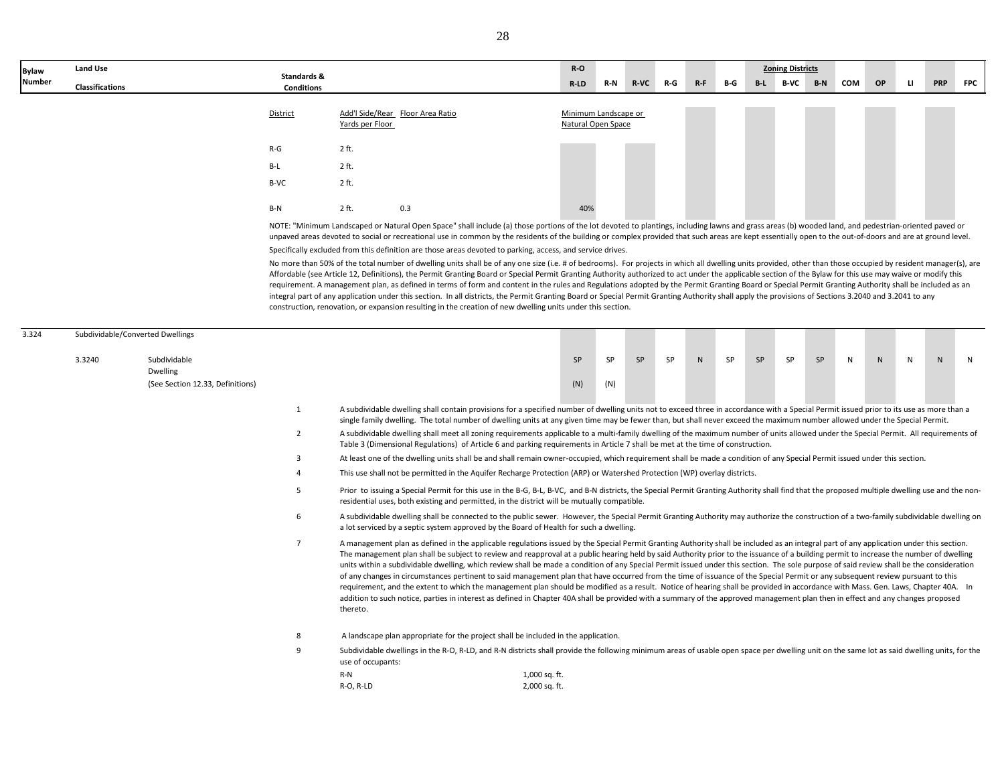| <b>Bylaw</b>  | <b>Land Use</b>        | Standards &       |                 |                                  |                                                                                                                                                                                                                                                                                                                                                                                                           | $R-O$                                      |     |        |     |       |     |       | <b>Zoning Districts</b> |       |     |           |   |            |            |
|---------------|------------------------|-------------------|-----------------|----------------------------------|-----------------------------------------------------------------------------------------------------------------------------------------------------------------------------------------------------------------------------------------------------------------------------------------------------------------------------------------------------------------------------------------------------------|--------------------------------------------|-----|--------|-----|-------|-----|-------|-------------------------|-------|-----|-----------|---|------------|------------|
| <b>Number</b> | <b>Classifications</b> | <b>Conditions</b> |                 |                                  |                                                                                                                                                                                                                                                                                                                                                                                                           | R-LD                                       | R-N | $R-VC$ | R-G | $R-F$ | B-G | $B-L$ | B-VC                    | $B-N$ | COM | <b>OP</b> | ш | <b>PRP</b> | <b>FPC</b> |
|               |                        | <u>District</u>   | Yards per Floor | Add'l Side/Rear Floor Area Ratio |                                                                                                                                                                                                                                                                                                                                                                                                           | Minimum Landscape or<br>Natural Open Space |     |        |     |       |     |       |                         |       |     |           |   |            |            |
|               |                        | $R-G$             | 2 ft.           |                                  |                                                                                                                                                                                                                                                                                                                                                                                                           |                                            |     |        |     |       |     |       |                         |       |     |           |   |            |            |
|               |                        | B-L               | 2 ft.           |                                  |                                                                                                                                                                                                                                                                                                                                                                                                           |                                            |     |        |     |       |     |       |                         |       |     |           |   |            |            |
|               |                        | B-VC              | 2 ft.           |                                  |                                                                                                                                                                                                                                                                                                                                                                                                           |                                            |     |        |     |       |     |       |                         |       |     |           |   |            |            |
|               |                        | B-N               | $2$ ft.         | 0.3                              |                                                                                                                                                                                                                                                                                                                                                                                                           | 40%                                        |     |        |     |       |     |       |                         |       |     |           |   |            |            |
|               |                        |                   |                 |                                  | NOTE: "Minimum Landscaped or Natural Open Space" shall include (a) those portions of the lot devoted to plantings, including lawns and grass areas (b) wooded land, and pedestrian-oriented paved or<br>unpays developed to social or recreational use in common by the residents of the building or complex provided that such areas are kent essentially onen to the out-of-doors and are at pund level |                                            |     |        |     |       |     |       |                         |       |     |           |   |            |            |

unpaved areas devoted to social or recreational use in common by the residents of the building or complex provided that such areas are kept essentially open to the out-of-doors and are at ground level. Specifically excluded from this definition are those areas devoted to parking, access, and service drives.

No more than 50% of the total number of dwelling units shall be of any one size (i.e. # of bedrooms). For projects in which all dwelling units provided, other than those occupied by resident manager(s), are Affordable (see Article 12, Definitions), the Permit Granting Board or Special Permit Granting Authority authorized to act under the applicable section of the Bylaw for this use may waive or modify this requirement. A management plan, as defined in terms of form and content in the rules and Regulations adopted by the Permit Granting Board or Special Permit Granting Authority shall be included as an integral part of any application under this section. In all districts, the Permit Granting Board or Special Permit Granting Authority shall apply the provisions of Sections 3.2040 and 3.2041 to any construction, renovation, or expansion resulting in the creation of new dwelling units under this section.

| 3.324 |        | Subdividable/Converted Dwellings                             |                         |                                                                                                                                                                                                                                                                                                                                                                                                                                                                                                                                                                                                                                                                                                                                                                                                                                                                                                                                                                                                                                                                                                                                                    |           |           |           |    |   |    |    |    |    |              |   |              |    |   |
|-------|--------|--------------------------------------------------------------|-------------------------|----------------------------------------------------------------------------------------------------------------------------------------------------------------------------------------------------------------------------------------------------------------------------------------------------------------------------------------------------------------------------------------------------------------------------------------------------------------------------------------------------------------------------------------------------------------------------------------------------------------------------------------------------------------------------------------------------------------------------------------------------------------------------------------------------------------------------------------------------------------------------------------------------------------------------------------------------------------------------------------------------------------------------------------------------------------------------------------------------------------------------------------------------|-----------|-----------|-----------|----|---|----|----|----|----|--------------|---|--------------|----|---|
|       | 3.3240 | Subdividable<br>Dwelling<br>(See Section 12.33, Definitions) |                         |                                                                                                                                                                                                                                                                                                                                                                                                                                                                                                                                                                                                                                                                                                                                                                                                                                                                                                                                                                                                                                                                                                                                                    | SP<br>(N) | SP<br>(N) | <b>SP</b> | SP | N | SP | SP | SP | SP | $\mathsf{N}$ | N | $\mathsf{N}$ | N. | N |
|       |        |                                                              | $\mathbf{1}$            | A subdividable dwelling shall contain provisions for a specified number of dwelling units not to exceed three in accordance with a Special Permit issued prior to its use as more than a<br>single family dwelling. The total number of dwelling units at any given time may be fewer than, but shall never exceed the maximum number allowed under the Special Permit.                                                                                                                                                                                                                                                                                                                                                                                                                                                                                                                                                                                                                                                                                                                                                                            |           |           |           |    |   |    |    |    |    |              |   |              |    |   |
|       |        |                                                              | $\overline{2}$          | A subdividable dwelling shall meet all zoning requirements applicable to a multi-family dwelling of the maximum number of units allowed under the Special Permit. All requirements of<br>Table 3 (Dimensional Regulations) of Article 6 and parking requirements in Article 7 shall be met at the time of construction.                                                                                                                                                                                                                                                                                                                                                                                                                                                                                                                                                                                                                                                                                                                                                                                                                            |           |           |           |    |   |    |    |    |    |              |   |              |    |   |
|       |        |                                                              | $\overline{\mathbf{3}}$ | At least one of the dwelling units shall be and shall remain owner-occupied, which requirement shall be made a condition of any Special Permit issued under this section.                                                                                                                                                                                                                                                                                                                                                                                                                                                                                                                                                                                                                                                                                                                                                                                                                                                                                                                                                                          |           |           |           |    |   |    |    |    |    |              |   |              |    |   |
|       |        |                                                              | $\Delta$                | This use shall not be permitted in the Aquifer Recharge Protection (ARP) or Watershed Protection (WP) overlay districts.                                                                                                                                                                                                                                                                                                                                                                                                                                                                                                                                                                                                                                                                                                                                                                                                                                                                                                                                                                                                                           |           |           |           |    |   |    |    |    |    |              |   |              |    |   |
|       |        |                                                              | 5                       | Prior to issuing a Special Permit for this use in the B-G, B-L, B-VC, and B-N districts, the Special Permit Granting Authority shall find that the proposed multiple dwelling use and the non-<br>residential uses, both existing and permitted, in the district will be mutually compatible.                                                                                                                                                                                                                                                                                                                                                                                                                                                                                                                                                                                                                                                                                                                                                                                                                                                      |           |           |           |    |   |    |    |    |    |              |   |              |    |   |
|       |        |                                                              | 6                       | A subdividable dwelling shall be connected to the public sewer. However, the Special Permit Granting Authority may authorize the construction of a two-family subdividable dwelling on<br>a lot serviced by a septic system approved by the Board of Health for such a dwelling.                                                                                                                                                                                                                                                                                                                                                                                                                                                                                                                                                                                                                                                                                                                                                                                                                                                                   |           |           |           |    |   |    |    |    |    |              |   |              |    |   |
|       |        |                                                              | $\overline{7}$          | A management plan as defined in the applicable regulations issued by the Special Permit Granting Authority shall be included as an integral part of any application under this section.<br>The management plan shall be subject to review and reapproval at a public hearing held by said Authority prior to the issuance of a building permit to increase the number of dwelling<br>units within a subdividable dwelling, which review shall be made a condition of any Special Permit issued under this section. The sole purpose of said review shall be the consideration<br>of any changes in circumstances pertinent to said management plan that have occurred from the time of issuance of the Special Permit or any subsequent review pursuant to this<br>requirement, and the extent to which the management plan should be modified as a result. Notice of hearing shall be provided in accordance with Mass. Gen. Laws, Chapter 40A. In<br>addition to such notice, parties in interest as defined in Chapter 40A shall be provided with a summary of the approved management plan then in effect and any changes proposed<br>thereto. |           |           |           |    |   |    |    |    |    |              |   |              |    |   |
|       |        |                                                              | 8                       | A landscape plan appropriate for the project shall be included in the application.                                                                                                                                                                                                                                                                                                                                                                                                                                                                                                                                                                                                                                                                                                                                                                                                                                                                                                                                                                                                                                                                 |           |           |           |    |   |    |    |    |    |              |   |              |    |   |
|       |        |                                                              | 9                       | Subdividable dwellings in the R-O, R-LD, and R-N districts shall provide the following minimum areas of usable open space per dwelling unit on the same lot as said dwelling units, for the<br>use of occupants:                                                                                                                                                                                                                                                                                                                                                                                                                                                                                                                                                                                                                                                                                                                                                                                                                                                                                                                                   |           |           |           |    |   |    |    |    |    |              |   |              |    |   |
|       |        |                                                              |                         | $R-N$<br>1,000 sq. ft.                                                                                                                                                                                                                                                                                                                                                                                                                                                                                                                                                                                                                                                                                                                                                                                                                                                                                                                                                                                                                                                                                                                             |           |           |           |    |   |    |    |    |    |              |   |              |    |   |
|       |        |                                                              |                         | 2,000 sq. ft.<br>R-O, R-LD                                                                                                                                                                                                                                                                                                                                                                                                                                                                                                                                                                                                                                                                                                                                                                                                                                                                                                                                                                                                                                                                                                                         |           |           |           |    |   |    |    |    |    |              |   |              |    |   |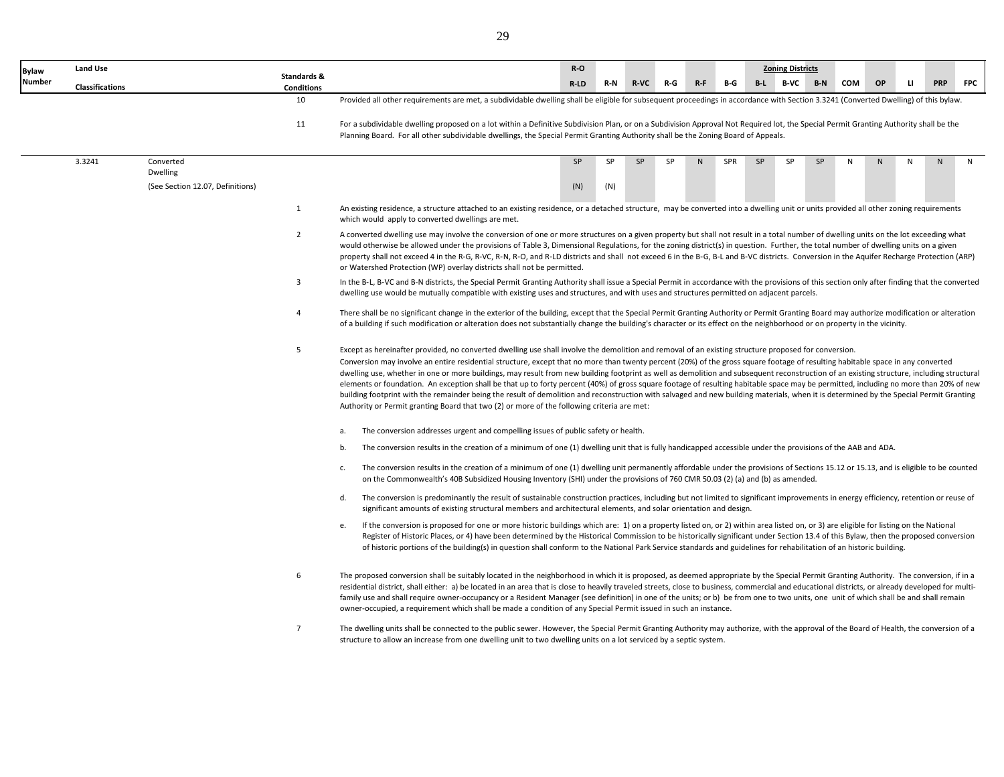| <b>Bylaw</b>  | Land Use        |                                  |                                  |                                                                                                                                                                                                                                                                                                                                                                                                                                                                                                                                                                                                                                                                                                                                                                                                                                                                                                                                                                                                                       | $R-O$   |     |             |           |         |     |    | <b>Zoning Districts</b> |       |     |              |              |            |            |
|---------------|-----------------|----------------------------------|----------------------------------|-----------------------------------------------------------------------------------------------------------------------------------------------------------------------------------------------------------------------------------------------------------------------------------------------------------------------------------------------------------------------------------------------------------------------------------------------------------------------------------------------------------------------------------------------------------------------------------------------------------------------------------------------------------------------------------------------------------------------------------------------------------------------------------------------------------------------------------------------------------------------------------------------------------------------------------------------------------------------------------------------------------------------|---------|-----|-------------|-----------|---------|-----|----|-------------------------|-------|-----|--------------|--------------|------------|------------|
| <b>Number</b> | Classifications |                                  | Standards &<br><b>Conditions</b> |                                                                                                                                                                                                                                                                                                                                                                                                                                                                                                                                                                                                                                                                                                                                                                                                                                                                                                                                                                                                                       | $R$ -LD | R-N | <b>R-VC</b> | $R-G$     | $R - F$ | B-G |    | B-L B-VC                | $B-N$ | COM | OP           | $\mathbf{H}$ | <b>PRP</b> | <b>FPC</b> |
|               |                 |                                  | 10                               | Provided all other requirements are met, a subdividable dwelling shall be eligible for subsequent proceedings in accordance with Section 3.3241 (Converted Dwelling) of this bylaw.                                                                                                                                                                                                                                                                                                                                                                                                                                                                                                                                                                                                                                                                                                                                                                                                                                   |         |     |             |           |         |     |    |                         |       |     |              |              |            |            |
|               |                 |                                  | 11                               | For a subdividable dwelling proposed on a lot within a Definitive Subdivision Plan, or on a Subdivision Approval Not Required lot, the Special Permit Granting Authority shall be the<br>Planning Board. For all other subdividable dwellings, the Special Permit Granting Authority shall be the Zoning Board of Appeals.                                                                                                                                                                                                                                                                                                                                                                                                                                                                                                                                                                                                                                                                                            |         |     |             |           |         |     |    |                         |       |     |              |              |            |            |
|               | 3.3241          | Converted<br>Dwelling            |                                  |                                                                                                                                                                                                                                                                                                                                                                                                                                                                                                                                                                                                                                                                                                                                                                                                                                                                                                                                                                                                                       | SP      | SP  | SP          | <b>SP</b> | N       | SPR | SP | SP                      | SP    | N   | $\mathsf{N}$ | $\mathsf{N}$ | N          | N          |
|               |                 | (See Section 12.07, Definitions) |                                  |                                                                                                                                                                                                                                                                                                                                                                                                                                                                                                                                                                                                                                                                                                                                                                                                                                                                                                                                                                                                                       | (N)     | (N) |             |           |         |     |    |                         |       |     |              |              |            |            |
|               |                 |                                  | 1                                | An existing residence, a structure attached to an existing residence, or a detached structure, may be converted into a dwelling unit or units provided all other zoning requirements<br>which would apply to converted dwellings are met.                                                                                                                                                                                                                                                                                                                                                                                                                                                                                                                                                                                                                                                                                                                                                                             |         |     |             |           |         |     |    |                         |       |     |              |              |            |            |
|               |                 |                                  | $\overline{2}$                   | A converted dwelling use may involve the conversion of one or more structures on a given property but shall not result in a total number of dwelling units on the lot exceeding what<br>would otherwise be allowed under the provisions of Table 3, Dimensional Regulations, for the zoning district(s) in question. Further, the total number of dwelling units on a given<br>property shall not exceed 4 in the R-G, R-VC, R-N, R-O, and R-LD districts and shall not exceed 6 in the B-G, B-L and B-VC districts. Conversion in the Aquifer Recharge Protection (ARP)<br>or Watershed Protection (WP) overlay districts shall not be permitted.                                                                                                                                                                                                                                                                                                                                                                    |         |     |             |           |         |     |    |                         |       |     |              |              |            |            |
|               |                 |                                  | 3                                | In the B-L, B-VC and B-N districts, the Special Permit Granting Authority shall issue a Special Permit in accordance with the provisions of this section only after finding that the converted<br>dwelling use would be mutually compatible with existing uses and structures, and with uses and structures permitted on adjacent parcels.                                                                                                                                                                                                                                                                                                                                                                                                                                                                                                                                                                                                                                                                            |         |     |             |           |         |     |    |                         |       |     |              |              |            |            |
|               |                 |                                  | 4                                | There shall be no significant change in the exterior of the building, except that the Special Permit Granting Authority or Permit Granting Board may authorize modification or alteration<br>of a building if such modification or alteration does not substantially change the building's character or its effect on the neighborhood or on property in the vicinity.                                                                                                                                                                                                                                                                                                                                                                                                                                                                                                                                                                                                                                                |         |     |             |           |         |     |    |                         |       |     |              |              |            |            |
|               |                 |                                  | 5                                | Except as hereinafter provided, no converted dwelling use shall involve the demolition and removal of an existing structure proposed for conversion.<br>Conversion may involve an entire residential structure, except that no more than twenty percent (20%) of the gross square footage of resulting habitable space in any converted<br>dwelling use, whether in one or more buildings, may result from new building footprint as well as demolition and subsequent reconstruction of an existing structure, including structural<br>elements or foundation. An exception shall be that up to forty percent (40%) of gross square footage of resulting habitable space may be permitted, including no more than 20% of new<br>building footprint with the remainder being the result of demolition and reconstruction with salvaged and new building materials, when it is determined by the Special Permit Granting<br>Authority or Permit granting Board that two (2) or more of the following criteria are met: |         |     |             |           |         |     |    |                         |       |     |              |              |            |            |
|               |                 |                                  |                                  | The conversion addresses urgent and compelling issues of public safety or health.<br>а.                                                                                                                                                                                                                                                                                                                                                                                                                                                                                                                                                                                                                                                                                                                                                                                                                                                                                                                               |         |     |             |           |         |     |    |                         |       |     |              |              |            |            |
|               |                 |                                  |                                  | The conversion results in the creation of a minimum of one (1) dwelling unit that is fully handicapped accessible under the provisions of the AAB and ADA.<br>b.                                                                                                                                                                                                                                                                                                                                                                                                                                                                                                                                                                                                                                                                                                                                                                                                                                                      |         |     |             |           |         |     |    |                         |       |     |              |              |            |            |
|               |                 |                                  |                                  | The conversion results in the creation of a minimum of one (1) dwelling unit permanently affordable under the provisions of Sections 15.12 or 15.13, and is eligible to be counted<br>c.<br>on the Commonwealth's 40B Subsidized Housing Inventory (SHI) under the provisions of 760 CMR 50.03 (2) (a) and (b) as amended.                                                                                                                                                                                                                                                                                                                                                                                                                                                                                                                                                                                                                                                                                            |         |     |             |           |         |     |    |                         |       |     |              |              |            |            |
|               |                 |                                  |                                  | The conversion is predominantly the result of sustainable construction practices, including but not limited to significant improvements in energy efficiency, retention or reuse of<br>d.<br>significant amounts of existing structural members and architectural elements, and solar orientation and design.                                                                                                                                                                                                                                                                                                                                                                                                                                                                                                                                                                                                                                                                                                         |         |     |             |           |         |     |    |                         |       |     |              |              |            |            |
|               |                 |                                  |                                  | If the conversion is proposed for one or more historic buildings which are: 1) on a property listed on, or 2) within area listed on, or 3) are eligible for listing on the National<br>е.<br>Register of Historic Places, or 4) have been determined by the Historical Commission to be historically significant under Section 13.4 of this Bylaw, then the proposed conversion<br>of historic portions of the building(s) in question shall conform to the National Park Service standards and guidelines for rehabilitation of an historic building.                                                                                                                                                                                                                                                                                                                                                                                                                                                                |         |     |             |           |         |     |    |                         |       |     |              |              |            |            |
|               |                 |                                  | 6                                | The proposed conversion shall be suitably located in the neighborhood in which it is proposed, as deemed appropriate by the Special Permit Granting Authority. The conversion, if in a<br>residential district, shall either: a) be located in an area that is close to heavily traveled streets, close to business, commercial and educational districts, or already developed for multi-<br>family use and shall require owner-occupancy or a Resident Manager (see definition) in one of the units; or b) be from one to two units, one unit of which shall be and shall remain<br>owner-occupied, a requirement which shall be made a condition of any Special Permit issued in such an instance.                                                                                                                                                                                                                                                                                                                 |         |     |             |           |         |     |    |                         |       |     |              |              |            |            |
|               |                 |                                  | $\overline{7}$                   | The dwelling units shall be connected to the public sewer. However, the Special Permit Granting Authority may authorize, with the approval of the Board of Health, the conversion of a<br>structure to allow an increase from one dwelling unit to two dwelling units on a lot serviced by a septic system.                                                                                                                                                                                                                                                                                                                                                                                                                                                                                                                                                                                                                                                                                                           |         |     |             |           |         |     |    |                         |       |     |              |              |            |            |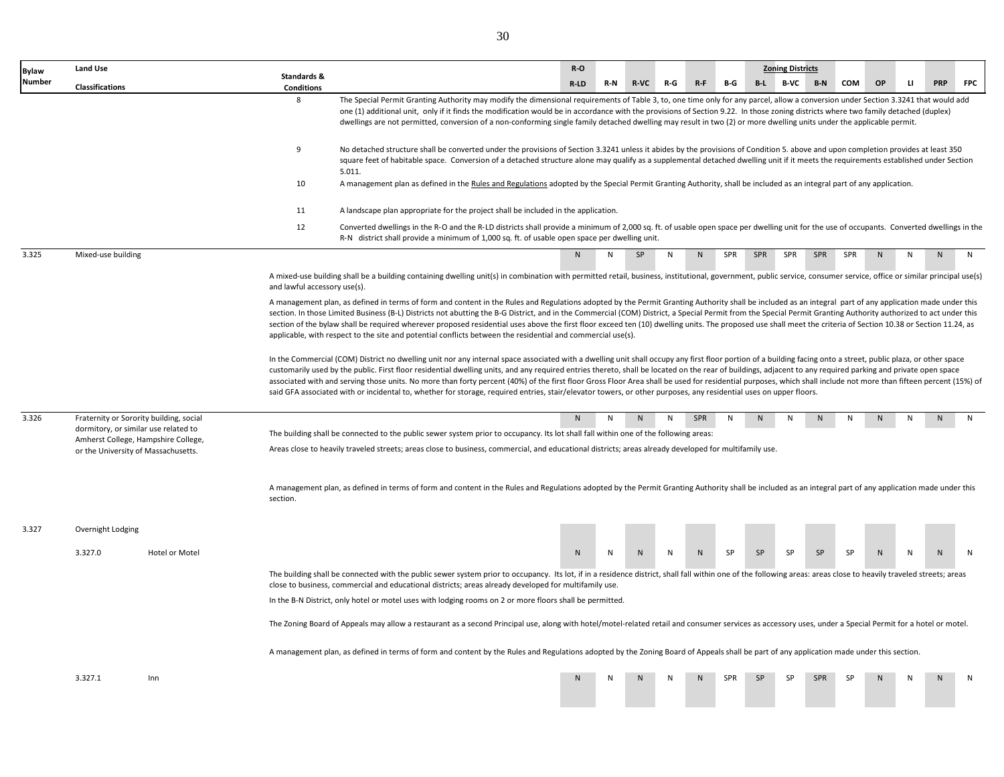| <b>Bylaw</b>  | <b>Land Use</b>                                                                 |                |                                  |                                                                                                                                                                                                                                                                                                                                                                                                                                                                                                                                                                                                                                                                                                                                                                                                                         | $R-O$ |             |     |                |           |            | <b>Zoning Districts</b> |            |           |           |   |            |              |
|---------------|---------------------------------------------------------------------------------|----------------|----------------------------------|-------------------------------------------------------------------------------------------------------------------------------------------------------------------------------------------------------------------------------------------------------------------------------------------------------------------------------------------------------------------------------------------------------------------------------------------------------------------------------------------------------------------------------------------------------------------------------------------------------------------------------------------------------------------------------------------------------------------------------------------------------------------------------------------------------------------------|-------|-------------|-----|----------------|-----------|------------|-------------------------|------------|-----------|-----------|---|------------|--------------|
| <b>Number</b> | Classifications                                                                 |                | Standards &<br><b>Conditions</b> |                                                                                                                                                                                                                                                                                                                                                                                                                                                                                                                                                                                                                                                                                                                                                                                                                         | R-LD  | R-N<br>R-VC | R-G | $R - F$        | B-G       | $B-L$      | B-VC                    | B-N        | COM       | <b>OP</b> | п | <b>PRP</b> | <b>FPC</b>   |
|               |                                                                                 |                | 8                                | The Special Permit Granting Authority may modify the dimensional requirements of Table 3, to, one time only for any parcel, allow a conversion under Section 3.3241 that would add<br>one (1) additional unit, only if it finds the modification would be in accordance with the provisions of Section 9.22. In those zoning districts where two family detached (duplex)<br>dwellings are not permitted, conversion of a non-conforming single family detached dwelling may result in two (2) or more dwelling units under the applicable permit.                                                                                                                                                                                                                                                                      |       |             |     |                |           |            |                         |            |           |           |   |            |              |
|               |                                                                                 |                | 9                                | No detached structure shall be converted under the provisions of Section 3.3241 unless it abides by the provisions of Condition 5. above and upon completion provides at least 350<br>square feet of habitable space. Conversion of a detached structure alone may qualify as a supplemental detached dwelling unit if it meets the requirements established under Section<br>5.011.                                                                                                                                                                                                                                                                                                                                                                                                                                    |       |             |     |                |           |            |                         |            |           |           |   |            |              |
|               |                                                                                 |                | 10                               | A management plan as defined in the Rules and Regulations adopted by the Special Permit Granting Authority, shall be included as an integral part of any application.                                                                                                                                                                                                                                                                                                                                                                                                                                                                                                                                                                                                                                                   |       |             |     |                |           |            |                         |            |           |           |   |            |              |
|               |                                                                                 |                | 11                               | A landscape plan appropriate for the project shall be included in the application.                                                                                                                                                                                                                                                                                                                                                                                                                                                                                                                                                                                                                                                                                                                                      |       |             |     |                |           |            |                         |            |           |           |   |            |              |
|               |                                                                                 |                | 12                               | Converted dwellings in the R-O and the R-LD districts shall provide a minimum of 2,000 sq. ft. of usable open space per dwelling unit for the use of occupants. Converted dwellings in the<br>R-N district shall provide a minimum of 1,000 sq. ft. of usable open space per dwelling unit.                                                                                                                                                                                                                                                                                                                                                                                                                                                                                                                             |       |             |     |                |           |            |                         |            |           |           |   |            |              |
| 3.325         | Mixed-use building                                                              |                |                                  |                                                                                                                                                                                                                                                                                                                                                                                                                                                                                                                                                                                                                                                                                                                                                                                                                         | N     | SP<br>N     | N   | N              | SPR       | <b>SPR</b> | SPR                     | SPR        | SPR       | N         | N | N          | N            |
|               |                                                                                 |                | and lawful accessory use(s).     | A mixed-use building shall be a building containing dwelling unit(s) in combination with permitted retail, business, institutional, government, public service, consumer service, office or similar principal use(s)                                                                                                                                                                                                                                                                                                                                                                                                                                                                                                                                                                                                    |       |             |     |                |           |            |                         |            |           |           |   |            |              |
|               |                                                                                 |                |                                  | A management plan, as defined in terms of form and content in the Rules and Regulations adopted by the Permit Granting Authority shall be included as an integral part of any application made under this<br>section. In those Limited Business (B-L) Districts not abutting the B-G District, and in the Commercial (COM) District, a Special Permit from the Special Permit Granting Authority authorized to act under this<br>section of the bylaw shall be required wherever proposed residential uses above the first floor exceed ten (10) dwelling units. The proposed use shall meet the criteria of Section 10.38 or Section 11.24, as<br>applicable, with respect to the site and potential conflicts between the residential and commercial use(s).                                                          |       |             |     |                |           |            |                         |            |           |           |   |            |              |
|               |                                                                                 |                |                                  | In the Commercial (COM) District no dwelling unit nor any internal space associated with a dwelling unit shall occupy any first floor portion of a building facing onto a street, public plaza, or other space<br>customarily used by the public. First floor residential dwelling units, and any required entries thereto, shall be located on the rear of buildings, adjacent to any required parking and private open space<br>associated with and serving those units. No more than forty percent (40%) of the first floor Gross Floor Area shall be used for residential purposes, which shall include not more than fifteen percent (15%) of<br>said GFA associated with or incidental to, whether for storage, required entries, stair/elevator towers, or other purposes, any residential uses on upper floors. |       |             |     |                |           |            |                         |            |           |           |   |            |              |
| 3.326         | Fraternity or Sorority building, social<br>dormitory, or similar use related to |                |                                  | The building shall be connected to the public sewer system prior to occupancy. Its lot shall fall within one of the following areas:                                                                                                                                                                                                                                                                                                                                                                                                                                                                                                                                                                                                                                                                                    | N     | N<br>N.     | N   | SPR            | N         | N          |                         |            |           |           |   |            | N            |
|               | Amherst College, Hampshire College,<br>or the University of Massachusetts.      |                |                                  | Areas close to heavily traveled streets; areas close to business, commercial, and educational districts; areas already developed for multifamily use.                                                                                                                                                                                                                                                                                                                                                                                                                                                                                                                                                                                                                                                                   |       |             |     |                |           |            |                         |            |           |           |   |            |              |
|               |                                                                                 |                | section.                         | A management plan, as defined in terms of form and content in the Rules and Regulations adopted by the Permit Granting Authority shall be included as an integral part of any application made under this                                                                                                                                                                                                                                                                                                                                                                                                                                                                                                                                                                                                               |       |             |     |                |           |            |                         |            |           |           |   |            |              |
| 3.327         | Overnight Lodging                                                               |                |                                  |                                                                                                                                                                                                                                                                                                                                                                                                                                                                                                                                                                                                                                                                                                                                                                                                                         |       |             |     |                |           |            |                         |            |           |           |   |            |              |
|               | 3.327.0                                                                         | Hotel or Motel |                                  |                                                                                                                                                                                                                                                                                                                                                                                                                                                                                                                                                                                                                                                                                                                                                                                                                         | N     | N<br>N      | N   | N              | <b>SP</b> | <b>SP</b>  | <b>SP</b>               | <b>SP</b>  | <b>SP</b> | N         |   |            | $\mathsf{N}$ |
|               |                                                                                 |                |                                  | The building shall be connected with the public sewer system prior to occupancy. Its lot, if in a residence district, shall fall within one of the following areas: areas close to heavily traveled streets; areas<br>close to business, commercial and educational districts; areas already developed for multifamily use.                                                                                                                                                                                                                                                                                                                                                                                                                                                                                             |       |             |     |                |           |            |                         |            |           |           |   |            |              |
|               |                                                                                 |                |                                  | In the B-N District, only hotel or motel uses with lodging rooms on 2 or more floors shall be permitted.                                                                                                                                                                                                                                                                                                                                                                                                                                                                                                                                                                                                                                                                                                                |       |             |     |                |           |            |                         |            |           |           |   |            |              |
|               |                                                                                 |                |                                  | The Zoning Board of Appeals may allow a restaurant as a second Principal use, along with hotel/motel-related retail and consumer services as accessory uses, under a Special Permit for a hotel or motel.                                                                                                                                                                                                                                                                                                                                                                                                                                                                                                                                                                                                               |       |             |     |                |           |            |                         |            |           |           |   |            |              |
|               |                                                                                 |                |                                  | A management plan, as defined in terms of form and content by the Rules and Regulations adopted by the Zoning Board of Appeals shall be part of any application made under this section.                                                                                                                                                                                                                                                                                                                                                                                                                                                                                                                                                                                                                                |       |             |     |                |           |            |                         |            |           |           |   |            |              |
|               | 3.327.1                                                                         | Inn            |                                  |                                                                                                                                                                                                                                                                                                                                                                                                                                                                                                                                                                                                                                                                                                                                                                                                                         | N     | N           | N   | N <sub>1</sub> | SPR       | <b>SP</b>  | <b>SP</b>               | <b>SPR</b> | <b>SP</b> | N         |   |            | N            |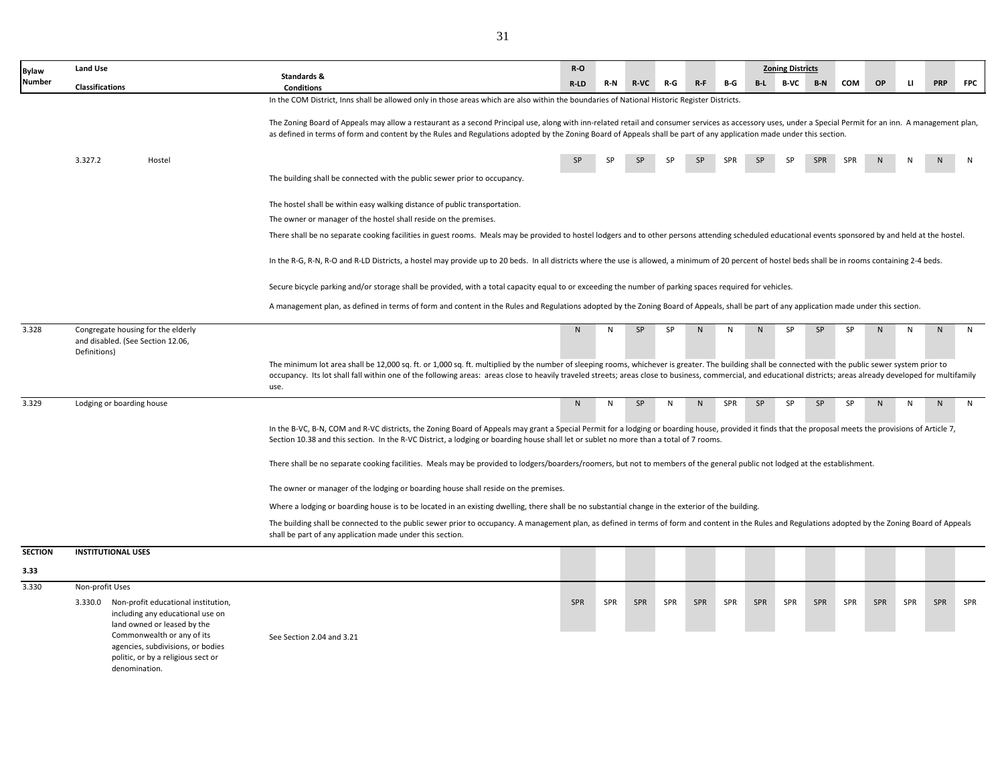| Bylaw          | <b>Land Use</b>                                                                                                        | Standards &                                                                                                                                                                                                                                                                                                                                                                                                                        | $R-O$ |     |             |     |       |            |           | <b>Zoning Districts</b> |            |           |              |              |            |            |
|----------------|------------------------------------------------------------------------------------------------------------------------|------------------------------------------------------------------------------------------------------------------------------------------------------------------------------------------------------------------------------------------------------------------------------------------------------------------------------------------------------------------------------------------------------------------------------------|-------|-----|-------------|-----|-------|------------|-----------|-------------------------|------------|-----------|--------------|--------------|------------|------------|
| Number         | Classifications                                                                                                        | <b>Conditions</b>                                                                                                                                                                                                                                                                                                                                                                                                                  | R-LD  | R-N | <b>R-VC</b> | R-G | $R-F$ | B-G        | $B-L$     | B-VC                    | $B-N$      | COM       | OP           | $\mathbf{H}$ | <b>PRP</b> | <b>FPC</b> |
|                |                                                                                                                        | In the COM District, Inns shall be allowed only in those areas which are also within the boundaries of National Historic Register Districts.                                                                                                                                                                                                                                                                                       |       |     |             |     |       |            |           |                         |            |           |              |              |            |            |
|                |                                                                                                                        | The Zoning Board of Appeals may allow a restaurant as a second Principal use, along with inn-related retail and consumer services as accessory uses, under a Special Permit for an inn. A management plan,<br>as defined in terms of form and content by the Rules and Regulations adopted by the Zoning Board of Appeals shall be part of any application made under this section.                                                |       |     |             |     |       |            |           |                         |            |           |              |              |            |            |
|                |                                                                                                                        |                                                                                                                                                                                                                                                                                                                                                                                                                                    |       |     |             |     |       |            |           |                         |            |           |              |              |            |            |
|                | 3.327.2<br>Hostel                                                                                                      |                                                                                                                                                                                                                                                                                                                                                                                                                                    |       |     |             |     |       | <b>SPR</b> | <b>SP</b> | <b>SP</b>               | <b>SPR</b> | SPR       |              |              |            |            |
|                |                                                                                                                        | The building shall be connected with the public sewer prior to occupancy.                                                                                                                                                                                                                                                                                                                                                          |       |     |             |     |       |            |           |                         |            |           |              |              |            |            |
|                |                                                                                                                        | The hostel shall be within easy walking distance of public transportation.                                                                                                                                                                                                                                                                                                                                                         |       |     |             |     |       |            |           |                         |            |           |              |              |            |            |
|                |                                                                                                                        | The owner or manager of the hostel shall reside on the premises.                                                                                                                                                                                                                                                                                                                                                                   |       |     |             |     |       |            |           |                         |            |           |              |              |            |            |
|                |                                                                                                                        | There shall be no separate cooking facilities in guest rooms. Meals may be provided to hostel lodgers and to other persons attending scheduled educational events sponsored by and held at the hostel.                                                                                                                                                                                                                             |       |     |             |     |       |            |           |                         |            |           |              |              |            |            |
|                |                                                                                                                        | In the R-G, R-N, R-O and R-LD Districts, a hostel may provide up to 20 beds. In all districts where the use is allowed, a minimum of 20 percent of hostel beds shall be in rooms containing 2-4 beds.                                                                                                                                                                                                                              |       |     |             |     |       |            |           |                         |            |           |              |              |            |            |
|                |                                                                                                                        | Secure bicycle parking and/or storage shall be provided, with a total capacity equal to or exceeding the number of parking spaces required for vehicles.                                                                                                                                                                                                                                                                           |       |     |             |     |       |            |           |                         |            |           |              |              |            |            |
|                |                                                                                                                        | A management plan, as defined in terms of form and content in the Rules and Regulations adopted by the Zoning Board of Appeals, shall be part of any application made under this section.                                                                                                                                                                                                                                          |       |     |             |     |       |            |           |                         |            |           |              |              |            |            |
| 3.328          | Congregate housing for the elderly<br>and disabled. (See Section 12.06,<br>Definitions)                                |                                                                                                                                                                                                                                                                                                                                                                                                                                    | N     | N   | SP          | SP  | N     | N          | N         | SP                      | SP         | <b>SP</b> | $\mathsf{N}$ | N            | ${\sf N}$  | ${\sf N}$  |
|                |                                                                                                                        | The minimum lot area shall be 12,000 sq. ft. or 1,000 sq. ft. multiplied by the number of sleeping rooms, whichever is greater. The building shall be connected with the public sewer system prior to<br>occupancy. Its lot shall fall within one of the following areas: areas close to heavily traveled streets; areas close to business, commercial, and educational districts; areas already developed for multifamily<br>use. |       |     |             |     |       |            |           |                         |            |           |              |              |            |            |
| 3.329          | Lodging or boarding house                                                                                              |                                                                                                                                                                                                                                                                                                                                                                                                                                    | N     | N   | SP          | N   | N     | SPR        | SP        | <b>SP</b>               | SP         | SP        | $\mathsf{N}$ | N            | ${\sf N}$  | ${\sf N}$  |
|                |                                                                                                                        | In the B-VC, B-N, COM and R-VC districts, the Zoning Board of Appeals may grant a Special Permit for a lodging or boarding house, provided it finds that the proposal meets the provisions of Article 7,<br>Section 10.38 and this section. In the R-VC District, a lodging or boarding house shall let or sublet no more than a total of 7 rooms.                                                                                 |       |     |             |     |       |            |           |                         |            |           |              |              |            |            |
|                |                                                                                                                        | There shall be no separate cooking facilities. Meals may be provided to lodgers/boarders/roomers, but not to members of the general public not lodged at the establishment.                                                                                                                                                                                                                                                        |       |     |             |     |       |            |           |                         |            |           |              |              |            |            |
|                |                                                                                                                        | The owner or manager of the lodging or boarding house shall reside on the premises.                                                                                                                                                                                                                                                                                                                                                |       |     |             |     |       |            |           |                         |            |           |              |              |            |            |
|                |                                                                                                                        | Where a lodging or boarding house is to be located in an existing dwelling, there shall be no substantial change in the exterior of the building.                                                                                                                                                                                                                                                                                  |       |     |             |     |       |            |           |                         |            |           |              |              |            |            |
|                |                                                                                                                        | The building shall be connected to the public sewer prior to occupancy. A management plan, as defined in terms of form and content in the Rules and Regulations adopted by the Zoning Board of Appeals<br>shall be part of any application made under this section.                                                                                                                                                                |       |     |             |     |       |            |           |                         |            |           |              |              |            |            |
| <b>SECTION</b> | <b>INSTITUTIONAL USES</b>                                                                                              |                                                                                                                                                                                                                                                                                                                                                                                                                                    |       |     |             |     |       |            |           |                         |            |           |              |              |            |            |
| 3.33           |                                                                                                                        |                                                                                                                                                                                                                                                                                                                                                                                                                                    |       |     |             |     |       |            |           |                         |            |           |              |              |            |            |
| 3.330          | Non-profit Uses                                                                                                        |                                                                                                                                                                                                                                                                                                                                                                                                                                    |       |     |             |     |       |            |           |                         |            |           |              |              |            |            |
|                | 3.330.0 Non-profit educational institution,<br>including any educational use on<br>land owned or leased by the         |                                                                                                                                                                                                                                                                                                                                                                                                                                    | SPR   | SPR | SPR         | SPR | SPR   | SPR        | SPR       | SPR                     | SPR        | SPR       | SPR          | SPR          | SPR        | SPR        |
|                | Commonwealth or any of its<br>agencies, subdivisions, or bodies<br>politic, or by a religious sect or<br>denomination. | See Section 2.04 and 3.21                                                                                                                                                                                                                                                                                                                                                                                                          |       |     |             |     |       |            |           |                         |            |           |              |              |            |            |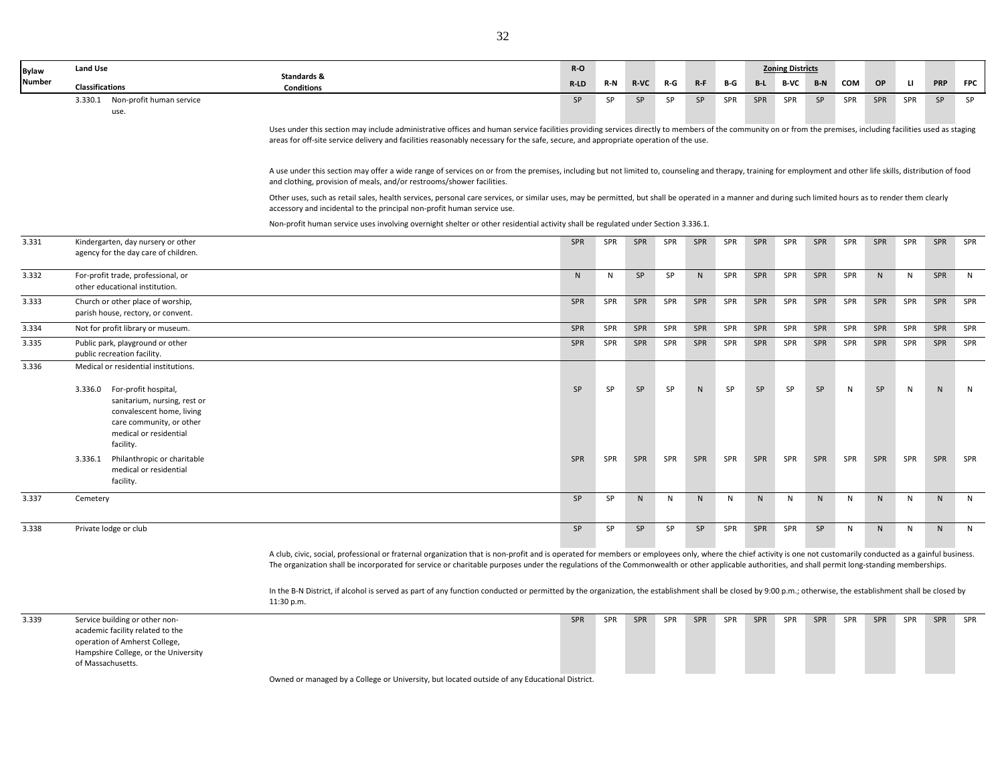| <b>Bylaw</b>  | Land Use                                                                                                                                                         |                                                                                                                                                                                                                                                                                                                                                                                                                      | $R-O$     |           |            |       |              |     |              | <b>Zoning Districts</b> |              |              |              |              |              |              |
|---------------|------------------------------------------------------------------------------------------------------------------------------------------------------------------|----------------------------------------------------------------------------------------------------------------------------------------------------------------------------------------------------------------------------------------------------------------------------------------------------------------------------------------------------------------------------------------------------------------------|-----------|-----------|------------|-------|--------------|-----|--------------|-------------------------|--------------|--------------|--------------|--------------|--------------|--------------|
| <b>Number</b> | <b>Classifications</b>                                                                                                                                           | Standards &<br><b>Conditions</b>                                                                                                                                                                                                                                                                                                                                                                                     | R-LD      | $R-N$     | R-VC       | $R-G$ | $R-F$        | B-G | $B-L$        | B-VC                    | $B-N$        | COM          | OP           | $\mathbf{U}$ | <b>PRP</b>   | <b>FPC</b>   |
|               | 3.330.1 Non-profit human service<br>use.                                                                                                                         |                                                                                                                                                                                                                                                                                                                                                                                                                      | SP        | SP        | SP         | SP    | SP           | SPR | SPR          | SPR                     | SP           | SPR          | SPR          | SPR          | SP           | SP           |
|               |                                                                                                                                                                  | Uses under this section may include administrative offices and human service facilities providing services directly to members of the community on or from the premises, including facilities used as staging<br>areas for off-site service delivery and facilities reasonably necessary for the safe, secure, and appropriate operation of the use.                                                                 |           |           |            |       |              |     |              |                         |              |              |              |              |              |              |
|               |                                                                                                                                                                  | A use under this section may offer a wide range of services on or from the premises, including but not limited to, counseling and therapy, training for employment and other life skills, distribution of food<br>and clothing, provision of meals, and/or restrooms/shower facilities.                                                                                                                              |           |           |            |       |              |     |              |                         |              |              |              |              |              |              |
|               |                                                                                                                                                                  | Other uses, such as retail sales, health services, personal care services, or similar uses, may be permitted, but shall be operated in a manner and during such limited hours as to render them clearly<br>accessory and incidental to the principal non-profit human service use.                                                                                                                                   |           |           |            |       |              |     |              |                         |              |              |              |              |              |              |
|               |                                                                                                                                                                  | Non-profit human service uses involving overnight shelter or other residential activity shall be regulated under Section 3.336.1.                                                                                                                                                                                                                                                                                    |           |           |            |       |              |     |              |                         |              |              |              |              |              |              |
| 3.331         | Kindergarten, day nursery or other<br>agency for the day care of children.                                                                                       |                                                                                                                                                                                                                                                                                                                                                                                                                      | SPR       | SPR       | SPR        | SPR   | SPR          | SPR | SPR          | SPR                     | SPR          | SPR          | SPR          | SPR          | SPR          | SPR          |
| 3.332         | For-profit trade, professional, or<br>other educational institution.                                                                                             |                                                                                                                                                                                                                                                                                                                                                                                                                      | ${\sf N}$ | ${\sf N}$ | ${\sf SP}$ | SP    | ${\sf N}$    | SPR | SPR          | SPR                     | SPR          | SPR          | ${\sf N}$    | ${\sf N}$    | SPR          | N            |
| 3.333         | Church or other place of worship,<br>parish house, rectory, or convent.                                                                                          |                                                                                                                                                                                                                                                                                                                                                                                                                      | SPR       | SPR       | SPR        | SPR   | SPR          | SPR | SPR          | SPR                     | SPR          | SPR          | SPR          | SPR          | SPR          | SPR          |
| 3.334         | Not for profit library or museum.                                                                                                                                |                                                                                                                                                                                                                                                                                                                                                                                                                      | SPR       | SPR       | SPR        | SPR   | SPR          | SPR | SPR          | SPR                     | SPR          | SPR          | SPR          | SPR          | SPR          | SPR          |
| 3.335         | Public park, playground or other<br>public recreation facility.                                                                                                  |                                                                                                                                                                                                                                                                                                                                                                                                                      | SPR       | SPR       | SPR        | SPR   | SPR          | SPR | SPR          | SPR                     | SPR          | SPR          | SPR          | SPR          | SPR          | SPR          |
| 3.336         | Medical or residential institutions.                                                                                                                             |                                                                                                                                                                                                                                                                                                                                                                                                                      |           |           |            |       |              |     |              |                         |              |              |              |              |              |              |
|               | 3.336.0 For-profit hospital,<br>sanitarium, nursing, rest or<br>convalescent home, living<br>care community, or other<br>medical or residential<br>facility.     |                                                                                                                                                                                                                                                                                                                                                                                                                      | SP        | SP        | SP         | SP    | $\mathsf{N}$ | SP  | SP           | SP                      | SP           | N            | SP           | N            | N            | N            |
|               | 3.336.1 Philanthropic or charitable<br>medical or residential<br>facility.                                                                                       |                                                                                                                                                                                                                                                                                                                                                                                                                      | SPR       | SPR       | SPR        | SPR   | SPR          | SPR | SPR          | SPR                     | SPR          | SPR          | SPR          | SPR          | SPR          | SPR          |
| 3.337         | Cemetery                                                                                                                                                         |                                                                                                                                                                                                                                                                                                                                                                                                                      | SP        | SP        | ${\sf N}$  | N     | ${\sf N}$    | N   | $\mathsf{N}$ | N                       | $\mathsf{N}$ | N            | ${\sf N}$    | $\mathsf{N}$ | ${\sf N}$    | N            |
| 3.338         | Private lodge or club                                                                                                                                            |                                                                                                                                                                                                                                                                                                                                                                                                                      | SP        | SP        | SP         | SP    | SP           | SPR | SPR          | SPR                     | SP           | $\mathsf{N}$ | $\mathsf{N}$ | N            | $\mathsf{N}$ | $\mathsf{N}$ |
|               |                                                                                                                                                                  | A club, civic, social, professional or fraternal organization that is non-profit and is operated for members or employees only, where the chief activity is one not customarily conducted as a gainful business.<br>The organization shall be incorporated for service or charitable purposes under the regulations of the Commonwealth or other applicable authorities, and shall permit long-standing memberships. |           |           |            |       |              |     |              |                         |              |              |              |              |              |              |
|               |                                                                                                                                                                  | In the B-N District, if alcohol is served as part of any function conducted or permitted by the organization, the establishment shall be closed by 9:00 p.m.; otherwise, the establishment shall be closed by<br>11:30 p.m.                                                                                                                                                                                          |           |           |            |       |              |     |              |                         |              |              |              |              |              |              |
| 3.339         | Service building or other non-<br>academic facility related to the<br>operation of Amherst College,<br>Hampshire College, or the University<br>of Massachusetts. |                                                                                                                                                                                                                                                                                                                                                                                                                      | SPR       | SPR       | SPR        | SPR   | <b>SPR</b>   | SPR | SPR          | SPR                     | SPR          | SPR          | SPR          | SPR          | <b>SPR</b>   | SPR          |

Owned or managed by a College or University, but located outside of any Educational District.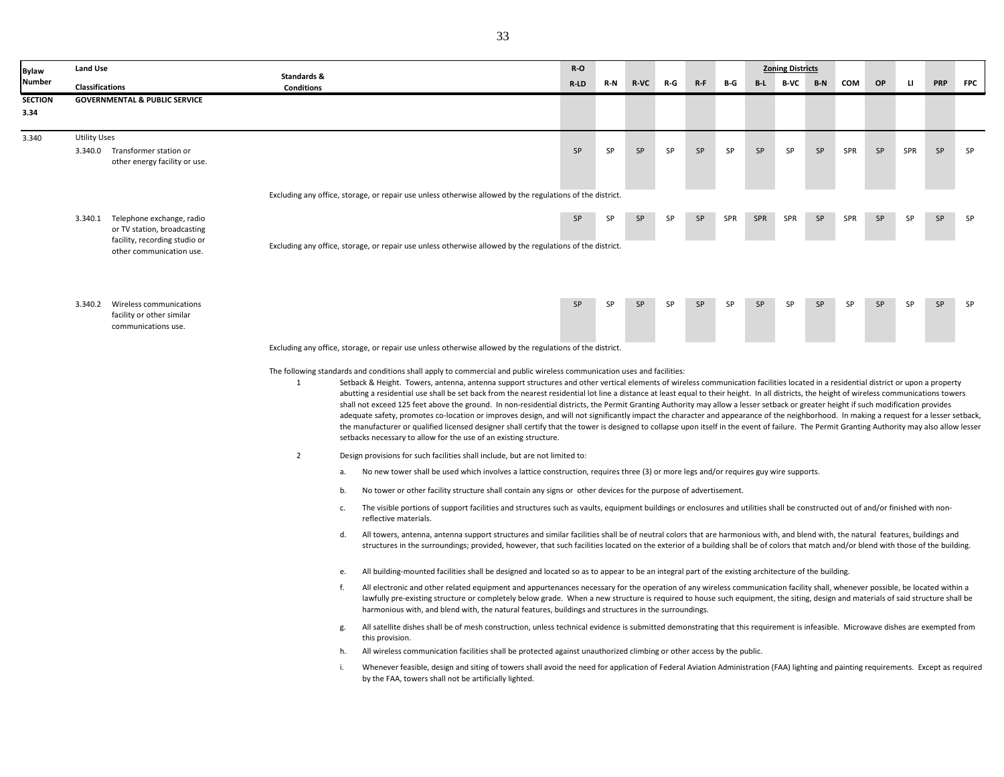| Bylaw          | <b>Land Use</b>                                                                                                               |                                                                                                                                                                                                                                                                                                                                                                                                                                                                                                                                                                                                                                                                                                                                                                                                                                                                                                                                                                                                                                                                                                                                                                            |                                                                                                                                                                                                                                                                                                                                                                                                                                                                                 | $R-O$     |           |             |           |           |            |            | <b>Zoning Districts</b> |           |            |           |              |            |            |
|----------------|-------------------------------------------------------------------------------------------------------------------------------|----------------------------------------------------------------------------------------------------------------------------------------------------------------------------------------------------------------------------------------------------------------------------------------------------------------------------------------------------------------------------------------------------------------------------------------------------------------------------------------------------------------------------------------------------------------------------------------------------------------------------------------------------------------------------------------------------------------------------------------------------------------------------------------------------------------------------------------------------------------------------------------------------------------------------------------------------------------------------------------------------------------------------------------------------------------------------------------------------------------------------------------------------------------------------|---------------------------------------------------------------------------------------------------------------------------------------------------------------------------------------------------------------------------------------------------------------------------------------------------------------------------------------------------------------------------------------------------------------------------------------------------------------------------------|-----------|-----------|-------------|-----------|-----------|------------|------------|-------------------------|-----------|------------|-----------|--------------|------------|------------|
| Number         | Classifications                                                                                                               | Standards &<br><b>Conditions</b>                                                                                                                                                                                                                                                                                                                                                                                                                                                                                                                                                                                                                                                                                                                                                                                                                                                                                                                                                                                                                                                                                                                                           |                                                                                                                                                                                                                                                                                                                                                                                                                                                                                 | R-LD      | R-N       | <b>R-VC</b> | R-G       | $R-F$     | B-G        | B-L        | <b>B-VC</b>             | $B-N$     | COM        | OP        | $\mathbf{U}$ | <b>PRP</b> | <b>FPC</b> |
| <b>SECTION</b> | <b>GOVERNMENTAL &amp; PUBLIC SERVICE</b>                                                                                      |                                                                                                                                                                                                                                                                                                                                                                                                                                                                                                                                                                                                                                                                                                                                                                                                                                                                                                                                                                                                                                                                                                                                                                            |                                                                                                                                                                                                                                                                                                                                                                                                                                                                                 |           |           |             |           |           |            |            |                         |           |            |           |              |            |            |
| 3.34           |                                                                                                                               |                                                                                                                                                                                                                                                                                                                                                                                                                                                                                                                                                                                                                                                                                                                                                                                                                                                                                                                                                                                                                                                                                                                                                                            |                                                                                                                                                                                                                                                                                                                                                                                                                                                                                 |           |           |             |           |           |            |            |                         |           |            |           |              |            |            |
| 3.340          | <b>Utility Uses</b><br>3.340.0 Transformer station or<br>other energy facility or use.                                        |                                                                                                                                                                                                                                                                                                                                                                                                                                                                                                                                                                                                                                                                                                                                                                                                                                                                                                                                                                                                                                                                                                                                                                            |                                                                                                                                                                                                                                                                                                                                                                                                                                                                                 | <b>SP</b> | SP        | <b>SP</b>   | <b>SP</b> | SP        | <b>SP</b>  | <b>SP</b>  | <b>SP</b>               | <b>SP</b> | <b>SPR</b> | SP        | SPR          | <b>SP</b>  | SP         |
|                |                                                                                                                               |                                                                                                                                                                                                                                                                                                                                                                                                                                                                                                                                                                                                                                                                                                                                                                                                                                                                                                                                                                                                                                                                                                                                                                            | Excluding any office, storage, or repair use unless otherwise allowed by the regulations of the district.                                                                                                                                                                                                                                                                                                                                                                       |           |           |             |           |           |            |            |                         |           |            |           |              |            |            |
|                | 3.340.1 Telephone exchange, radio<br>or TV station, broadcasting<br>facility, recording studio or<br>other communication use. |                                                                                                                                                                                                                                                                                                                                                                                                                                                                                                                                                                                                                                                                                                                                                                                                                                                                                                                                                                                                                                                                                                                                                                            | Excluding any office, storage, or repair use unless otherwise allowed by the regulations of the district.                                                                                                                                                                                                                                                                                                                                                                       | SP        | <b>SP</b> | SP          | <b>SP</b> | SP        | <b>SPR</b> | <b>SPR</b> | SPR                     | SP        | SPR        | <b>SP</b> | SP           | <b>SP</b>  | SP         |
|                | 3.340.2<br>Wireless communications<br>facility or other similar<br>communications use.                                        |                                                                                                                                                                                                                                                                                                                                                                                                                                                                                                                                                                                                                                                                                                                                                                                                                                                                                                                                                                                                                                                                                                                                                                            |                                                                                                                                                                                                                                                                                                                                                                                                                                                                                 | SP        | SP        | <b>SP</b>   | <b>SP</b> | <b>SP</b> | SP         | <b>SP</b>  | SP                      | <b>SP</b> | SΡ         | <b>SP</b> | SP           | <b>SP</b>  | <b>SP</b>  |
|                |                                                                                                                               | The following standards and conditions shall apply to commercial and public wireless communication uses and facilities:<br>1<br>Setback & Height. Towers, antenna, antenna support structures and other vertical elements of wireless communication facilities located in a residential district or upon a property<br>abutting a residential use shall be set back from the nearest residential lot line a distance at least equal to their height. In all districts, the height of wireless communications towers<br>shall not exceed 125 feet above the ground. In non-residential districts, the Permit Granting Authority may allow a lesser setback or greater height if such modification provides<br>adequate safety, promotes co-location or improves design, and will not significantly impact the character and appearance of the neighborhood. In making a request for a lesser setback,<br>the manufacturer or qualified licensed designer shall certify that the tower is designed to collapse upon itself in the event of failure. The Permit Granting Authority may also allow lesser<br>setbacks necessary to allow for the use of an existing structure. |                                                                                                                                                                                                                                                                                                                                                                                                                                                                                 |           |           |             |           |           |            |            |                         |           |            |           |              |            |            |
|                |                                                                                                                               | $\overline{2}$                                                                                                                                                                                                                                                                                                                                                                                                                                                                                                                                                                                                                                                                                                                                                                                                                                                                                                                                                                                                                                                                                                                                                             | Design provisions for such facilities shall include, but are not limited to:                                                                                                                                                                                                                                                                                                                                                                                                    |           |           |             |           |           |            |            |                         |           |            |           |              |            |            |
|                |                                                                                                                               |                                                                                                                                                                                                                                                                                                                                                                                                                                                                                                                                                                                                                                                                                                                                                                                                                                                                                                                                                                                                                                                                                                                                                                            | No new tower shall be used which involves a lattice construction, requires three (3) or more legs and/or requires guy wire supports.<br>а.                                                                                                                                                                                                                                                                                                                                      |           |           |             |           |           |            |            |                         |           |            |           |              |            |            |
|                |                                                                                                                               |                                                                                                                                                                                                                                                                                                                                                                                                                                                                                                                                                                                                                                                                                                                                                                                                                                                                                                                                                                                                                                                                                                                                                                            | No tower or other facility structure shall contain any signs or other devices for the purpose of advertisement.<br>b.                                                                                                                                                                                                                                                                                                                                                           |           |           |             |           |           |            |            |                         |           |            |           |              |            |            |
|                |                                                                                                                               |                                                                                                                                                                                                                                                                                                                                                                                                                                                                                                                                                                                                                                                                                                                                                                                                                                                                                                                                                                                                                                                                                                                                                                            | The visible portions of support facilities and structures such as vaults, equipment buildings or enclosures and utilities shall be constructed out of and/or finished with non-<br>c.<br>reflective materials.                                                                                                                                                                                                                                                                  |           |           |             |           |           |            |            |                         |           |            |           |              |            |            |
|                |                                                                                                                               |                                                                                                                                                                                                                                                                                                                                                                                                                                                                                                                                                                                                                                                                                                                                                                                                                                                                                                                                                                                                                                                                                                                                                                            | d.<br>All towers, antenna, antenna support structures and similar facilities shall be of neutral colors that are harmonious with, and blend with, the natural features, buildings and<br>structures in the surroundings; provided, however, that such facilities located on the exterior of a building shall be of colors that match and/or blend with those of the building.                                                                                                   |           |           |             |           |           |            |            |                         |           |            |           |              |            |            |
|                |                                                                                                                               |                                                                                                                                                                                                                                                                                                                                                                                                                                                                                                                                                                                                                                                                                                                                                                                                                                                                                                                                                                                                                                                                                                                                                                            | All building-mounted facilities shall be designed and located so as to appear to be an integral part of the existing architecture of the building.<br>e.                                                                                                                                                                                                                                                                                                                        |           |           |             |           |           |            |            |                         |           |            |           |              |            |            |
|                |                                                                                                                               |                                                                                                                                                                                                                                                                                                                                                                                                                                                                                                                                                                                                                                                                                                                                                                                                                                                                                                                                                                                                                                                                                                                                                                            | f.<br>All electronic and other related equipment and appurtenances necessary for the operation of any wireless communication facility shall, whenever possible, be located within a<br>lawfully pre-existing structure or completely below grade. When a new structure is required to house such equipment, the siting, design and materials of said structure shall be<br>harmonious with, and blend with, the natural features, buildings and structures in the surroundings. |           |           |             |           |           |            |            |                         |           |            |           |              |            |            |
|                |                                                                                                                               |                                                                                                                                                                                                                                                                                                                                                                                                                                                                                                                                                                                                                                                                                                                                                                                                                                                                                                                                                                                                                                                                                                                                                                            | All satellite dishes shall be of mesh construction, unless technical evidence is submitted demonstrating that this requirement is infeasible. Microwave dishes are exempted from<br>g.<br>this provision.                                                                                                                                                                                                                                                                       |           |           |             |           |           |            |            |                         |           |            |           |              |            |            |
|                |                                                                                                                               | All wireless communication facilities shall be protected against unauthorized climbing or other access by the public.<br>h.                                                                                                                                                                                                                                                                                                                                                                                                                                                                                                                                                                                                                                                                                                                                                                                                                                                                                                                                                                                                                                                |                                                                                                                                                                                                                                                                                                                                                                                                                                                                                 |           |           |             |           |           |            |            |                         |           |            |           |              |            |            |
|                |                                                                                                                               |                                                                                                                                                                                                                                                                                                                                                                                                                                                                                                                                                                                                                                                                                                                                                                                                                                                                                                                                                                                                                                                                                                                                                                            | Whenever feasible, design and siting of towers shall avoid the need for application of Federal Aviation Administration (FAA) lighting and painting requirements. Except as required<br>i.                                                                                                                                                                                                                                                                                       |           |           |             |           |           |            |            |                         |           |            |           |              |            |            |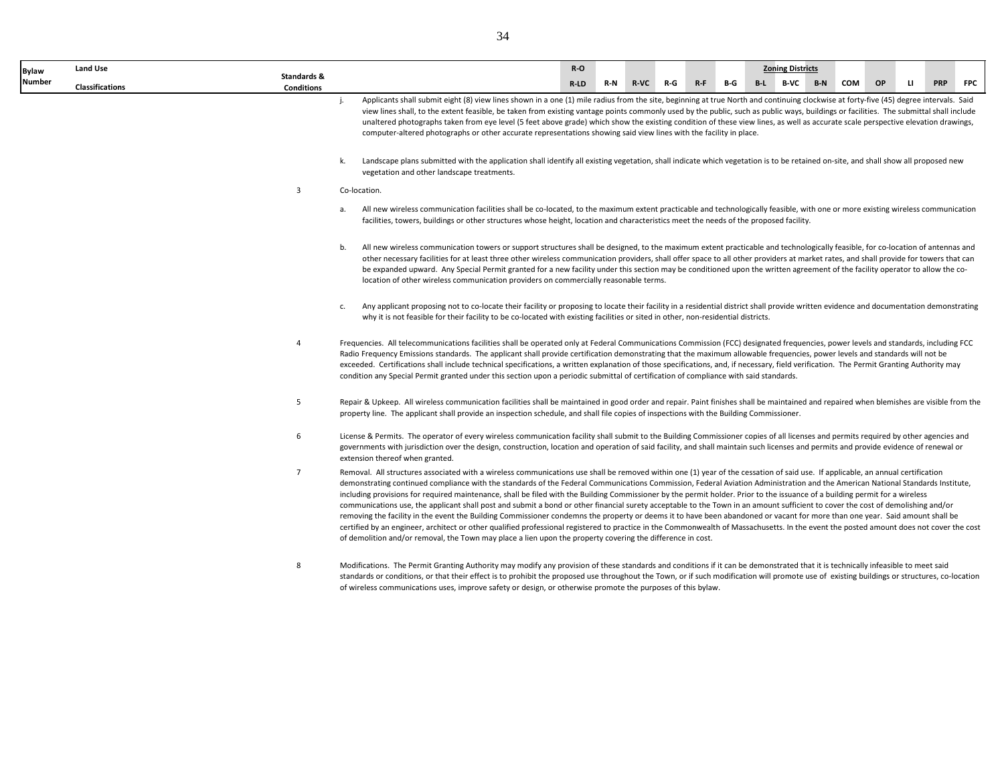| <b>Bylaw</b> | Land Use               |                   |    |                                                                                                                                                                                                                                                                                                                                                                                                                                                                                                                                                                                                                                                                                                                                                                                                                                                                                                                                                                                                                                                                                                                                                                                                                               | R-O     |     |        |     |       |     | <b>Zoning Districts</b> |       |     |    |   |            |            |
|--------------|------------------------|-------------------|----|-------------------------------------------------------------------------------------------------------------------------------------------------------------------------------------------------------------------------------------------------------------------------------------------------------------------------------------------------------------------------------------------------------------------------------------------------------------------------------------------------------------------------------------------------------------------------------------------------------------------------------------------------------------------------------------------------------------------------------------------------------------------------------------------------------------------------------------------------------------------------------------------------------------------------------------------------------------------------------------------------------------------------------------------------------------------------------------------------------------------------------------------------------------------------------------------------------------------------------|---------|-----|--------|-----|-------|-----|-------------------------|-------|-----|----|---|------------|------------|
| Number       |                        | Standards &       |    |                                                                                                                                                                                                                                                                                                                                                                                                                                                                                                                                                                                                                                                                                                                                                                                                                                                                                                                                                                                                                                                                                                                                                                                                                               | $R$ -LD | R-N | $R-VC$ | R-G | $R-F$ | B-G | B-L B-VC                | $B-N$ | COM | OP | u | <b>PRP</b> | <b>FPC</b> |
|              | <b>Classifications</b> | <b>Conditions</b> |    | Applicants shall submit eight (8) view lines shown in a one (1) mile radius from the site, beginning at true North and continuing clockwise at forty-five (45) degree intervals. Said<br>view lines shall, to the extent feasible, be taken from existing vantage points commonly used by the public, such as public ways, buildings or facilities. The submittal shall include<br>unaltered photographs taken from eye level (5 feet above grade) which show the existing condition of these view lines, as well as accurate scale perspective elevation drawings,<br>computer-altered photographs or other accurate representations showing said view lines with the facility in place.                                                                                                                                                                                                                                                                                                                                                                                                                                                                                                                                     |         |     |        |     |       |     |                         |       |     |    |   |            |            |
|              |                        |                   | k. | Landscape plans submitted with the application shall identify all existing vegetation, shall indicate which vegetation is to be retained on-site, and shall show all proposed new<br>vegetation and other landscape treatments.                                                                                                                                                                                                                                                                                                                                                                                                                                                                                                                                                                                                                                                                                                                                                                                                                                                                                                                                                                                               |         |     |        |     |       |     |                         |       |     |    |   |            |            |
|              |                        | 3                 |    | Co-location.                                                                                                                                                                                                                                                                                                                                                                                                                                                                                                                                                                                                                                                                                                                                                                                                                                                                                                                                                                                                                                                                                                                                                                                                                  |         |     |        |     |       |     |                         |       |     |    |   |            |            |
|              |                        |                   | a. | All new wireless communication facilities shall be co-located, to the maximum extent practicable and technologically feasible, with one or more existing wireless communication<br>facilities, towers, buildings or other structures whose height, location and characteristics meet the needs of the proposed facility.                                                                                                                                                                                                                                                                                                                                                                                                                                                                                                                                                                                                                                                                                                                                                                                                                                                                                                      |         |     |        |     |       |     |                         |       |     |    |   |            |            |
|              |                        |                   | b. | All new wireless communication towers or support structures shall be designed, to the maximum extent practicable and technologically feasible, for co-location of antennas and<br>other necessary facilities for at least three other wireless communication providers, shall offer space to all other providers at market rates, and shall provide for towers that can<br>be expanded upward. Any Special Permit granted for a new facility under this section may be conditioned upon the written agreement of the facility operator to allow the co-<br>location of other wireless communication providers on commercially reasonable terms.                                                                                                                                                                                                                                                                                                                                                                                                                                                                                                                                                                               |         |     |        |     |       |     |                         |       |     |    |   |            |            |
|              |                        |                   | c. | Any applicant proposing not to co-locate their facility or proposing to locate their facility in a residential district shall provide written evidence and documentation demonstrating<br>why it is not feasible for their facility to be co-located with existing facilities or sited in other, non-residential districts.                                                                                                                                                                                                                                                                                                                                                                                                                                                                                                                                                                                                                                                                                                                                                                                                                                                                                                   |         |     |        |     |       |     |                         |       |     |    |   |            |            |
|              |                        | 4                 |    | Frequencies. All telecommunications facilities shall be operated only at Federal Communications Commission (FCC) designated frequencies, power levels and standards, including FCC<br>Radio Frequency Emissions standards. The applicant shall provide certification demonstrating that the maximum allowable frequencies, power levels and standards will not be<br>exceeded. Certifications shall include technical specifications, a written explanation of those specifications, and, if necessary, field verification. The Permit Granting Authority may<br>condition any Special Permit granted under this section upon a periodic submittal of certification of compliance with said standards.                                                                                                                                                                                                                                                                                                                                                                                                                                                                                                                        |         |     |        |     |       |     |                         |       |     |    |   |            |            |
|              |                        | 5                 |    | Repair & Upkeep. All wireless communication facilities shall be maintained in good order and repair. Paint finishes shall be maintained and repaired when blemishes are visible from the<br>property line. The applicant shall provide an inspection schedule, and shall file copies of inspections with the Building Commissioner.                                                                                                                                                                                                                                                                                                                                                                                                                                                                                                                                                                                                                                                                                                                                                                                                                                                                                           |         |     |        |     |       |     |                         |       |     |    |   |            |            |
|              |                        | 6                 |    | License & Permits. The operator of every wireless communication facility shall submit to the Building Commissioner copies of all licenses and permits required by other agencies and<br>governments with jurisdiction over the design, construction, location and operation of said facility, and shall maintain such licenses and permits and provide evidence of renewal or<br>extension thereof when granted.                                                                                                                                                                                                                                                                                                                                                                                                                                                                                                                                                                                                                                                                                                                                                                                                              |         |     |        |     |       |     |                         |       |     |    |   |            |            |
|              |                        | $\overline{7}$    |    | Removal. All structures associated with a wireless communications use shall be removed within one (1) year of the cessation of said use. If applicable, an annual certification<br>demonstrating continued compliance with the standards of the Federal Communications Commission, Federal Aviation Administration and the American National Standards Institute,<br>including provisions for required maintenance, shall be filed with the Building Commissioner by the permit holder. Prior to the issuance of a building permit for a wireless<br>communications use, the applicant shall post and submit a bond or other financial surety acceptable to the Town in an amount sufficient to cover the cost of demolishing and/or<br>removing the facility in the event the Building Commissioner condemns the property or deems it to have been abandoned or vacant for more than one year. Said amount shall be<br>certified by an engineer, architect or other qualified professional registered to practice in the Commonwealth of Massachusetts. In the event the posted amount does not cover the cost<br>of demolition and/or removal, the Town may place a lien upon the property covering the difference in cost. |         |     |        |     |       |     |                         |       |     |    |   |            |            |
|              |                        | 8                 |    | Modifications. The Permit Granting Authority may modify any provision of these standards and conditions if it can be demonstrated that it is technically infeasible to meet said<br>standards or conditions, or that their effect is to prohibit the proposed use throughout the Town, or if such modification will promote use of existing buildings or structures, co-location<br>of wireless communications uses, improve safety or design, or otherwise promote the purposes of this bylaw.                                                                                                                                                                                                                                                                                                                                                                                                                                                                                                                                                                                                                                                                                                                               |         |     |        |     |       |     |                         |       |     |    |   |            |            |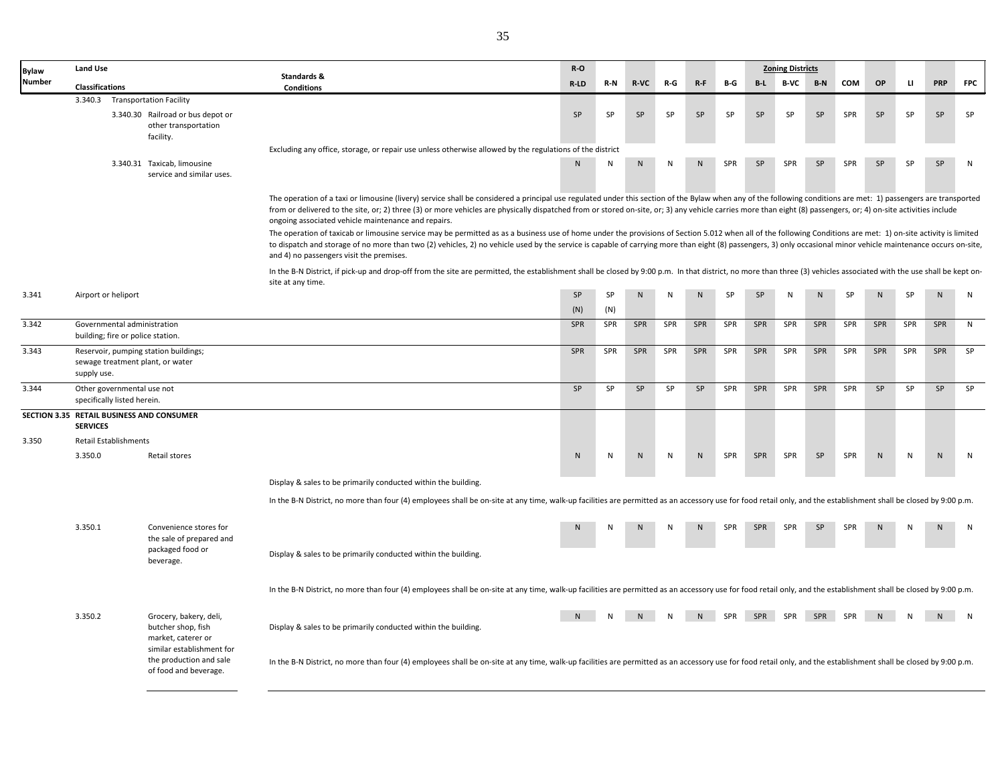| <b>Bylaw</b>  | <b>Land Use</b>                                                               |                                                                           |                                                                                                                                                                                                                                                                                                                                                                                                                                                                                                                                                                                                                                                                                                             | $R-O$      |            |              |              |         |           |             | <b>Zoning Districts</b> |     |     |              |              |             |            |
|---------------|-------------------------------------------------------------------------------|---------------------------------------------------------------------------|-------------------------------------------------------------------------------------------------------------------------------------------------------------------------------------------------------------------------------------------------------------------------------------------------------------------------------------------------------------------------------------------------------------------------------------------------------------------------------------------------------------------------------------------------------------------------------------------------------------------------------------------------------------------------------------------------------------|------------|------------|--------------|--------------|---------|-----------|-------------|-------------------------|-----|-----|--------------|--------------|-------------|------------|
| <b>Number</b> | <b>Classifications</b>                                                        |                                                                           | Standards &<br><b>Conditions</b>                                                                                                                                                                                                                                                                                                                                                                                                                                                                                                                                                                                                                                                                            | R-LD       | R-N        | <b>R-VC</b>  | R-G          | $R - F$ | B-G       | $B-L$       | B-VC                    | B-N | COM | <b>OP</b>    | $\mathbf{u}$ | <b>PRP</b>  | <b>FPC</b> |
|               |                                                                               | 3.340.3 Transportation Facility                                           |                                                                                                                                                                                                                                                                                                                                                                                                                                                                                                                                                                                                                                                                                                             |            |            |              |              |         |           |             |                         |     |     |              |              |             |            |
|               |                                                                               | 3.340.30 Railroad or bus depot or<br>other transportation<br>facility.    |                                                                                                                                                                                                                                                                                                                                                                                                                                                                                                                                                                                                                                                                                                             | SP         | SP         | SP           | SP           | SP      | SP        | SP          | SP                      | SP  | SPR | SP           | SP           | SP          | SP         |
|               |                                                                               |                                                                           | Excluding any office, storage, or repair use unless otherwise allowed by the regulations of the district                                                                                                                                                                                                                                                                                                                                                                                                                                                                                                                                                                                                    |            |            |              |              |         |           |             |                         |     |     |              |              |             |            |
|               |                                                                               | 3.340.31 Taxicab, limousine<br>service and similar uses.                  |                                                                                                                                                                                                                                                                                                                                                                                                                                                                                                                                                                                                                                                                                                             | N.         | N          | N            | N            | N.      | SPR       | SP          | <b>SPR</b>              | SP  | SPR | SP           | SP           | SP          | N          |
|               |                                                                               |                                                                           | The operation of a taxi or limousine (livery) service shall be considered a principal use regulated under this section of the Bylaw when any of the following conditions are met: 1) passengers are transported<br>from or delivered to the site, or; 2) three (3) or more vehicles are physically dispatched from or stored on-site, or; 3) any vehicle carries more than eight (8) passengers, or; 4) on-site activities include<br>ongoing associated vehicle maintenance and repairs.<br>The operation of taxicab or limousine service may be permitted as as a business use of home under the provisions of Section 5.012 when all of the following Conditions are met: 1) on-site activity is limited |            |            |              |              |         |           |             |                         |     |     |              |              |             |            |
|               |                                                                               |                                                                           | to dispatch and storage of no more than two (2) vehicles, 2) no vehicle used by the service is capable of carrying more than eight (8) passengers, 3) only occasional minor vehicle maintenance occurs on-site,<br>and 4) no passengers visit the premises.                                                                                                                                                                                                                                                                                                                                                                                                                                                 |            |            |              |              |         |           |             |                         |     |     |              |              |             |            |
|               |                                                                               |                                                                           | In the B-N District, if pick-up and drop-off from the site are permitted, the establishment shall be closed by 9:00 p.m. In that district, no more than three (3) vehicles associated with the use shall be kept on-<br>site at any time.                                                                                                                                                                                                                                                                                                                                                                                                                                                                   |            |            |              |              |         |           |             |                         |     |     |              |              |             |            |
| 3.341         | Airport or heliport                                                           |                                                                           |                                                                                                                                                                                                                                                                                                                                                                                                                                                                                                                                                                                                                                                                                                             | SP         | SP         | $\mathsf{N}$ | N            | N.      | <b>SP</b> | SP          | N                       | N   | SP  | N            | SP           | N.          | ${\sf N}$  |
| 3.342         | Governmental administration                                                   |                                                                           |                                                                                                                                                                                                                                                                                                                                                                                                                                                                                                                                                                                                                                                                                                             | (N)<br>SPR | (N)<br>SPR | SPR          | SPR          | SPR     | SPR       | SPR         | SPR                     | SPR | SPR | SPR          | SPR          | SPR         | N          |
|               | building; fire or police station.                                             |                                                                           |                                                                                                                                                                                                                                                                                                                                                                                                                                                                                                                                                                                                                                                                                                             |            |            |              |              |         |           |             |                         |     |     |              |              |             |            |
| 3.343         | supply use.                                                                   | Reservoir, pumping station buildings;<br>sewage treatment plant, or water |                                                                                                                                                                                                                                                                                                                                                                                                                                                                                                                                                                                                                                                                                                             | SPR        | SPR        | SPR          | SPR          | SPR     | SPR       | SPR         | SPR                     | SPR | SPR | SPR          | SPR          | SPR         | SP         |
| 3.344         | Other governmental use not<br>specifically listed herein.                     |                                                                           |                                                                                                                                                                                                                                                                                                                                                                                                                                                                                                                                                                                                                                                                                                             | SP         | SP         | <b>SP</b>    | SP           | SP      | SPR       | SPR         | SPR                     | SPR | SPR | SP           | SP           | SP          | SP         |
|               | <b>SERVICES</b>                                                               | SECTION 3.35 RETAIL BUSINESS AND CONSUMER                                 |                                                                                                                                                                                                                                                                                                                                                                                                                                                                                                                                                                                                                                                                                                             |            |            |              |              |         |           |             |                         |     |     |              |              |             |            |
| 3.350         | Retail Establishments                                                         |                                                                           |                                                                                                                                                                                                                                                                                                                                                                                                                                                                                                                                                                                                                                                                                                             |            |            |              |              |         |           |             |                         |     |     |              |              |             |            |
|               | 3.350.0                                                                       | Retail stores                                                             |                                                                                                                                                                                                                                                                                                                                                                                                                                                                                                                                                                                                                                                                                                             | ${\sf N}$  | N          | ${\sf N}$    | $\mathsf{N}$ | N       | SPR       | SPR         | SPR                     | SP  | SPR | $\mathsf{N}$ | ${\sf N}$    | ${\sf N}$   | ${\sf N}$  |
|               |                                                                               |                                                                           | Display & sales to be primarily conducted within the building.                                                                                                                                                                                                                                                                                                                                                                                                                                                                                                                                                                                                                                              |            |            |              |              |         |           |             |                         |     |     |              |              |             |            |
|               |                                                                               |                                                                           | In the B-N District, no more than four (4) employees shall be on-site at any time, walk-up facilities are permitted as an accessory use for food retail only, and the establishment shall be closed by 9:00 p.m.                                                                                                                                                                                                                                                                                                                                                                                                                                                                                            |            |            |              |              |         |           |             |                         |     |     |              |              |             |            |
|               | 3.350.1                                                                       | Convenience stores for<br>the sale of prepared and                        |                                                                                                                                                                                                                                                                                                                                                                                                                                                                                                                                                                                                                                                                                                             |            |            |              |              | N       | SPR       | SPR         | SPR                     | SP  | SPR | N            |              | $\mathbf N$ | N          |
|               |                                                                               | packaged food or<br>beverage.                                             | Display & sales to be primarily conducted within the building.                                                                                                                                                                                                                                                                                                                                                                                                                                                                                                                                                                                                                                              |            |            |              |              |         |           |             |                         |     |     |              |              |             |            |
|               |                                                                               |                                                                           | In the B-N District, no more than four (4) employees shall be on-site at any time, walk-up facilities are permitted as an accessory use for food retail only, and the establishment shall be closed by 9:00 p.m.                                                                                                                                                                                                                                                                                                                                                                                                                                                                                            |            |            |              |              |         |           |             |                         |     |     |              |              |             |            |
|               | 3.350.2                                                                       | Grocery, bakery, deli,<br>butcher shop, fish<br>market, caterer or        | Display & sales to be primarily conducted within the building.                                                                                                                                                                                                                                                                                                                                                                                                                                                                                                                                                                                                                                              |            |            |              |              | N       |           | SPR SPR SPR |                         | SPR | SPR |              |              |             | N          |
|               | similar establishment for<br>the production and sale<br>of food and beverage. |                                                                           | In the B-N District, no more than four (4) employees shall be on-site at any time, walk-up facilities are permitted as an accessory use for food retail only, and the establishment shall be closed by 9:00 p.m.                                                                                                                                                                                                                                                                                                                                                                                                                                                                                            |            |            |              |              |         |           |             |                         |     |     |              |              |             |            |
|               |                                                                               |                                                                           |                                                                                                                                                                                                                                                                                                                                                                                                                                                                                                                                                                                                                                                                                                             |            |            |              |              |         |           |             |                         |     |     |              |              |             |            |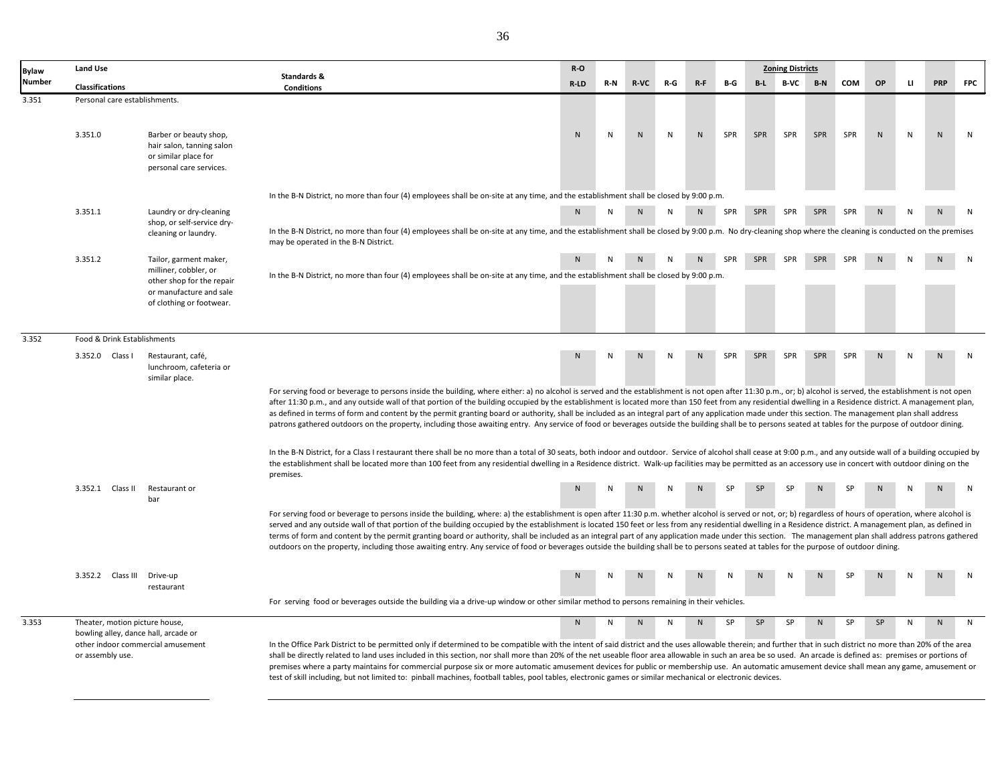| <b>Bylaw</b> | <b>Land Use</b>                                    |                                                                                                        |                                                                                                                                                                                                                                                                                                                                                                                                                                                                                                                                                                                                                                                                                                                                                                                                                                                      | R-O          |     |              |     |                |     |       | <b>Zoning Districts</b> |            |            |              |    |            |              |
|--------------|----------------------------------------------------|--------------------------------------------------------------------------------------------------------|------------------------------------------------------------------------------------------------------------------------------------------------------------------------------------------------------------------------------------------------------------------------------------------------------------------------------------------------------------------------------------------------------------------------------------------------------------------------------------------------------------------------------------------------------------------------------------------------------------------------------------------------------------------------------------------------------------------------------------------------------------------------------------------------------------------------------------------------------|--------------|-----|--------------|-----|----------------|-----|-------|-------------------------|------------|------------|--------------|----|------------|--------------|
| Number       | <b>Classifications</b>                             |                                                                                                        | Standards &<br><b>Conditions</b>                                                                                                                                                                                                                                                                                                                                                                                                                                                                                                                                                                                                                                                                                                                                                                                                                     | $R-LD$       | R-N | $R-VC$       | R-G | $R-F$          | B-G | $B-L$ | <b>B-VC</b>             | $B-N$      | <b>COM</b> | OP           | u. | <b>PRP</b> | <b>FPC</b>   |
| 3.351        | Personal care establishments.                      |                                                                                                        |                                                                                                                                                                                                                                                                                                                                                                                                                                                                                                                                                                                                                                                                                                                                                                                                                                                      |              |     |              |     |                |     |       |                         |            |            |              |    |            |              |
|              | 3.351.0                                            | Barber or beauty shop,<br>hair salon, tanning salon<br>or similar place for<br>personal care services. |                                                                                                                                                                                                                                                                                                                                                                                                                                                                                                                                                                                                                                                                                                                                                                                                                                                      | $\mathsf{N}$ | N   | $\mathsf{N}$ | N   | $\mathsf{N}$   | SPR | SPR   | SPR                     | SPR        | SPR        | $\mathsf{N}$ | N  | N          | $\mathsf{N}$ |
|              |                                                    |                                                                                                        | In the B-N District, no more than four (4) employees shall be on-site at any time, and the establishment shall be closed by 9:00 p.m.                                                                                                                                                                                                                                                                                                                                                                                                                                                                                                                                                                                                                                                                                                                |              |     |              |     |                |     |       |                         |            |            |              |    |            |              |
|              | 3.351.1                                            | Laundry or dry-cleaning                                                                                |                                                                                                                                                                                                                                                                                                                                                                                                                                                                                                                                                                                                                                                                                                                                                                                                                                                      | N            | N   | N            |     | N <sub>1</sub> | SPR | SPR   | SPR                     | SPR        | SPR        | N            |    |            | N            |
|              |                                                    | shop, or self-service dry-<br>cleaning or laundry.                                                     | In the B-N District, no more than four (4) employees shall be on-site at any time, and the establishment shall be closed by 9:00 p.m. No dry-cleaning shop where the cleaning is conducted on the premises<br>may be operated in the B-N District.                                                                                                                                                                                                                                                                                                                                                                                                                                                                                                                                                                                                   |              |     |              |     |                |     |       |                         |            |            |              |    |            |              |
|              | 3.351.2                                            | Tailor, garment maker,                                                                                 |                                                                                                                                                                                                                                                                                                                                                                                                                                                                                                                                                                                                                                                                                                                                                                                                                                                      | N            |     |              |     | N              | SPR | SPR   | SPR                     | <b>SPR</b> | SPR        |              |    |            |              |
|              |                                                    | milliner, cobbler, or<br>other shop for the repair                                                     | In the B-N District, no more than four (4) employees shall be on-site at any time, and the establishment shall be closed by 9:00 p.m.                                                                                                                                                                                                                                                                                                                                                                                                                                                                                                                                                                                                                                                                                                                |              |     |              |     |                |     |       |                         |            |            |              |    |            |              |
|              |                                                    | or manufacture and sale<br>of clothing or footwear.                                                    |                                                                                                                                                                                                                                                                                                                                                                                                                                                                                                                                                                                                                                                                                                                                                                                                                                                      |              |     |              |     |                |     |       |                         |            |            |              |    |            |              |
| 3.352        | Food & Drink Establishments                        |                                                                                                        |                                                                                                                                                                                                                                                                                                                                                                                                                                                                                                                                                                                                                                                                                                                                                                                                                                                      |              |     |              |     |                |     |       |                         |            |            |              |    |            |              |
|              | 3.352.0 Class I                                    | Restaurant, café,<br>lunchroom, cafeteria or<br>similar place.                                         |                                                                                                                                                                                                                                                                                                                                                                                                                                                                                                                                                                                                                                                                                                                                                                                                                                                      | N            |     |              |     | N              | SPR | SPR   | SPR                     | SPR        | SPR        | N            | N  | N          | N            |
|              |                                                    |                                                                                                        | For serving food or beverage to persons inside the building, where either: a) no alcohol is served and the establishment is not open after 11:30 p.m., or; b) alcohol is served, the establishment is not open<br>after 11:30 p.m., and any outside wall of that portion of the building occupied by the establishment is located more than 150 feet from any residential dwelling in a Residence district. A management plan,<br>as defined in terms of form and content by the permit granting board or authority, shall be included as an integral part of any application made under this section. The management plan shall address<br>patrons gathered outdoors on the property, including those awaiting entry. Any service of food or beverages outside the building shall be to persons seated at tables for the purpose of outdoor dining. |              |     |              |     |                |     |       |                         |            |            |              |    |            |              |
|              |                                                    |                                                                                                        | In the B-N District, for a Class I restaurant there shall be no more than a total of 30 seats, both indoor and outdoor. Service of alcohol shall cease at 9:00 p.m., and any outside wall of a building occupied by<br>the establishment shall be located more than 100 feet from any residential dwelling in a Residence district. Walk-up facilities may be permitted as an accessory use in concert with outdoor dining on the<br>premises.                                                                                                                                                                                                                                                                                                                                                                                                       |              |     |              |     |                |     |       |                         |            |            |              |    |            |              |
|              | 3.352.1 Class II                                   | Restaurant or<br>bar                                                                                   |                                                                                                                                                                                                                                                                                                                                                                                                                                                                                                                                                                                                                                                                                                                                                                                                                                                      |              |     |              |     |                |     |       |                         |            |            |              |    |            | N            |
|              |                                                    |                                                                                                        | For serving food or beverage to persons inside the building, where: a) the establishment is open after 11:30 p.m. whether alcohol is served or not, or; b) regardless of hours of operation, where alcohol is<br>served and any outside wall of that portion of the building occupied by the establishment is located 150 feet or less from any residential dwelling in a Residence district. A management plan, as defined in<br>terms of form and content by the permit granting board or authority, shall be included as an integral part of any application made under this section. The management plan shall address patrons gathered<br>outdoors on the property, including those awaiting entry. Any service of food or beverages outside the building shall be to persons seated at tables for the purpose of outdoor dining.               |              |     |              |     |                |     |       |                         |            |            |              |    |            |              |
|              | 3.352.2 Class III                                  | Drive-up<br>restaurant                                                                                 |                                                                                                                                                                                                                                                                                                                                                                                                                                                                                                                                                                                                                                                                                                                                                                                                                                                      |              |     |              |     |                |     |       |                         |            |            |              |    |            |              |
|              |                                                    |                                                                                                        | For serving food or beverages outside the building via a drive-up window or other similar method to persons remaining in their vehicles.                                                                                                                                                                                                                                                                                                                                                                                                                                                                                                                                                                                                                                                                                                             |              |     |              |     |                |     |       |                         |            |            |              |    |            |              |
| 3.353        | Theater, motion picture house,<br>or assembly use. | bowling alley, dance hall, arcade or<br>other indoor commercial amusement                              | In the Office Park District to be permitted only if determined to be compatible with the intent of said district and the uses allowable therein; and further that in such district no more than 20% of the area<br>shall be directly related to land uses included in this section, nor shall more than 20% of the net useable floor area allowable in such an area be so used. An arcade is defined as: premises or portions of<br>premises where a party maintains for commercial purpose six or more automatic amusement devices for public or membership use. An automatic amusement device shall mean any game, amusement or<br>test of skill including, but not limited to: pinball machines, football tables, pool tables, electronic games or similar mechanical or electronic devices.                                                      | N            | N   | N            | N   | N              | SP  | SP    | <b>SP</b>               | N          | SP         | SP           | N  | N          | ${\sf N}$    |
|              |                                                    |                                                                                                        |                                                                                                                                                                                                                                                                                                                                                                                                                                                                                                                                                                                                                                                                                                                                                                                                                                                      |              |     |              |     |                |     |       |                         |            |            |              |    |            |              |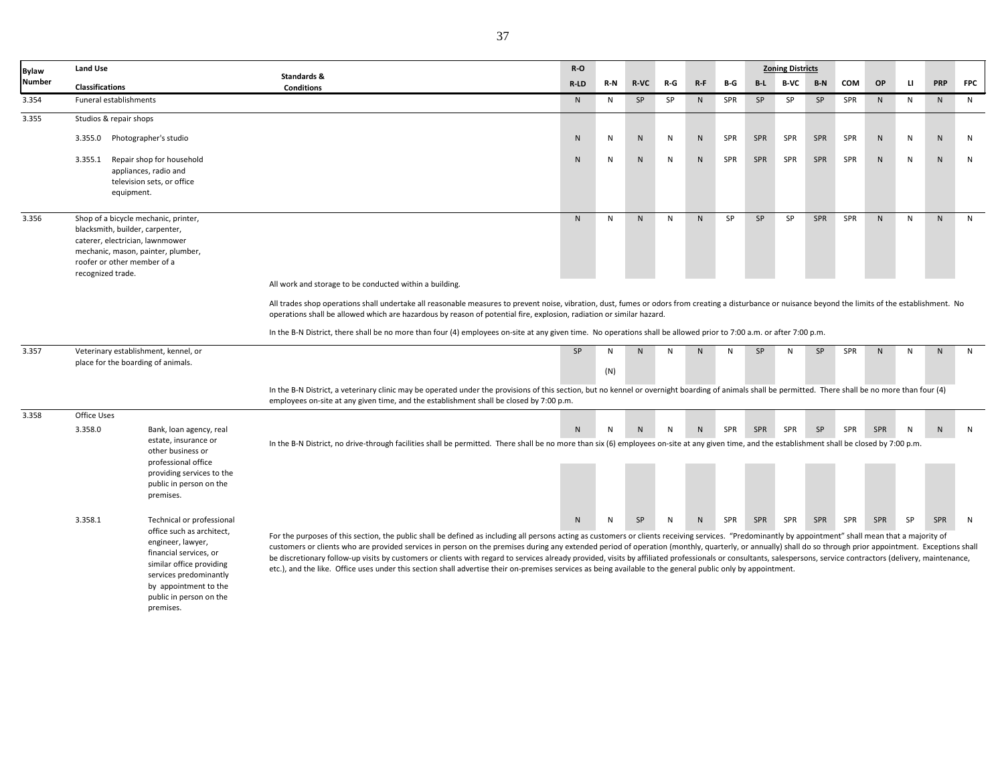| <b>Bylaw</b> | <b>Land Use</b>                                                                                                        |                                                                                                                                                                                                                              |                                                                                                                                                                                                                                                                                                                                                                                                                                                                                                                                                                                                                                                                                                                                                                                                          | R-O          |     |              |           |                |           |           | <b>Zoning Districts</b> |            |            |           |           |     |              |
|--------------|------------------------------------------------------------------------------------------------------------------------|------------------------------------------------------------------------------------------------------------------------------------------------------------------------------------------------------------------------------|----------------------------------------------------------------------------------------------------------------------------------------------------------------------------------------------------------------------------------------------------------------------------------------------------------------------------------------------------------------------------------------------------------------------------------------------------------------------------------------------------------------------------------------------------------------------------------------------------------------------------------------------------------------------------------------------------------------------------------------------------------------------------------------------------------|--------------|-----|--------------|-----------|----------------|-----------|-----------|-------------------------|------------|------------|-----------|-----------|-----|--------------|
| Number       | <b>Classifications</b>                                                                                                 |                                                                                                                                                                                                                              | Standards &<br><b>Conditions</b>                                                                                                                                                                                                                                                                                                                                                                                                                                                                                                                                                                                                                                                                                                                                                                         | $R-LD$       | R-N | <b>R-VC</b>  | R-G       | $R-F$          | B-G       | $B-L$     | B-VC                    | $B-N$      | <b>COM</b> | OP        | IJ.       | PRP | <b>FPC</b>   |
| 3.354        | Funeral establishments                                                                                                 |                                                                                                                                                                                                                              |                                                                                                                                                                                                                                                                                                                                                                                                                                                                                                                                                                                                                                                                                                                                                                                                          | N            | N   | <b>SP</b>    | <b>SP</b> | N <sub>1</sub> | SPR       | <b>SP</b> | <b>SP</b>               | SP         | SPR        | N         | N         | N   | N            |
| 3.355        | Studios & repair shops                                                                                                 |                                                                                                                                                                                                                              |                                                                                                                                                                                                                                                                                                                                                                                                                                                                                                                                                                                                                                                                                                                                                                                                          |              |     |              |           |                |           |           |                         |            |            |           |           |     |              |
|              |                                                                                                                        | 3.355.0 Photographer's studio                                                                                                                                                                                                |                                                                                                                                                                                                                                                                                                                                                                                                                                                                                                                                                                                                                                                                                                                                                                                                          | $\mathsf{N}$ | N   | $\mathsf{N}$ | N         | N              | SPR       | SPR       | SPR                     | SPR        | SPR        | N         | N         | N   | N            |
|              | 3.355.1                                                                                                                | Repair shop for household<br>appliances, radio and<br>television sets, or office<br>equipment.                                                                                                                               |                                                                                                                                                                                                                                                                                                                                                                                                                                                                                                                                                                                                                                                                                                                                                                                                          | N            | N   | $\mathsf{N}$ | N         | ${\sf N}$      | SPR       | SPR       | SPR                     | SPR        | SPR        | ${\sf N}$ | ${\sf N}$ | N   | $\mathsf{N}$ |
| 3.356        | blacksmith, builder, carpenter,<br>caterer, electrician, lawnmower<br>roofer or other member of a<br>recognized trade. | Shop of a bicycle mechanic, printer,<br>mechanic, mason, painter, plumber,                                                                                                                                                   | All work and storage to be conducted within a building.                                                                                                                                                                                                                                                                                                                                                                                                                                                                                                                                                                                                                                                                                                                                                  | N            | N   | N            | N         | N              | <b>SP</b> | SP        | <b>SP</b>               | <b>SPR</b> | SPR        | N         | N         | N   | N            |
|              |                                                                                                                        |                                                                                                                                                                                                                              | All trades shop operations shall undertake all reasonable measures to prevent noise, vibration, dust, fumes or odors from creating a disturbance or nuisance beyond the limits of the establishment. No<br>operations shall be allowed which are hazardous by reason of potential fire, explosion, radiation or similar hazard.                                                                                                                                                                                                                                                                                                                                                                                                                                                                          |              |     |              |           |                |           |           |                         |            |            |           |           |     |              |
|              |                                                                                                                        |                                                                                                                                                                                                                              | In the B-N District, there shall be no more than four (4) employees on-site at any given time. No operations shall be allowed prior to 7:00 a.m. or after 7:00 p.m.                                                                                                                                                                                                                                                                                                                                                                                                                                                                                                                                                                                                                                      |              |     |              |           |                |           |           |                         |            |            |           |           |     |              |
| 3.357        |                                                                                                                        | Veterinary establishment, kennel, or                                                                                                                                                                                         |                                                                                                                                                                                                                                                                                                                                                                                                                                                                                                                                                                                                                                                                                                                                                                                                          | SP           | N   | N            | N         | N              | N         | SP        | N                       | SP         | SPR        | N         | N         | N   | N            |
|              |                                                                                                                        | place for the boarding of animals.                                                                                                                                                                                           |                                                                                                                                                                                                                                                                                                                                                                                                                                                                                                                                                                                                                                                                                                                                                                                                          |              | (N) |              |           |                |           |           |                         |            |            |           |           |     |              |
|              |                                                                                                                        |                                                                                                                                                                                                                              | In the B-N District, a veterinary clinic may be operated under the provisions of this section, but no kennel or overnight boarding of animals shall be permitted. There shall be no more than four (4)<br>employees on-site at any given time, and the establishment shall be closed by 7:00 p.m.                                                                                                                                                                                                                                                                                                                                                                                                                                                                                                        |              |     |              |           |                |           |           |                         |            |            |           |           |     |              |
| 3.358        | Office Uses                                                                                                            |                                                                                                                                                                                                                              |                                                                                                                                                                                                                                                                                                                                                                                                                                                                                                                                                                                                                                                                                                                                                                                                          |              |     |              |           |                |           |           |                         |            |            |           |           |     |              |
|              | 3.358.0                                                                                                                | Bank, loan agency, real<br>estate, insurance or<br>other business or<br>professional office<br>providing services to the<br>public in person on the<br>premises.                                                             | In the B-N District, no drive-through facilities shall be permitted. There shall be no more than six (6) employees on-site at any given time, and the establishment shall be closed by 7:00 p.m.                                                                                                                                                                                                                                                                                                                                                                                                                                                                                                                                                                                                         | ${\sf N}$    |     | N            | N         | N              | SPR       | SPR       | SPR                     | SP         | SPR        | SPR       | N         | N   | N            |
|              | 3.358.1                                                                                                                | Technical or professional<br>office such as architect,<br>engineer, lawyer,<br>financial services, or<br>similar office providing<br>services predominantly<br>by appointment to the<br>public in person on the<br>premises. | For the purposes of this section, the public shall be defined as including all persons acting as customers or clients receiving services. "Predominantly by appointment" shall mean that a majority of<br>customers or clients who are provided services in person on the premises during any extended period of operation (monthly, quarterly, or annually) shall do so through prior appointment. Exceptions shall<br>be discretionary follow-up visits by customers or clients with regard to services already provided, visits by affiliated professionals or consultants, salespersons, service contractors (delivery, maintenance,<br>etc.), and the like. Office uses under this section shall advertise their on-premises services as being available to the general public only by appointment. | ${\sf N}$    | N   | SP           | N         | N              | SPR       | SPR       | SPR                     | SPR        | SPR        | SPR       | SP        | SPR | N            |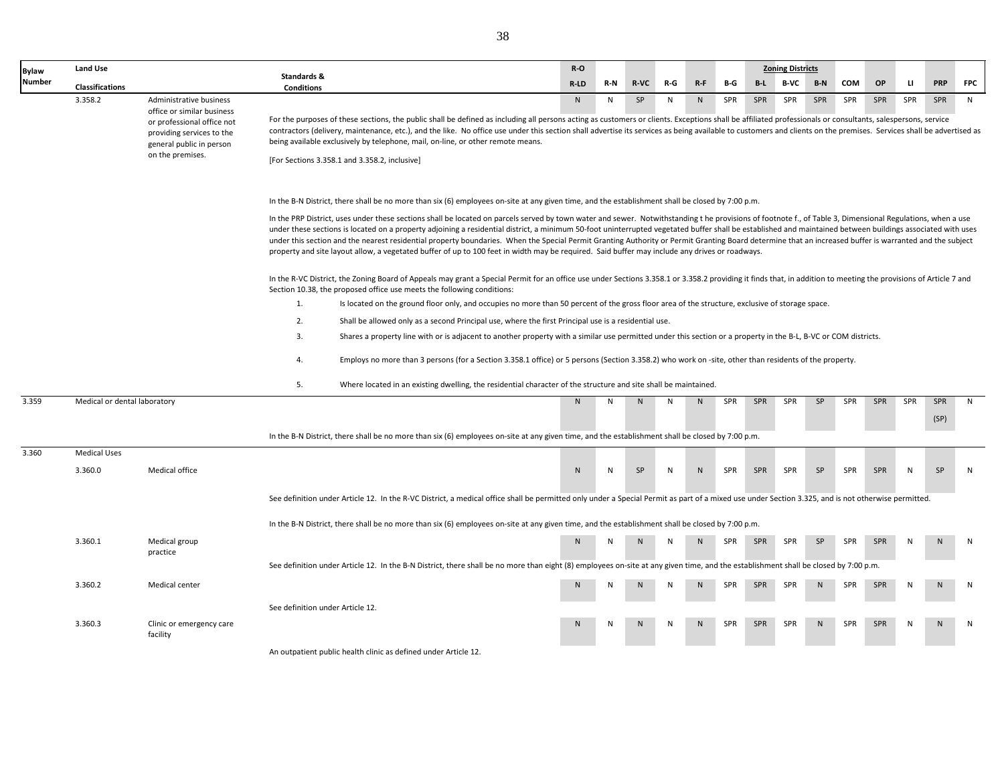| Bylaw  | <b>Land Use</b>              |                                                                                     | Standards &                      |                                                                                                                                                                                                                                                                                                                                                                                                                                                                                                                                                                                                                                                                                                                                                                                       | $R-O$        |     |      |     |                |     |       | <b>Zoning Districts</b> |       |            |            |              |             |            |
|--------|------------------------------|-------------------------------------------------------------------------------------|----------------------------------|---------------------------------------------------------------------------------------------------------------------------------------------------------------------------------------------------------------------------------------------------------------------------------------------------------------------------------------------------------------------------------------------------------------------------------------------------------------------------------------------------------------------------------------------------------------------------------------------------------------------------------------------------------------------------------------------------------------------------------------------------------------------------------------|--------------|-----|------|-----|----------------|-----|-------|-------------------------|-------|------------|------------|--------------|-------------|------------|
| Number | <b>Classifications</b>       |                                                                                     | <b>Conditions</b>                |                                                                                                                                                                                                                                                                                                                                                                                                                                                                                                                                                                                                                                                                                                                                                                                       | R-LD         | R-N | R-VC | R-G | $R-F$          | B-G | $B-L$ | B-VC                    | $B-N$ | <b>COM</b> | OP         | u.           | <b>PRP</b>  | <b>FPC</b> |
|        | 3.358.2                      | Administrative business<br>office or similar business                               |                                  |                                                                                                                                                                                                                                                                                                                                                                                                                                                                                                                                                                                                                                                                                                                                                                                       | N.           | N   | SP   | N   | N              | SPR | SPR   | SPR                     | SPR   | SPR        | SPR        | SPR          | SPR         | N          |
|        |                              | or professional office not<br>providing services to the<br>general public in person |                                  | For the purposes of these sections, the public shall be defined as including all persons acting as customers or clients. Exceptions shall be affiliated professionals or consultants, salespersons, service<br>contractors (delivery, maintenance, etc.), and the like. No office use under this section shall advertise its services as being available to customers and clients on the premises. Services shall be advertised as<br>being available exclusively by telephone, mail, on-line, or other remote means.                                                                                                                                                                                                                                                                 |              |     |      |     |                |     |       |                         |       |            |            |              |             |            |
|        |                              | on the premises.                                                                    |                                  | [For Sections 3.358.1 and 3.358.2, inclusive]                                                                                                                                                                                                                                                                                                                                                                                                                                                                                                                                                                                                                                                                                                                                         |              |     |      |     |                |     |       |                         |       |            |            |              |             |            |
|        |                              |                                                                                     |                                  | In the B-N District, there shall be no more than six (6) employees on-site at any given time, and the establishment shall be closed by 7:00 p.m.                                                                                                                                                                                                                                                                                                                                                                                                                                                                                                                                                                                                                                      |              |     |      |     |                |     |       |                         |       |            |            |              |             |            |
|        |                              |                                                                                     |                                  | In the PRP District, uses under these sections shall be located on parcels served by town water and sewer. Notwithstanding the provisions of footnote f., of Table 3, Dimensional Regulations, when a use<br>under these sections is located on a property adjoining a residential district, a minimum 50-foot uninterrupted vegetated buffer shall be established and maintained between buildings associated with uses<br>under this section and the nearest residential property boundaries. When the Special Permit Granting Authority or Permit Granting Board determine that an increased buffer is warranted and the subject<br>property and site layout allow, a vegetated buffer of up to 100 feet in width may be required. Said buffer may include any drives or roadways. |              |     |      |     |                |     |       |                         |       |            |            |              |             |            |
|        |                              |                                                                                     |                                  | In the R-VC District, the Zoning Board of Appeals may grant a Special Permit for an office use under Sections 3.358.1 or 3.358.2 providing it finds that, in addition to meeting the provisions of Article 7 and<br>Section 10.38, the proposed office use meets the following conditions:                                                                                                                                                                                                                                                                                                                                                                                                                                                                                            |              |     |      |     |                |     |       |                         |       |            |            |              |             |            |
|        |                              |                                                                                     | 1.                               | Is located on the ground floor only, and occupies no more than 50 percent of the gross floor area of the structure, exclusive of storage space.                                                                                                                                                                                                                                                                                                                                                                                                                                                                                                                                                                                                                                       |              |     |      |     |                |     |       |                         |       |            |            |              |             |            |
|        |                              |                                                                                     | 2.                               | Shall be allowed only as a second Principal use, where the first Principal use is a residential use.                                                                                                                                                                                                                                                                                                                                                                                                                                                                                                                                                                                                                                                                                  |              |     |      |     |                |     |       |                         |       |            |            |              |             |            |
|        |                              |                                                                                     | 3.                               | Shares a property line with or is adjacent to another property with a similar use permitted under this section or a property in the B-L, B-VC or COM districts.                                                                                                                                                                                                                                                                                                                                                                                                                                                                                                                                                                                                                       |              |     |      |     |                |     |       |                         |       |            |            |              |             |            |
|        |                              |                                                                                     | 4.                               | Employs no more than 3 persons (for a Section 3.358.1 office) or 5 persons (Section 3.358.2) who work on -site, other than residents of the property.                                                                                                                                                                                                                                                                                                                                                                                                                                                                                                                                                                                                                                 |              |     |      |     |                |     |       |                         |       |            |            |              |             |            |
|        |                              |                                                                                     | 5.                               | Where located in an existing dwelling, the residential character of the structure and site shall be maintained.                                                                                                                                                                                                                                                                                                                                                                                                                                                                                                                                                                                                                                                                       |              |     |      |     |                |     |       |                         |       |            |            |              |             |            |
| 3.359  | Medical or dental laboratory |                                                                                     |                                  |                                                                                                                                                                                                                                                                                                                                                                                                                                                                                                                                                                                                                                                                                                                                                                                       | N.           | N   | N    | N   | N              | SPR | SPR   | SPR                     | SP    | SPR        | SPR        | SPR          | SPR<br>(SP) | N          |
|        |                              |                                                                                     |                                  | In the B-N District, there shall be no more than six (6) employees on-site at any given time, and the establishment shall be closed by 7:00 p.m.                                                                                                                                                                                                                                                                                                                                                                                                                                                                                                                                                                                                                                      |              |     |      |     |                |     |       |                         |       |            |            |              |             |            |
| 3.360  | <b>Medical Uses</b>          |                                                                                     |                                  |                                                                                                                                                                                                                                                                                                                                                                                                                                                                                                                                                                                                                                                                                                                                                                                       |              |     |      |     |                |     |       |                         |       |            |            |              |             |            |
|        | 3.360.0                      | Medical office                                                                      |                                  |                                                                                                                                                                                                                                                                                                                                                                                                                                                                                                                                                                                                                                                                                                                                                                                       | $\mathsf{N}$ | N   | SP   | N   | N              | SPR | SPR   | SPR                     | SP    | SPR        | SPR        | $\mathsf{N}$ | SP          | N          |
|        |                              |                                                                                     |                                  | See definition under Article 12. In the R-VC District, a medical office shall be permitted only under a Special Permit as part of a mixed use under Section 3.325, and is not otherwise permitted.                                                                                                                                                                                                                                                                                                                                                                                                                                                                                                                                                                                    |              |     |      |     |                |     |       |                         |       |            |            |              |             |            |
|        |                              |                                                                                     |                                  | In the B-N District, there shall be no more than six (6) employees on-site at any given time, and the establishment shall be closed by 7:00 p.m.                                                                                                                                                                                                                                                                                                                                                                                                                                                                                                                                                                                                                                      |              |     |      |     |                |     |       |                         |       |            |            |              |             |            |
|        | 3.360.1                      | Medical group<br>practice                                                           |                                  |                                                                                                                                                                                                                                                                                                                                                                                                                                                                                                                                                                                                                                                                                                                                                                                       | N            |     |      | N   | N <sub>1</sub> | SPR | SPR   | SPR                     | SP    | SPR        | SPR        |              |             | N          |
|        |                              |                                                                                     |                                  | See definition under Article 12. In the B-N District, there shall be no more than eight (8) employees on-site at any given time, and the establishment shall be closed by 7:00 p.m.                                                                                                                                                                                                                                                                                                                                                                                                                                                                                                                                                                                                   |              |     |      |     |                |     |       |                         |       |            |            |              |             |            |
|        | 3.360.2                      | Medical center                                                                      |                                  |                                                                                                                                                                                                                                                                                                                                                                                                                                                                                                                                                                                                                                                                                                                                                                                       |              |     |      |     |                | SPR | SPR   | SPR                     |       | SPR        | <b>SPR</b> |              |             | N          |
|        |                              |                                                                                     | See definition under Article 12. |                                                                                                                                                                                                                                                                                                                                                                                                                                                                                                                                                                                                                                                                                                                                                                                       |              |     |      |     |                |     |       |                         |       |            |            |              |             |            |
|        | 3.360.3                      | Clinic or emergency care<br>facility                                                |                                  |                                                                                                                                                                                                                                                                                                                                                                                                                                                                                                                                                                                                                                                                                                                                                                                       |              |     |      |     |                | SPR | SPR   | SPR                     |       | <b>SPR</b> | SPR        |              |             | N          |
|        |                              |                                                                                     |                                  | An outpatient public health clinic as defined under Article 12                                                                                                                                                                                                                                                                                                                                                                                                                                                                                                                                                                                                                                                                                                                        |              |     |      |     |                |     |       |                         |       |            |            |              |             |            |

utpatient public health clinic as defined under Article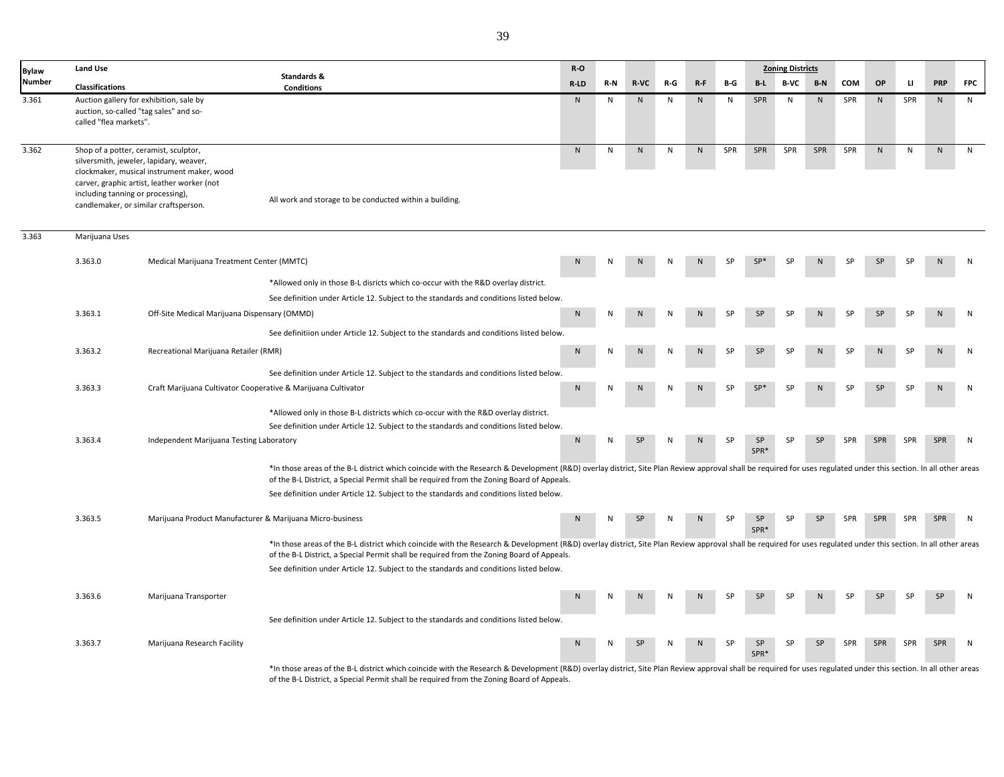| <b>Bylaw</b>  | <b>Land Use</b>                                                                                                                                                |                                                                                           |                                                                                                                                                                                                                                                                                                               | $R-O$        |     |              |     |              |           |                 | <b>Zoning Districts</b> |           |           |           |     |            |            |
|---------------|----------------------------------------------------------------------------------------------------------------------------------------------------------------|-------------------------------------------------------------------------------------------|---------------------------------------------------------------------------------------------------------------------------------------------------------------------------------------------------------------------------------------------------------------------------------------------------------------|--------------|-----|--------------|-----|--------------|-----------|-----------------|-------------------------|-----------|-----------|-----------|-----|------------|------------|
| <b>Number</b> | <b>Classifications</b>                                                                                                                                         |                                                                                           | Standards &<br><b>Conditions</b>                                                                                                                                                                                                                                                                              | R-LD         | R-N | R-VC         | R-G | $R-F$        | B-G       | B-L             | <b>B-VC</b>             | $B-N$     | COM       | OP        | п   | <b>PRP</b> | <b>FPC</b> |
| 3.361         | Auction gallery for exhibition, sale by<br>auction, so-called "tag sales" and so-<br>called "flea markets".                                                    |                                                                                           |                                                                                                                                                                                                                                                                                                               | N            | N   | $\mathsf{N}$ | N   | $\mathsf{N}$ | N         | SPR             | N                       | ${\sf N}$ | SPR       | N         | SPR | ${\sf N}$  | N          |
| 3.362         | Shop of a potter, ceramist, sculptor,<br>silversmith, jeweler, lapidary, weaver,<br>including tanning or processing),<br>candlemaker, or similar craftsperson. | clockmaker, musical instrument maker, wood<br>carver, graphic artist, leather worker (not | All work and storage to be conducted within a building.                                                                                                                                                                                                                                                       | ${\sf N}$    | N   | N            | N   | N            | SPR       | SPR             | SPR                     | SPR       | SPR       | N         | N   | ${\sf N}$  | N          |
| 3.363         | Marijuana Uses                                                                                                                                                 |                                                                                           |                                                                                                                                                                                                                                                                                                               |              |     |              |     |              |           |                 |                         |           |           |           |     |            |            |
|               | 3.363.0                                                                                                                                                        | Medical Marijuana Treatment Center (MMTC)                                                 |                                                                                                                                                                                                                                                                                                               |              |     |              |     |              |           |                 |                         |           |           |           |     |            | N          |
|               |                                                                                                                                                                |                                                                                           | *Allowed only in those B-L disricts which co-occur with the R&D overlay district.                                                                                                                                                                                                                             |              |     |              |     |              |           |                 |                         |           |           |           |     |            |            |
|               |                                                                                                                                                                |                                                                                           | See definition under Article 12. Subject to the standards and conditions listed below.                                                                                                                                                                                                                        |              |     |              |     |              |           |                 |                         |           |           |           |     |            |            |
|               | 3.363.1                                                                                                                                                        | Off-Site Medical Marijuana Dispensary (OMMD)                                              |                                                                                                                                                                                                                                                                                                               | N            |     |              |     |              | SP        | SP              | SP                      |           | ςp        | <b>SP</b> |     |            | N          |
|               |                                                                                                                                                                |                                                                                           | See definitiion under Article 12. Subject to the standards and conditions listed below.                                                                                                                                                                                                                       |              |     |              |     |              |           |                 |                         |           |           |           |     |            |            |
|               | 3.363.2                                                                                                                                                        | Recreational Marijuana Retailer (RMR)                                                     |                                                                                                                                                                                                                                                                                                               | $\mathsf{N}$ | N   |              |     | N            | <b>SP</b> | <b>SP</b>       | ۲P                      |           |           |           |     | N          | N          |
|               |                                                                                                                                                                |                                                                                           | See definition under Article 12. Subject to the standards and conditions listed below.                                                                                                                                                                                                                        |              |     |              |     |              |           |                 |                         |           |           |           |     |            |            |
|               | 3.363.3                                                                                                                                                        | Craft Marijuana Cultivator Cooperative & Marijuana Cultivator                             |                                                                                                                                                                                                                                                                                                               | N            |     |              |     |              | <b>SP</b> | SP <sup>*</sup> | SP                      |           | <b>SP</b> | <b>SP</b> |     | N          | N          |
|               |                                                                                                                                                                |                                                                                           | *Allowed only in those B-L districts which co-occur with the R&D overlay district.                                                                                                                                                                                                                            |              |     |              |     |              |           |                 |                         |           |           |           |     |            |            |
|               |                                                                                                                                                                |                                                                                           | See definition under Article 12. Subject to the standards and conditions listed below.                                                                                                                                                                                                                        |              |     |              |     |              |           |                 |                         |           |           |           |     |            |            |
|               | 3.363.4                                                                                                                                                        | Independent Marijuana Testing Laboratory                                                  |                                                                                                                                                                                                                                                                                                               | N            | N   | SP           | N   | N            | SP        | SP<br>SPR*      | SP                      | SP        | SPR       | SPR       | SPR | SPR        | N          |
|               |                                                                                                                                                                |                                                                                           | *In those areas of the B-L district which coincide with the Research & Development (R&D) overlay district, Site Plan Review approval shall be required for uses regulated under this section. In all other areas<br>of the B-L District, a Special Permit shall be required from the Zoning Board of Appeals. |              |     |              |     |              |           |                 |                         |           |           |           |     |            |            |
|               |                                                                                                                                                                |                                                                                           | See definition under Article 12. Subject to the standards and conditions listed below.                                                                                                                                                                                                                        |              |     |              |     |              |           |                 |                         |           |           |           |     |            |            |
|               | 3.363.5                                                                                                                                                        | Marijuana Product Manufacturer & Marijuana Micro-business                                 |                                                                                                                                                                                                                                                                                                               | N            | N   | SP           | N   | N            | SP        | SP<br>SPR*      | SP                      | SP        | SPR       | SPR       | SPR | SPR        | N          |
|               |                                                                                                                                                                |                                                                                           | *In those areas of the B-L district which coincide with the Research & Development (R&D) overlay district, Site Plan Review approval shall be required for uses regulated under this section. In all other areas<br>of the B-L District, a Special Permit shall be required from the Zoning Board of Appeals. |              |     |              |     |              |           |                 |                         |           |           |           |     |            |            |
|               |                                                                                                                                                                |                                                                                           | See definition under Article 12. Subject to the standards and conditions listed below.                                                                                                                                                                                                                        |              |     |              |     |              |           |                 |                         |           |           |           |     |            |            |
|               | 3.363.6                                                                                                                                                        | Marijuana Transporter                                                                     |                                                                                                                                                                                                                                                                                                               | N            |     |              |     |              |           | <b>SP</b>       | SP                      |           | <b>SP</b> | <b>SP</b> | SP  | <b>SP</b>  | N          |
|               |                                                                                                                                                                |                                                                                           | See definition under Article 12. Subject to the standards and conditions listed below.                                                                                                                                                                                                                        |              |     |              |     |              |           |                 |                         |           |           |           |     |            |            |
|               | 3.363.7                                                                                                                                                        | Marijuana Research Facility                                                               |                                                                                                                                                                                                                                                                                                               | ${\sf N}$    | N   | SP           | N   | $\mathsf{N}$ | SP        | SP<br>SPR*      | <b>SP</b>               | SP        | SPR       | SPR       | SPR | SPR        | N          |
|               |                                                                                                                                                                |                                                                                           |                                                                                                                                                                                                                                                                                                               |              |     |              |     |              |           |                 |                         |           |           |           |     |            |            |

\*In those areas of the B-L district which coincide with the Research & Development (R&D) overlay district, Site Plan Review approval shall be required for uses regulated under this section. In all other areas of the B-L District, a Special Permit shall be required from the Zoning Board of Appeals.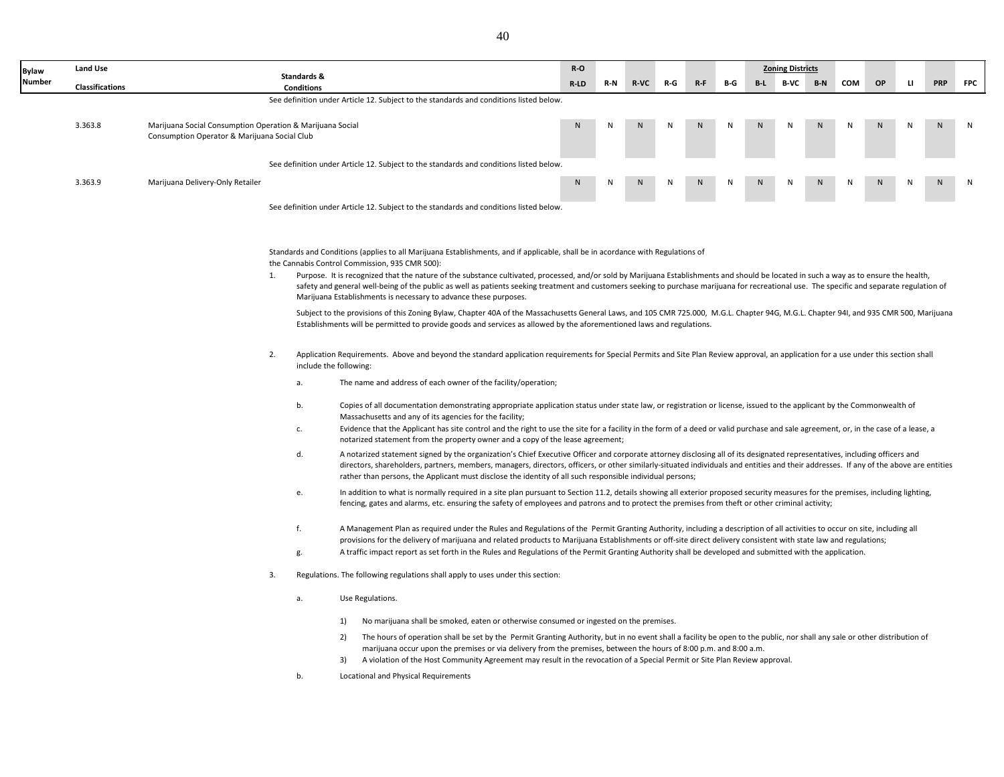| Bylaw  | <b>Land Use</b>        |                                                                                                           |                |                                                                              |                                                                                                                                                                                                                                                                    |  |                                                                                                                                                                                                                                                                                                                                                                                                                                                                                                                                                                                                                                                                                                                                                                                                                                                                                                                                                                                                                                                                                                                                                                                                                                                                                                                                                                                                                                                                                                                                                                                                                                                                                                                                                                                                                                                                                                                                                                                                                                                                                                                                                                                                                                                                                                                                                                                                                                                                                                                                                                                                                                                                                                                                                                                                                                                                                                                                                                                                                                                                                                                                                                                                                                                                                                                                                                                                                                                                                                            | $R-O$ |     |      |       |       |     |       | <b>Zoning Districts</b> |       |            |           |              |            |            |
|--------|------------------------|-----------------------------------------------------------------------------------------------------------|----------------|------------------------------------------------------------------------------|--------------------------------------------------------------------------------------------------------------------------------------------------------------------------------------------------------------------------------------------------------------------|--|------------------------------------------------------------------------------------------------------------------------------------------------------------------------------------------------------------------------------------------------------------------------------------------------------------------------------------------------------------------------------------------------------------------------------------------------------------------------------------------------------------------------------------------------------------------------------------------------------------------------------------------------------------------------------------------------------------------------------------------------------------------------------------------------------------------------------------------------------------------------------------------------------------------------------------------------------------------------------------------------------------------------------------------------------------------------------------------------------------------------------------------------------------------------------------------------------------------------------------------------------------------------------------------------------------------------------------------------------------------------------------------------------------------------------------------------------------------------------------------------------------------------------------------------------------------------------------------------------------------------------------------------------------------------------------------------------------------------------------------------------------------------------------------------------------------------------------------------------------------------------------------------------------------------------------------------------------------------------------------------------------------------------------------------------------------------------------------------------------------------------------------------------------------------------------------------------------------------------------------------------------------------------------------------------------------------------------------------------------------------------------------------------------------------------------------------------------------------------------------------------------------------------------------------------------------------------------------------------------------------------------------------------------------------------------------------------------------------------------------------------------------------------------------------------------------------------------------------------------------------------------------------------------------------------------------------------------------------------------------------------------------------------------------------------------------------------------------------------------------------------------------------------------------------------------------------------------------------------------------------------------------------------------------------------------------------------------------------------------------------------------------------------------------------------------------------------------------------------------------------------------|-------|-----|------|-------|-------|-----|-------|-------------------------|-------|------------|-----------|--------------|------------|------------|
| Number | <b>Classifications</b> |                                                                                                           |                | Standards &<br><b>Conditions</b>                                             |                                                                                                                                                                                                                                                                    |  |                                                                                                                                                                                                                                                                                                                                                                                                                                                                                                                                                                                                                                                                                                                                                                                                                                                                                                                                                                                                                                                                                                                                                                                                                                                                                                                                                                                                                                                                                                                                                                                                                                                                                                                                                                                                                                                                                                                                                                                                                                                                                                                                                                                                                                                                                                                                                                                                                                                                                                                                                                                                                                                                                                                                                                                                                                                                                                                                                                                                                                                                                                                                                                                                                                                                                                                                                                                                                                                                                                            | R-LD  | R-N | R-VC | $R-G$ | $R-F$ | B-G | $B-L$ | <b>B-VC</b>             | $B-N$ | <b>COM</b> | <b>OP</b> | $\mathbf{u}$ | <b>PRP</b> | <b>FPC</b> |
|        |                        |                                                                                                           |                |                                                                              |                                                                                                                                                                                                                                                                    |  | See definition under Article 12. Subject to the standards and conditions listed below.                                                                                                                                                                                                                                                                                                                                                                                                                                                                                                                                                                                                                                                                                                                                                                                                                                                                                                                                                                                                                                                                                                                                                                                                                                                                                                                                                                                                                                                                                                                                                                                                                                                                                                                                                                                                                                                                                                                                                                                                                                                                                                                                                                                                                                                                                                                                                                                                                                                                                                                                                                                                                                                                                                                                                                                                                                                                                                                                                                                                                                                                                                                                                                                                                                                                                                                                                                                                                     |       |     |      |       |       |     |       |                         |       |            |           |              |            |            |
|        | 3.363.8                | Marijuana Social Consumption Operation & Marijuana Social<br>Consumption Operator & Marijuana Social Club |                |                                                                              |                                                                                                                                                                                                                                                                    |  |                                                                                                                                                                                                                                                                                                                                                                                                                                                                                                                                                                                                                                                                                                                                                                                                                                                                                                                                                                                                                                                                                                                                                                                                                                                                                                                                                                                                                                                                                                                                                                                                                                                                                                                                                                                                                                                                                                                                                                                                                                                                                                                                                                                                                                                                                                                                                                                                                                                                                                                                                                                                                                                                                                                                                                                                                                                                                                                                                                                                                                                                                                                                                                                                                                                                                                                                                                                                                                                                                                            | N     |     |      |       |       |     |       |                         |       |            |           |              |            |            |
|        |                        |                                                                                                           |                |                                                                              |                                                                                                                                                                                                                                                                    |  | See definition under Article 12. Subject to the standards and conditions listed below.                                                                                                                                                                                                                                                                                                                                                                                                                                                                                                                                                                                                                                                                                                                                                                                                                                                                                                                                                                                                                                                                                                                                                                                                                                                                                                                                                                                                                                                                                                                                                                                                                                                                                                                                                                                                                                                                                                                                                                                                                                                                                                                                                                                                                                                                                                                                                                                                                                                                                                                                                                                                                                                                                                                                                                                                                                                                                                                                                                                                                                                                                                                                                                                                                                                                                                                                                                                                                     |       |     |      |       |       |     |       |                         |       |            |           |              |            |            |
|        | 3.363.9                | Marijuana Delivery-Only Retailer                                                                          |                |                                                                              |                                                                                                                                                                                                                                                                    |  |                                                                                                                                                                                                                                                                                                                                                                                                                                                                                                                                                                                                                                                                                                                                                                                                                                                                                                                                                                                                                                                                                                                                                                                                                                                                                                                                                                                                                                                                                                                                                                                                                                                                                                                                                                                                                                                                                                                                                                                                                                                                                                                                                                                                                                                                                                                                                                                                                                                                                                                                                                                                                                                                                                                                                                                                                                                                                                                                                                                                                                                                                                                                                                                                                                                                                                                                                                                                                                                                                                            | N.    |     |      |       |       |     |       |                         |       |            |           |              |            |            |
|        |                        |                                                                                                           |                |                                                                              |                                                                                                                                                                                                                                                                    |  |                                                                                                                                                                                                                                                                                                                                                                                                                                                                                                                                                                                                                                                                                                                                                                                                                                                                                                                                                                                                                                                                                                                                                                                                                                                                                                                                                                                                                                                                                                                                                                                                                                                                                                                                                                                                                                                                                                                                                                                                                                                                                                                                                                                                                                                                                                                                                                                                                                                                                                                                                                                                                                                                                                                                                                                                                                                                                                                                                                                                                                                                                                                                                                                                                                                                                                                                                                                                                                                                                                            |       |     |      |       |       |     |       |                         |       |            |           |              |            |            |
|        |                        |                                                                                                           |                |                                                                              |                                                                                                                                                                                                                                                                    |  | See definition under Article 12. Subject to the standards and conditions listed below.                                                                                                                                                                                                                                                                                                                                                                                                                                                                                                                                                                                                                                                                                                                                                                                                                                                                                                                                                                                                                                                                                                                                                                                                                                                                                                                                                                                                                                                                                                                                                                                                                                                                                                                                                                                                                                                                                                                                                                                                                                                                                                                                                                                                                                                                                                                                                                                                                                                                                                                                                                                                                                                                                                                                                                                                                                                                                                                                                                                                                                                                                                                                                                                                                                                                                                                                                                                                                     |       |     |      |       |       |     |       |                         |       |            |           |              |            |            |
|        |                        |                                                                                                           | 1.<br>2.<br>3. | include the following:<br>a.<br>b.<br>c.<br>d.<br>e.<br>f.<br>g.<br>а.<br>b. | the Cannabis Control Commission, 935 CMR 500):<br>Marijuana Establishments is necessary to advance these purposes.<br>Massachusetts and any of its agencies for the facility;<br>Use Regulations.<br>1)<br>2)<br>3)<br><b>Locational and Physical Requirements</b> |  | Standards and Conditions (applies to all Marijuana Establishments, and if applicable, shall be in acordance with Regulations of<br>Purpose. It is recognized that the nature of the substance cultivated, processed, and/or sold by Marijuana Establishments and should be located in such a way as to ensure the health,<br>safety and general well-being of the public as well as patients seeking treatment and customers seeking to purchase marijuana for recreational use. The specific and separate regulation of<br>Subject to the provisions of this Zoning Bylaw, Chapter 40A of the Massachusetts General Laws, and 105 CMR 725.000, M.G.L. Chapter 94G, M.G.L. Chapter 941, and 935 CMR 500, Marijuana<br>Establishments will be permitted to provide goods and services as allowed by the aforementioned laws and regulations.<br>Application Requirements. Above and beyond the standard application requirements for Special Permits and Site Plan Review approval, an application for a use under this section shall<br>The name and address of each owner of the facility/operation;<br>Copies of all documentation demonstrating appropriate application status under state law, or registration or license, issued to the applicant by the Commonwealth of<br>Evidence that the Applicant has site control and the right to use the site for a facility in the form of a deed or valid purchase and sale agreement, or, in the case of a lease, a<br>notarized statement from the property owner and a copy of the lease agreement;<br>A notarized statement signed by the organization's Chief Executive Officer and corporate attorney disclosing all of its designated representatives, including officers and<br>directors, shareholders, partners, members, managers, directors, officers, or other similarly-situated individuals and entities and their addresses. If any of the above are entities<br>rather than persons, the Applicant must disclose the identity of all such responsible individual persons;<br>In addition to what is normally required in a site plan pursuant to Section 11.2, details showing all exterior proposed security measures for the premises, including lighting,<br>fencing, gates and alarms, etc. ensuring the safety of employees and patrons and to protect the premises from theft or other criminal activity;<br>A Management Plan as required under the Rules and Regulations of the Permit Granting Authority, including a description of all activities to occur on site, including all<br>provisions for the delivery of marijuana and related products to Marijuana Establishments or off-site direct delivery consistent with state law and regulations;<br>A traffic impact report as set forth in the Rules and Regulations of the Permit Granting Authority shall be developed and submitted with the application.<br>Regulations. The following regulations shall apply to uses under this section:<br>No marijuana shall be smoked, eaten or otherwise consumed or ingested on the premises.<br>The hours of operation shall be set by the Permit Granting Authority, but in no event shall a facility be open to the public, nor shall any sale or other distribution of<br>marijuana occur upon the premises or via delivery from the premises, between the hours of 8:00 p.m. and 8:00 a.m.<br>A violation of the Host Community Agreement may result in the revocation of a Special Permit or Site Plan Review approval. |       |     |      |       |       |     |       |                         |       |            |           |              |            |            |
|        |                        |                                                                                                           |                |                                                                              |                                                                                                                                                                                                                                                                    |  |                                                                                                                                                                                                                                                                                                                                                                                                                                                                                                                                                                                                                                                                                                                                                                                                                                                                                                                                                                                                                                                                                                                                                                                                                                                                                                                                                                                                                                                                                                                                                                                                                                                                                                                                                                                                                                                                                                                                                                                                                                                                                                                                                                                                                                                                                                                                                                                                                                                                                                                                                                                                                                                                                                                                                                                                                                                                                                                                                                                                                                                                                                                                                                                                                                                                                                                                                                                                                                                                                                            |       |     |      |       |       |     |       |                         |       |            |           |              |            |            |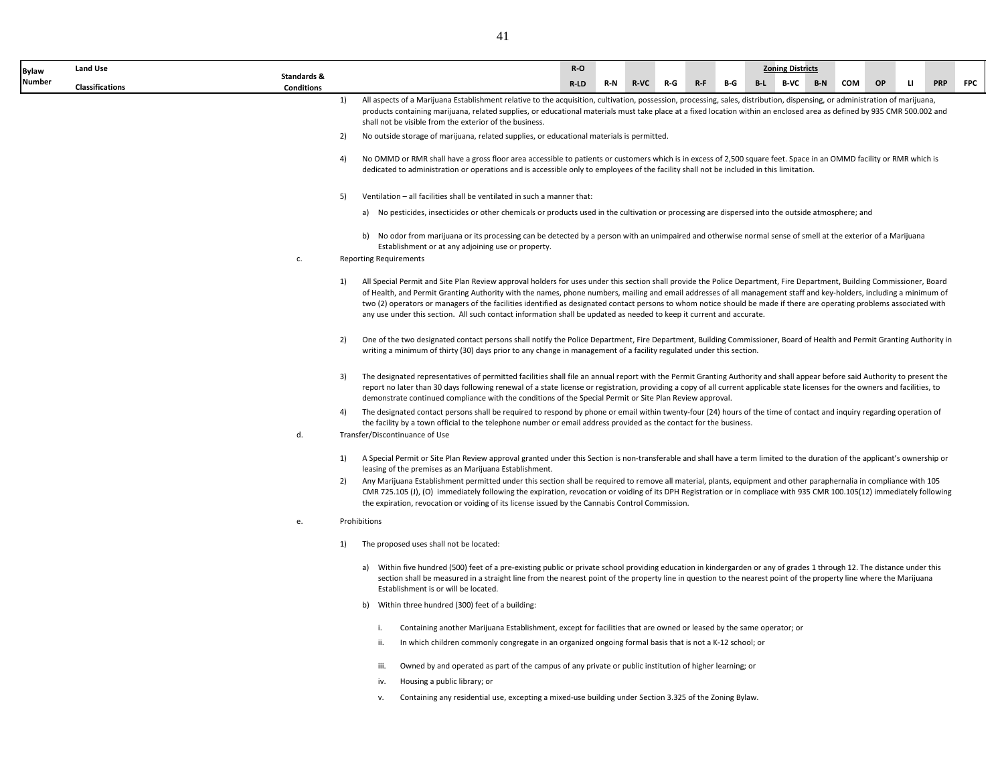41

| <b>Bylaw</b>  | <b>Land Use</b>        |                                  |    |                                                                                                                                                                                                                                                                                                                                                                                                                                                                                                                                                                                                                                                  | $R-O$                                                                                                                                                                                                                           |     |             |                |     | <b>Zoning Districts</b> |       |     |           |              |            |            |
|---------------|------------------------|----------------------------------|----|--------------------------------------------------------------------------------------------------------------------------------------------------------------------------------------------------------------------------------------------------------------------------------------------------------------------------------------------------------------------------------------------------------------------------------------------------------------------------------------------------------------------------------------------------------------------------------------------------------------------------------------------------|---------------------------------------------------------------------------------------------------------------------------------------------------------------------------------------------------------------------------------|-----|-------------|----------------|-----|-------------------------|-------|-----|-----------|--------------|------------|------------|
| <b>Number</b> | <b>Classifications</b> | Standards &<br><b>Conditions</b> |    |                                                                                                                                                                                                                                                                                                                                                                                                                                                                                                                                                                                                                                                  | R-LD                                                                                                                                                                                                                            | R-N | <b>R-VC</b> | $R - F$<br>R-G | B-G | B-L B-VC                | $B-N$ | COM | <b>OP</b> | $\mathbf{u}$ | <b>PRP</b> | <b>FPC</b> |
|               |                        |                                  | 1) | All aspects of a Marijuana Establishment relative to the acquisition, cultivation, possession, processing, sales, distribution, dispensing, or administration of marijuana,<br>products containing marijuana, related supplies, or educational materials must take place at a fixed location within an enclosed area as defined by 935 CMR 500.002 and<br>shall not be visible from the exterior of the business.                                                                                                                                                                                                                                |                                                                                                                                                                                                                                 |     |             |                |     |                         |       |     |           |              |            |            |
|               |                        |                                  | 2) | No outside storage of marijuana, related supplies, or educational materials is permitted.                                                                                                                                                                                                                                                                                                                                                                                                                                                                                                                                                        |                                                                                                                                                                                                                                 |     |             |                |     |                         |       |     |           |              |            |            |
|               |                        |                                  | 4) | No OMMD or RMR shall have a gross floor area accessible to patients or customers which is in excess of 2,500 square feet. Space in an OMMD facility or RMR which is<br>dedicated to administration or operations and is accessible only to employees of the facility shall not be included in this limitation.                                                                                                                                                                                                                                                                                                                                   |                                                                                                                                                                                                                                 |     |             |                |     |                         |       |     |           |              |            |            |
|               |                        |                                  | 5) | Ventilation - all facilities shall be ventilated in such a manner that:                                                                                                                                                                                                                                                                                                                                                                                                                                                                                                                                                                          |                                                                                                                                                                                                                                 |     |             |                |     |                         |       |     |           |              |            |            |
|               |                        |                                  |    | a) No pesticides, insecticides or other chemicals or products used in the cultivation or processing are dispersed into the outside atmosphere; and                                                                                                                                                                                                                                                                                                                                                                                                                                                                                               |                                                                                                                                                                                                                                 |     |             |                |     |                         |       |     |           |              |            |            |
|               |                        | c.                               |    | b) No odor from marijuana or its processing can be detected by a person with an unimpaired and otherwise normal sense of smell at the exterior of a Marijuana<br>Establishment or at any adjoining use or property.<br><b>Reporting Requirements</b>                                                                                                                                                                                                                                                                                                                                                                                             |                                                                                                                                                                                                                                 |     |             |                |     |                         |       |     |           |              |            |            |
|               |                        |                                  | 1) | All Special Permit and Site Plan Review approval holders for uses under this section shall provide the Police Department, Fire Department, Building Commissioner, Board<br>of Health, and Permit Granting Authority with the names, phone numbers, mailing and email addresses of all management staff and key-holders, including a minimum of<br>two (2) operators or managers of the facilities identified as designated contact persons to whom notice should be made if there are operating problems associated with<br>any use under this section. All such contact information shall be updated as needed to keep it current and accurate. |                                                                                                                                                                                                                                 |     |             |                |     |                         |       |     |           |              |            |            |
|               |                        |                                  | 2) | One of the two designated contact persons shall notify the Police Department, Fire Department, Building Commissioner, Board of Health and Permit Granting Authority in<br>writing a minimum of thirty (30) days prior to any change in management of a facility regulated under this section.                                                                                                                                                                                                                                                                                                                                                    |                                                                                                                                                                                                                                 |     |             |                |     |                         |       |     |           |              |            |            |
|               |                        |                                  | 3) | The designated representatives of permitted facilities shall file an annual report with the Permit Granting Authority and shall appear before said Authority to present the<br>report no later than 30 days following renewal of a state license or registration, providing a copy of all current applicable state licenses for the owners and facilities, to<br>demonstrate continued compliance with the conditions of the Special Permit or Site Plan Review approval.                                                                                                                                                                        |                                                                                                                                                                                                                                 |     |             |                |     |                         |       |     |           |              |            |            |
|               |                        |                                  | 4) | The designated contact persons shall be required to respond by phone or email within twenty-four (24) hours of the time of contact and inquiry regarding operation of<br>the facility by a town official to the telephone number or email address provided as the contact for the business.                                                                                                                                                                                                                                                                                                                                                      |                                                                                                                                                                                                                                 |     |             |                |     |                         |       |     |           |              |            |            |
|               |                        | d.                               |    | Transfer/Discontinuance of Use                                                                                                                                                                                                                                                                                                                                                                                                                                                                                                                                                                                                                   |                                                                                                                                                                                                                                 |     |             |                |     |                         |       |     |           |              |            |            |
|               |                        |                                  | 1) | A Special Permit or Site Plan Review approval granted under this Section is non-transferable and shall have a term limited to the duration of the applicant's ownership or<br>leasing of the premises as an Marijuana Establishment.                                                                                                                                                                                                                                                                                                                                                                                                             |                                                                                                                                                                                                                                 |     |             |                |     |                         |       |     |           |              |            |            |
|               |                        |                                  | 2) | Any Marijuana Establishment permitted under this section shall be required to remove all material, plants, equipment and other paraphernalia in compliance with 105<br>CMR 725.105 (J), (O) immediately following the expiration, revocation or voiding of its DPH Registration or in compliace with 935 CMR 100.105(12) immediately following<br>the expiration, revocation or voiding of its license issued by the Cannabis Control Commission.                                                                                                                                                                                                |                                                                                                                                                                                                                                 |     |             |                |     |                         |       |     |           |              |            |            |
|               |                        | e.                               |    | Prohibitions                                                                                                                                                                                                                                                                                                                                                                                                                                                                                                                                                                                                                                     |                                                                                                                                                                                                                                 |     |             |                |     |                         |       |     |           |              |            |            |
|               |                        |                                  | 1) | The proposed uses shall not be located:                                                                                                                                                                                                                                                                                                                                                                                                                                                                                                                                                                                                          |                                                                                                                                                                                                                                 |     |             |                |     |                         |       |     |           |              |            |            |
|               |                        |                                  |    | a) Within five hundred (500) feet of a pre-existing public or private school providing education in kindergarden or any of grades 1 through 12. The distance under this<br>section shall be measured in a straight line from the nearest point of the property line in question to the nearest point of the property line where the Marijuana<br>Establishment is or will be located.                                                                                                                                                                                                                                                            |                                                                                                                                                                                                                                 |     |             |                |     |                         |       |     |           |              |            |            |
|               |                        |                                  |    | b) Within three hundred (300) feet of a building:                                                                                                                                                                                                                                                                                                                                                                                                                                                                                                                                                                                                |                                                                                                                                                                                                                                 |     |             |                |     |                         |       |     |           |              |            |            |
|               |                        |                                  |    | i.                                                                                                                                                                                                                                                                                                                                                                                                                                                                                                                                                                                                                                               |                                                                                                                                                                                                                                 |     |             |                |     |                         |       |     |           |              |            |            |
|               |                        |                                  |    | ii.                                                                                                                                                                                                                                                                                                                                                                                                                                                                                                                                                                                                                                              | Containing another Marijuana Establishment, except for facilities that are owned or leased by the same operator; or<br>In which children commonly congregate in an organized ongoing formal basis that is not a K-12 school; or |     |             |                |     |                         |       |     |           |              |            |            |
|               |                        |                                  |    | Owned by and operated as part of the campus of any private or public institution of higher learning; or<br>iii.                                                                                                                                                                                                                                                                                                                                                                                                                                                                                                                                  |                                                                                                                                                                                                                                 |     |             |                |     |                         |       |     |           |              |            |            |
|               |                        |                                  |    | Housing a public library; or<br>iv.                                                                                                                                                                                                                                                                                                                                                                                                                                                                                                                                                                                                              |                                                                                                                                                                                                                                 |     |             |                |     |                         |       |     |           |              |            |            |

v. Containing any residential use, excepting a mixed-use building under Section 3.325 of the Zoning Bylaw.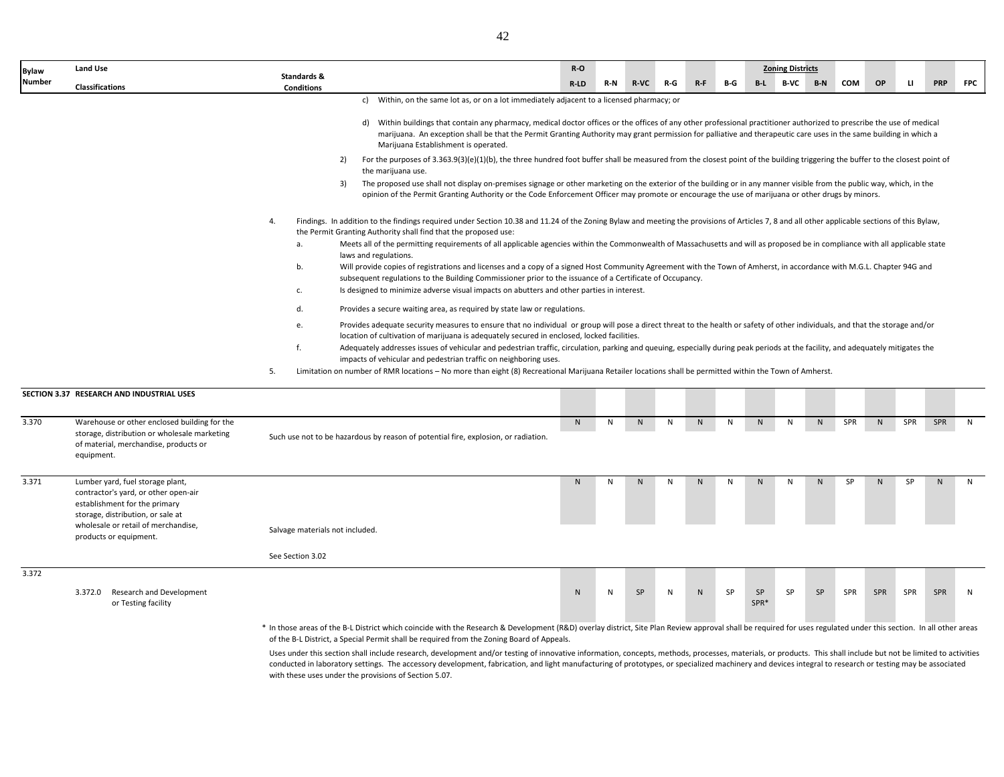| <b>Bylaw</b> | <b>Land Use</b>                                                                                                                                                                                                 |                                                                                                                                                                                                                                                                                                                                                                                                                                                                                                                                                                                                                                                                                                                                                                                                                                                                                                                                                                                                                                                                                                                                                                                                                                                                                                                                                                                                                                                                                                                                                                                                                                                                                                                                                                                                                                                                                                                                                                                                                                                                                                                                                                                                                                                                                                                                                                                                                                                                                                                                                                                                                                                                                                                               | $R-O$ |     |             |     |                |     |                | <b>Zoning Districts</b> |       |            |              |           |            |              |
|--------------|-----------------------------------------------------------------------------------------------------------------------------------------------------------------------------------------------------------------|-------------------------------------------------------------------------------------------------------------------------------------------------------------------------------------------------------------------------------------------------------------------------------------------------------------------------------------------------------------------------------------------------------------------------------------------------------------------------------------------------------------------------------------------------------------------------------------------------------------------------------------------------------------------------------------------------------------------------------------------------------------------------------------------------------------------------------------------------------------------------------------------------------------------------------------------------------------------------------------------------------------------------------------------------------------------------------------------------------------------------------------------------------------------------------------------------------------------------------------------------------------------------------------------------------------------------------------------------------------------------------------------------------------------------------------------------------------------------------------------------------------------------------------------------------------------------------------------------------------------------------------------------------------------------------------------------------------------------------------------------------------------------------------------------------------------------------------------------------------------------------------------------------------------------------------------------------------------------------------------------------------------------------------------------------------------------------------------------------------------------------------------------------------------------------------------------------------------------------------------------------------------------------------------------------------------------------------------------------------------------------------------------------------------------------------------------------------------------------------------------------------------------------------------------------------------------------------------------------------------------------------------------------------------------------------------------------------------------------|-------|-----|-------------|-----|----------------|-----|----------------|-------------------------|-------|------------|--------------|-----------|------------|--------------|
| Number       | <b>Classifications</b>                                                                                                                                                                                          | Standards &<br><b>Conditions</b>                                                                                                                                                                                                                                                                                                                                                                                                                                                                                                                                                                                                                                                                                                                                                                                                                                                                                                                                                                                                                                                                                                                                                                                                                                                                                                                                                                                                                                                                                                                                                                                                                                                                                                                                                                                                                                                                                                                                                                                                                                                                                                                                                                                                                                                                                                                                                                                                                                                                                                                                                                                                                                                                                              | R-LD  | R-N | <b>R-VC</b> | R-G | $R-F$          | B-G | $B-L$          | B-VC                    | $B-N$ | <b>COM</b> | <b>OP</b>    | ш         | <b>PRP</b> | <b>FPC</b>   |
|              | SECTION 3.37 RESEARCH AND INDUSTRIAL USES                                                                                                                                                                       | c) Within, on the same lot as, or on a lot immediately adjacent to a licensed pharmacy; or<br>d) Within buildings that contain any pharmacy, medical doctor offices or the offices of any other professional practitioner authorized to prescribe the use of medical<br>marijuana. An exception shall be that the Permit Granting Authority may grant permission for palliative and therapeutic care uses in the same building in which a<br>Marijuana Establishment is operated.<br>For the purposes of 3.363.9(3)(e)(1)(b), the three hundred foot buffer shall be measured from the closest point of the building triggering the buffer to the closest point of<br>2)<br>the marijuana use.<br>The proposed use shall not display on-premises signage or other marketing on the exterior of the building or in any manner visible from the public way, which, in the<br>3)<br>opinion of the Permit Granting Authority or the Code Enforcement Officer may promote or encourage the use of marijuana or other drugs by minors.<br>Findings. In addition to the findings required under Section 10.38 and 11.24 of the Zoning Bylaw and meeting the provisions of Articles 7, 8 and all other applicable sections of this Bylaw,<br>4.<br>the Permit Granting Authority shall find that the proposed use:<br>Meets all of the permitting requirements of all applicable agencies within the Commonwealth of Massachusetts and will as proposed be in compliance with all applicable state<br>а.<br>laws and regulations.<br>Will provide copies of registrations and licenses and a copy of a signed Host Community Agreement with the Town of Amherst, in accordance with M.G.L. Chapter 94G and<br>b.<br>subsequent regulations to the Building Commissioner prior to the issuance of a Certificate of Occupancy.<br>Is designed to minimize adverse visual impacts on abutters and other parties in interest.<br>c.<br>d.<br>Provides a secure waiting area, as required by state law or regulations.<br>Provides adequate security measures to ensure that no individual or group will pose a direct threat to the health or safety of other individuals, and that the storage and/or<br>e.<br>location of cultivation of marijuana is adequately secured in enclosed, locked facilities.<br>f.<br>Adequately addresses issues of vehicular and pedestrian traffic, circulation, parking and queuing, especially during peak periods at the facility, and adequately mitigates the<br>impacts of vehicular and pedestrian traffic on neighboring uses.<br>Limitation on number of RMR locations - No more than eight (8) Recreational Marijuana Retailer locations shall be permitted within the Town of Amherst.<br>5. |       |     |             |     |                |     |                |                         |       |            |              |           |            |              |
| 3.370        | Warehouse or other enclosed building for the<br>storage, distribution or wholesale marketing<br>of material, merchandise, products or<br>equipment.                                                             | Such use not to be hazardous by reason of potential fire, explosion, or radiation.                                                                                                                                                                                                                                                                                                                                                                                                                                                                                                                                                                                                                                                                                                                                                                                                                                                                                                                                                                                                                                                                                                                                                                                                                                                                                                                                                                                                                                                                                                                                                                                                                                                                                                                                                                                                                                                                                                                                                                                                                                                                                                                                                                                                                                                                                                                                                                                                                                                                                                                                                                                                                                            | N     | N   | N           | N   | N              | N   | N              | N                       | N     | SPR        | N            | SPR       | <b>SPR</b> | $\mathsf{N}$ |
| 3.371        | Lumber yard, fuel storage plant,<br>contractor's yard, or other open-air<br>establishment for the primary<br>storage, distribution, or sale at<br>wholesale or retail of merchandise,<br>products or equipment. | Salvage materials not included.                                                                                                                                                                                                                                                                                                                                                                                                                                                                                                                                                                                                                                                                                                                                                                                                                                                                                                                                                                                                                                                                                                                                                                                                                                                                                                                                                                                                                                                                                                                                                                                                                                                                                                                                                                                                                                                                                                                                                                                                                                                                                                                                                                                                                                                                                                                                                                                                                                                                                                                                                                                                                                                                                               | N     | N   | N           | N   | N <sub>1</sub> | N   | N <sub>1</sub> | N                       | N     | <b>SP</b>  | $\mathsf{N}$ | <b>SP</b> | N.         | $\mathsf{N}$ |
|              |                                                                                                                                                                                                                 | See Section 3.02                                                                                                                                                                                                                                                                                                                                                                                                                                                                                                                                                                                                                                                                                                                                                                                                                                                                                                                                                                                                                                                                                                                                                                                                                                                                                                                                                                                                                                                                                                                                                                                                                                                                                                                                                                                                                                                                                                                                                                                                                                                                                                                                                                                                                                                                                                                                                                                                                                                                                                                                                                                                                                                                                                              |       |     |             |     |                |     |                |                         |       |            |              |           |            |              |
| 3.372        |                                                                                                                                                                                                                 |                                                                                                                                                                                                                                                                                                                                                                                                                                                                                                                                                                                                                                                                                                                                                                                                                                                                                                                                                                                                                                                                                                                                                                                                                                                                                                                                                                                                                                                                                                                                                                                                                                                                                                                                                                                                                                                                                                                                                                                                                                                                                                                                                                                                                                                                                                                                                                                                                                                                                                                                                                                                                                                                                                                               |       |     |             |     |                |     |                |                         |       |            |              |           |            |              |
|              | 3.372.0<br>Research and Development<br>or Testing facility                                                                                                                                                      |                                                                                                                                                                                                                                                                                                                                                                                                                                                                                                                                                                                                                                                                                                                                                                                                                                                                                                                                                                                                                                                                                                                                                                                                                                                                                                                                                                                                                                                                                                                                                                                                                                                                                                                                                                                                                                                                                                                                                                                                                                                                                                                                                                                                                                                                                                                                                                                                                                                                                                                                                                                                                                                                                                                               | N     | N   | SP          | N   | ${\sf N}$      | SP  | SP<br>SPR*     | SP                      | SP    | SPR        | SPR          | SPR       | SPR        | N            |

\* In those areas of the B-L District which coincide with the Research & Development (R&D) overlay district, Site Plan Review approval shall be required for uses regulated under this section. In all other areas of the B-L District, a Special Permit shall be required from the Zoning Board of Appeals.

Uses under this section shall include research, development and/or testing of innovative information, concepts, methods, processes, materials, or products. This shall include but not be limited to activities conducted in laboratory settings. The accessory development, fabrication, and light manufacturing of prototypes, or specialized machinery and devices integral to research or testing may be associated with these uses under the provisions of Section 5.07.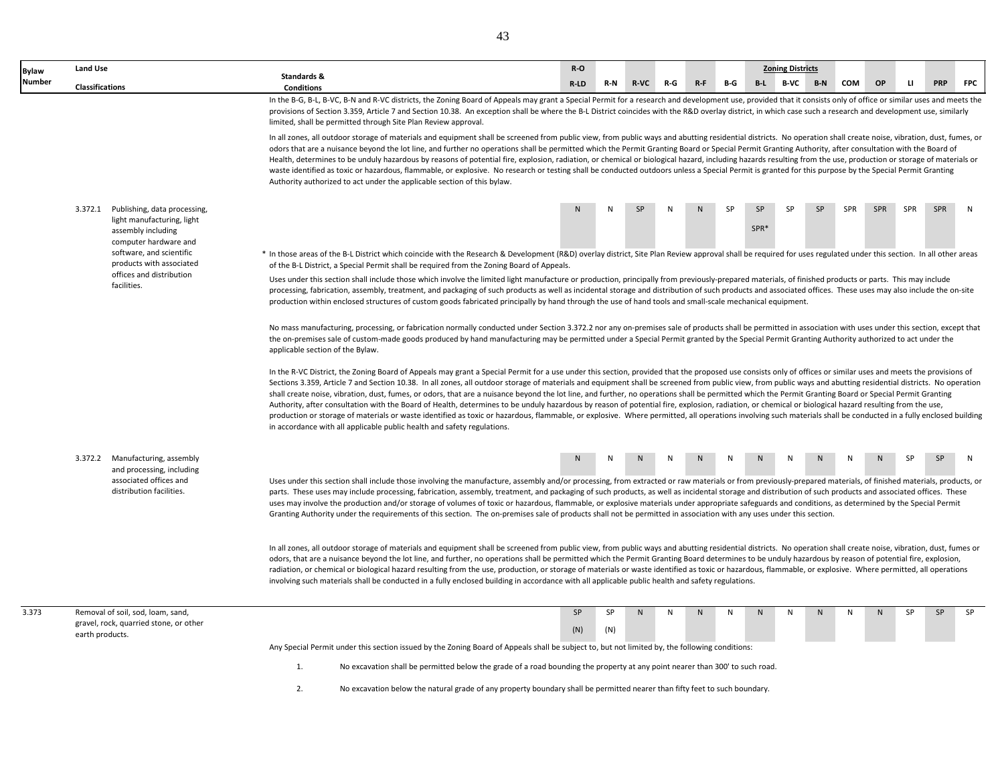| <b>Bylaw</b>  | Land Use               |                                                                           |                                  |                                                                                                                                                                                                                                                                                                                                                                                                                                                                                                                                                                                                                                                                                                                                                                                                                                                                                                                                                                                                                                                                                                                                                     | $R-O$  |     |             |              |           |              |              | <b>Zoning Districts</b> |           |     |            |     |            |            |
|---------------|------------------------|---------------------------------------------------------------------------|----------------------------------|-----------------------------------------------------------------------------------------------------------------------------------------------------------------------------------------------------------------------------------------------------------------------------------------------------------------------------------------------------------------------------------------------------------------------------------------------------------------------------------------------------------------------------------------------------------------------------------------------------------------------------------------------------------------------------------------------------------------------------------------------------------------------------------------------------------------------------------------------------------------------------------------------------------------------------------------------------------------------------------------------------------------------------------------------------------------------------------------------------------------------------------------------------|--------|-----|-------------|--------------|-----------|--------------|--------------|-------------------------|-----------|-----|------------|-----|------------|------------|
| <b>Number</b> | <b>Classifications</b> |                                                                           | Standards &<br><b>Conditions</b> |                                                                                                                                                                                                                                                                                                                                                                                                                                                                                                                                                                                                                                                                                                                                                                                                                                                                                                                                                                                                                                                                                                                                                     | $R-LD$ | R-N | <b>R-VC</b> | R-G          | $R - F$   | B-G          | B-L          | <b>B-VC</b>             | $B-N$     | COM | OP         | u.  | <b>PRP</b> | <b>FPC</b> |
|               |                        |                                                                           |                                  | In the B-G, B-L, B-VC, B-N and R-VC districts, the Zoning Board of Appeals may grant a Special Permit for a research and development use, provided that it consists only of office or similar uses and meets the<br>provisions of Section 3.359, Article 7 and Section 10.38. An exception shall be where the B-L District coincides with the R&D overlay district, in which case such a research and development use, similarly<br>limited, shall be permitted through Site Plan Review approval.                                                                                                                                                                                                                                                                                                                                                                                                                                                                                                                                                                                                                                                  |        |     |             |              |           |              |              |                         |           |     |            |     |            |            |
|               |                        |                                                                           |                                  | In all zones, all outdoor storage of materials and equipment shall be screened from public view, from public ways and abutting residential districts. No operation shall create noise, vibration, dust, fumes, or<br>odors that are a nuisance beyond the lot line, and further no operations shall be permitted which the Permit Granting Board or Special Permit Granting Authority, after consultation with the Board of<br>Health, determines to be unduly hazardous by reasons of potential fire, explosion, radiation, or chemical or biological hazard, including hazards resulting from the use, production or storage of materials or<br>waste identified as toxic or hazardous, flammable, or explosive. No research or testing shall be conducted outdoors unless a Special Permit is granted for this purpose by the Special Permit Granting<br>Authority authorized to act under the applicable section of this bylaw.                                                                                                                                                                                                                 |        |     |             |              |           |              |              |                         |           |     |            |     |            |            |
|               |                        | 3.372.1 Publishing, data processing,                                      |                                  |                                                                                                                                                                                                                                                                                                                                                                                                                                                                                                                                                                                                                                                                                                                                                                                                                                                                                                                                                                                                                                                                                                                                                     | N.     | N   | <b>SP</b>   | $\mathbf{N}$ | N         | SP           | <b>SP</b>    | <b>SP</b>               | <b>SP</b> | SPR | <b>SPR</b> | SPR | SPR        | N          |
|               |                        | light manufacturing, light<br>assembly including<br>computer hardware and |                                  |                                                                                                                                                                                                                                                                                                                                                                                                                                                                                                                                                                                                                                                                                                                                                                                                                                                                                                                                                                                                                                                                                                                                                     |        |     |             |              |           |              | SPR*         |                         |           |     |            |     |            |            |
|               |                        | software, and scientific<br>products with associated                      |                                  | * In those areas of the B-L District which coincide with the Research & Development (R&D) overlay district, Site Plan Review approval shall be required for uses regulated under this section. In all other areas<br>of the B-L District, a Special Permit shall be required from the Zoning Board of Appeals.                                                                                                                                                                                                                                                                                                                                                                                                                                                                                                                                                                                                                                                                                                                                                                                                                                      |        |     |             |              |           |              |              |                         |           |     |            |     |            |            |
|               |                        | offices and distribution<br>facilities.                                   |                                  | Uses under this section shall include those which involve the limited light manufacture or production, principally from previously-prepared materials, of finished products or parts. This may include<br>processing, fabrication, assembly, treatment, and packaging of such products as well as incidental storage and distribution of such products and associated offices. These uses may also include the on-site<br>production within enclosed structures of custom goods fabricated principally by hand through the use of hand tools and small-scale mechanical equipment.                                                                                                                                                                                                                                                                                                                                                                                                                                                                                                                                                                  |        |     |             |              |           |              |              |                         |           |     |            |     |            |            |
|               |                        |                                                                           | applicable section of the Bylaw. | No mass manufacturing, processing, or fabrication normally conducted under Section 3.372.2 nor any on-premises sale of products shall be permitted in association with uses under this section, except that<br>the on-premises sale of custom-made goods produced by hand manufacturing may be permitted under a Special Permit granted by the Special Permit Granting Authority authorized to act under the                                                                                                                                                                                                                                                                                                                                                                                                                                                                                                                                                                                                                                                                                                                                        |        |     |             |              |           |              |              |                         |           |     |            |     |            |            |
|               |                        |                                                                           |                                  | In the R-VC District, the Zoning Board of Appeals may grant a Special Permit for a use under this section, provided that the proposed use consists only of offices or similar uses and meets the provisions of<br>Sections 3.359, Article 7 and Section 10.38. In all zones, all outdoor storage of materials and equipment shall be screened from public view, from public ways and abutting residential districts. No operation<br>shall create noise, vibration, dust, fumes, or odors, that are a nuisance beyond the lot line, and further, no operations shall be permitted which the Permit Granting Board or Special Permit Granting<br>Authority, after consultation with the Board of Health, determines to be unduly hazardous by reason of potential fire, explosion, radiation, or chemical or biological hazard resulting from the use,<br>production or storage of materials or waste identified as toxic or hazardous, flammable, or explosive. Where permitted, all operations involving such materials shall be conducted in a fully enclosed building<br>in accordance with all applicable public health and safety regulations. |        |     |             |              |           |              |              |                         |           |     |            |     |            |            |
|               |                        | 3.372.2 Manufacturing, assembly                                           |                                  |                                                                                                                                                                                                                                                                                                                                                                                                                                                                                                                                                                                                                                                                                                                                                                                                                                                                                                                                                                                                                                                                                                                                                     | N.     | N   |             |              |           |              |              |                         |           |     |            | SP  | <b>SP</b>  | N          |
|               |                        | and processing, including<br>associated offices and                       |                                  | Uses under this section shall include those involving the manufacture, assembly and/or processing, from extracted or raw materials or from previously-prepared materials, of finished materials, products, or                                                                                                                                                                                                                                                                                                                                                                                                                                                                                                                                                                                                                                                                                                                                                                                                                                                                                                                                       |        |     |             |              |           |              |              |                         |           |     |            |     |            |            |
|               |                        | distribution facilities.                                                  |                                  | parts. These uses may include processing, fabrication, assembly, treatment, and packaging of such products, as well as incidental storage and distribution of such products and associated offices. These<br>uses may involve the production and/or storage of volumes of toxic or hazardous, flammable, or explosive materials under appropriate safeguards and conditions, as determined by the Special Permit<br>Granting Authority under the requirements of this section. The on-premises sale of products shall not be permitted in association with any uses under this section.                                                                                                                                                                                                                                                                                                                                                                                                                                                                                                                                                             |        |     |             |              |           |              |              |                         |           |     |            |     |            |            |
|               |                        |                                                                           |                                  | In all zones, all outdoor storage of materials and equipment shall be screened from public view, from public ways and abutting residential districts. No operation shall create noise, vibration, dust, fumes or<br>odors, that are a nuisance beyond the lot line, and further, no operations shall be permitted which the Permit Granting Board determines to be unduly hazardous by reason of potential fire, explosion,<br>radiation, or chemical or biological hazard resulting from the use, production, or storage of materials or waste identified as toxic or hazardous, flammable, or explosive. Where permitted, all operations<br>involving such materials shall be conducted in a fully enclosed building in accordance with all applicable public health and safety regulations.                                                                                                                                                                                                                                                                                                                                                      |        |     |             |              |           |              |              |                         |           |     |            |     |            |            |
| 3.373         |                        | Removal of soil, sod, loam, sand,                                         |                                  |                                                                                                                                                                                                                                                                                                                                                                                                                                                                                                                                                                                                                                                                                                                                                                                                                                                                                                                                                                                                                                                                                                                                                     | SP     | SP  | N           | N            | ${\sf N}$ | $\mathsf{N}$ | $\mathsf{N}$ | N                       | ${\sf N}$ | N   | N          | SP  | SP         | SP         |
|               |                        | gravel, rock, quarried stone, or other                                    |                                  |                                                                                                                                                                                                                                                                                                                                                                                                                                                                                                                                                                                                                                                                                                                                                                                                                                                                                                                                                                                                                                                                                                                                                     | (N)    | (N) |             |              |           |              |              |                         |           |     |            |     |            |            |
|               | earth products.        |                                                                           |                                  | Any Special Permit under this section issued by the Zoning Board of Appeals shall be subject to, but not limited by, the following conditions:                                                                                                                                                                                                                                                                                                                                                                                                                                                                                                                                                                                                                                                                                                                                                                                                                                                                                                                                                                                                      |        |     |             |              |           |              |              |                         |           |     |            |     |            |            |
|               |                        |                                                                           | 1.                               | No excavation shall be permitted below the grade of a road bounding the property at any point nearer than 300' to such road.                                                                                                                                                                                                                                                                                                                                                                                                                                                                                                                                                                                                                                                                                                                                                                                                                                                                                                                                                                                                                        |        |     |             |              |           |              |              |                         |           |     |            |     |            |            |
|               |                        |                                                                           | 2.                               | No excavation below the natural grade of any property boundary shall be permitted nearer than fifty feet to such boundary.                                                                                                                                                                                                                                                                                                                                                                                                                                                                                                                                                                                                                                                                                                                                                                                                                                                                                                                                                                                                                          |        |     |             |              |           |              |              |                         |           |     |            |     |            |            |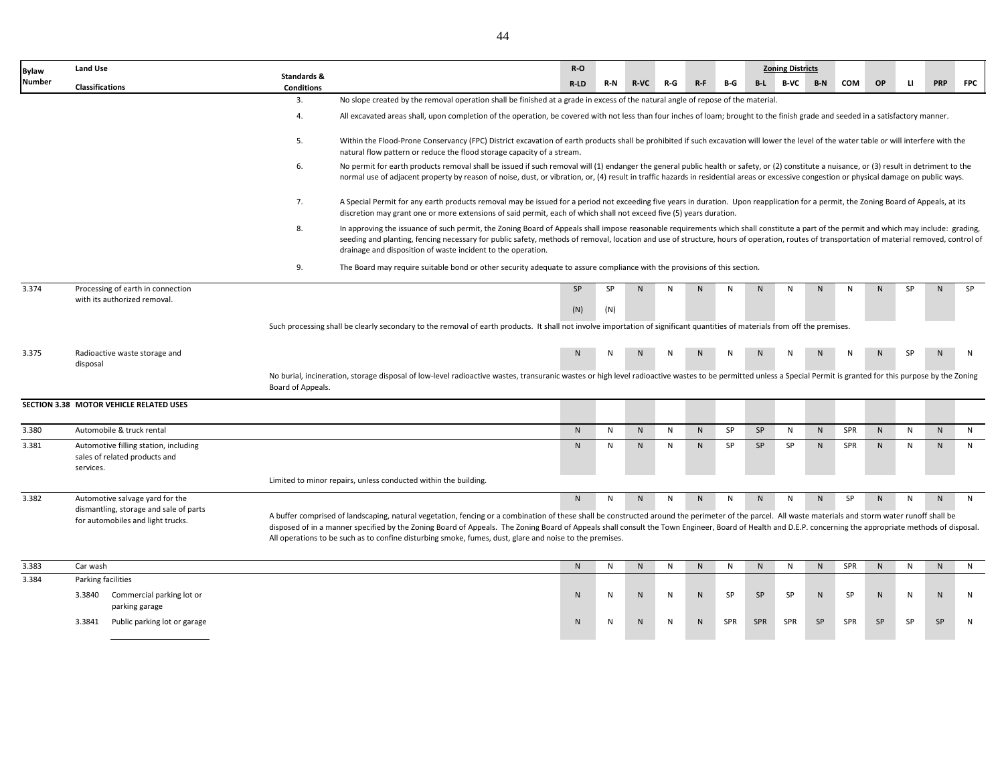| <b>Bylaw</b>  | <b>Land Use</b>                                                                     |                                  |                                                                                                                                                                                                                                                                                                                                                                                                                                                                                                                               | $R-O$     |           |              |     |           |           |              | <b>Zoning Districts</b> |              |            |             |              |              |            |
|---------------|-------------------------------------------------------------------------------------|----------------------------------|-------------------------------------------------------------------------------------------------------------------------------------------------------------------------------------------------------------------------------------------------------------------------------------------------------------------------------------------------------------------------------------------------------------------------------------------------------------------------------------------------------------------------------|-----------|-----------|--------------|-----|-----------|-----------|--------------|-------------------------|--------------|------------|-------------|--------------|--------------|------------|
| <b>Number</b> | Classifications                                                                     | Standards &<br><b>Conditions</b> |                                                                                                                                                                                                                                                                                                                                                                                                                                                                                                                               | $R-LD$    | R-N       | <b>R-VC</b>  | R-G | $R-F$     | B-G       | $B-L$        | B-VC                    | $B-N$        | <b>COM</b> | OP          | $\mathbf{H}$ | <b>PRP</b>   | <b>FPC</b> |
|               |                                                                                     | 3.                               | No slope created by the removal operation shall be finished at a grade in excess of the natural angle of repose of the material.                                                                                                                                                                                                                                                                                                                                                                                              |           |           |              |     |           |           |              |                         |              |            |             |              |              |            |
|               |                                                                                     | 4.                               | All excavated areas shall, upon completion of the operation, be covered with not less than four inches of loam; brought to the finish grade and seeded in a satisfactory manner.                                                                                                                                                                                                                                                                                                                                              |           |           |              |     |           |           |              |                         |              |            |             |              |              |            |
|               |                                                                                     | 5.                               | Within the Flood-Prone Conservancy (FPC) District excavation of earth products shall be prohibited if such excavation will lower the level of the water table or will interfere with the<br>natural flow pattern or reduce the flood storage capacity of a stream.                                                                                                                                                                                                                                                            |           |           |              |     |           |           |              |                         |              |            |             |              |              |            |
|               |                                                                                     | 6.                               | No permit for earth products removal shall be issued if such removal will (1) endanger the general public health or safety, or (2) constitute a nuisance, or (3) result in detriment to the<br>normal use of adjacent property by reason of noise, dust, or vibration, or, (4) result in traffic hazards in residential areas or excessive congestion or physical damage on public ways.                                                                                                                                      |           |           |              |     |           |           |              |                         |              |            |             |              |              |            |
|               |                                                                                     | 7.                               | A Special Permit for any earth products removal may be issued for a period not exceeding five years in duration. Upon reapplication for a permit, the Zoning Board of Appeals, at its<br>discretion may grant one or more extensions of said permit, each of which shall not exceed five (5) years duration.                                                                                                                                                                                                                  |           |           |              |     |           |           |              |                         |              |            |             |              |              |            |
|               |                                                                                     | 8.                               | In approving the issuance of such permit, the Zoning Board of Appeals shall impose reasonable requirements which shall constitute a part of the permit and which may include: grading,<br>seeding and planting, fencing necessary for public safety, methods of removal, location and use of structure, hours of operation, routes of transportation of material removed, control of<br>drainage and disposition of waste incident to the operation.                                                                          |           |           |              |     |           |           |              |                         |              |            |             |              |              |            |
|               |                                                                                     | 9.                               | The Board may require suitable bond or other security adequate to assure compliance with the provisions of this section.                                                                                                                                                                                                                                                                                                                                                                                                      |           |           |              |     |           |           |              |                         |              |            |             |              |              |            |
| 3.374         | Processing of earth in connection                                                   |                                  |                                                                                                                                                                                                                                                                                                                                                                                                                                                                                                                               | SP        | <b>SP</b> | N            | N   | N         | N         | N            | N                       | N            | N          | N           | SP           | $\mathsf{N}$ | SP         |
|               | with its authorized removal.                                                        |                                  |                                                                                                                                                                                                                                                                                                                                                                                                                                                                                                                               | (N)       | (N)       |              |     |           |           |              |                         |              |            |             |              |              |            |
|               |                                                                                     |                                  | Such processing shall be clearly secondary to the removal of earth products. It shall not involve importation of significant quantities of materials from off the premises.                                                                                                                                                                                                                                                                                                                                                   |           |           |              |     |           |           |              |                         |              |            |             |              |              |            |
| 3.375         | Radioactive waste storage and<br>disposal                                           |                                  |                                                                                                                                                                                                                                                                                                                                                                                                                                                                                                                               | N         | N         | $\mathbf{M}$ | N   |           |           | $\mathbf{N}$ | N                       |              | N          | $\mathbf N$ | <b>SP</b>    | N            | N          |
|               |                                                                                     | Board of Appeals.                | No burial, incineration, storage disposal of low-level radioactive wastes, transuranic wastes or high level radioactive wastes to be permitted unless a Special Permit is granted for this purpose by the Zoning                                                                                                                                                                                                                                                                                                              |           |           |              |     |           |           |              |                         |              |            |             |              |              |            |
|               | SECTION 3.38 MOTOR VEHICLE RELATED USES                                             |                                  |                                                                                                                                                                                                                                                                                                                                                                                                                                                                                                                               |           |           |              |     |           |           |              |                         |              |            |             |              |              |            |
| 3.380         | Automobile & truck rental                                                           |                                  |                                                                                                                                                                                                                                                                                                                                                                                                                                                                                                                               | N         | N         | N            | N   | N         | SP        | SP           | $\mathsf{N}$            | N            | SPR        | N           | $\mathsf{N}$ | $\mathsf{N}$ | N          |
| 3.381         | Automotive filling station, including<br>sales of related products and<br>services. |                                  |                                                                                                                                                                                                                                                                                                                                                                                                                                                                                                                               | N         | N         | N            | N   | N         | SP        | SP           | SP                      | N            | SPR        | N           | N            | N            | N          |
|               |                                                                                     |                                  | Limited to minor repairs, unless conducted within the building.                                                                                                                                                                                                                                                                                                                                                                                                                                                               |           |           |              |     |           |           |              |                         |              |            |             |              |              |            |
| 3.382         | Automotive salvage yard for the                                                     |                                  |                                                                                                                                                                                                                                                                                                                                                                                                                                                                                                                               | N         | N         | $\mathsf{N}$ | N   | ${\sf N}$ | N         | N            | N                       | $\mathsf{N}$ | SP         | N           | N            | N            | N          |
|               | dismantling, storage and sale of parts<br>for automobiles and light trucks.         |                                  | A buffer comprised of landscaping, natural vegetation, fencing or a combination of these shall be constructed around the perimeter of the parcel. All waste materials and storm water runoff shall be<br>disposed of in a manner specified by the Zoning Board of Appeals. The Zoning Board of Appeals shall consult the Town Engineer, Board of Health and D.E.P. concerning the appropriate methods of disposal.<br>All operations to be such as to confine disturbing smoke, fumes, dust, glare and noise to the premises. |           |           |              |     |           |           |              |                         |              |            |             |              |              |            |
| 3.383         | Car wash                                                                            |                                  |                                                                                                                                                                                                                                                                                                                                                                                                                                                                                                                               | ${\sf N}$ | ${\sf N}$ | ${\sf N}$    | N   | ${\sf N}$ | ${\sf N}$ | N            | N                       | ${\sf N}$    | SPR        | N           | ${\sf N}$    | ${\sf N}$    | N          |
| 3.384         | Parking facilities                                                                  |                                  |                                                                                                                                                                                                                                                                                                                                                                                                                                                                                                                               |           |           |              |     |           |           |              |                         |              |            |             |              |              |            |
|               | 3.3840 Commercial parking lot or<br>parking garage                                  |                                  |                                                                                                                                                                                                                                                                                                                                                                                                                                                                                                                               | ${\sf N}$ | N         | N.           | N   | ${\sf N}$ | SP        | SP           | SP                      | N            | SP         | N           | N            | N            | N          |
|               | 3.3841 Public parking lot or garage                                                 |                                  |                                                                                                                                                                                                                                                                                                                                                                                                                                                                                                                               | ${\sf N}$ | N         | $\mathsf{N}$ | N   | ${\sf N}$ | SPR       | SPR          | SPR                     | SP           | SPR        | SP          | SP           | SP           | ${\sf N}$  |